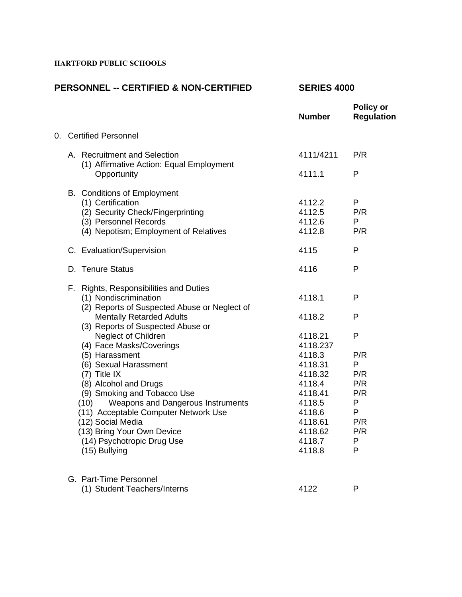# **HARTFORD PUBLIC SCHOOLS**

# **PERSONNEL -- CERTIFIED & NON-CERTIFIED SERIES 4000**

|  |                        |                                                                          | <b>Number</b> | <b>Policy or</b><br><b>Regulation</b> |
|--|------------------------|--------------------------------------------------------------------------|---------------|---------------------------------------|
|  | 0. Certified Personnel |                                                                          |               |                                       |
|  |                        | A. Recruitment and Selection<br>(1) Affirmative Action: Equal Employment | 4111/4211     | P/R                                   |
|  |                        | Opportunity                                                              | 4111.1        | P                                     |
|  |                        | B. Conditions of Employment                                              |               |                                       |
|  |                        | (1) Certification                                                        | 4112.2        | P                                     |
|  |                        | (2) Security Check/Fingerprinting                                        | 4112.5        | P/R                                   |
|  |                        | (3) Personnel Records                                                    | 4112.6        | P                                     |
|  |                        | (4) Nepotism; Employment of Relatives                                    | 4112.8        | P/R                                   |
|  |                        | C. Evaluation/Supervision                                                | 4115          | P                                     |
|  |                        | D. Tenure Status                                                         | 4116          | P                                     |
|  |                        | F. Rights, Responsibilities and Duties                                   |               |                                       |
|  |                        | (1) Nondiscrimination<br>(2) Reports of Suspected Abuse or Neglect of    | 4118.1        | $\mathsf{P}$                          |
|  |                        | <b>Mentally Retarded Adults</b><br>(3) Reports of Suspected Abuse or     | 4118.2        | P                                     |
|  |                        | Neglect of Children                                                      | 4118.21       | P                                     |
|  |                        | (4) Face Masks/Coverings                                                 | 4118.237      |                                       |
|  |                        | (5) Harassment                                                           | 4118.3        | P/R                                   |
|  |                        | (6) Sexual Harassment                                                    | 4118.31       | P                                     |
|  |                        | (7) Title IX                                                             | 4118.32       | P/R                                   |
|  |                        | (8) Alcohol and Drugs                                                    | 4118.4        | P/R                                   |
|  |                        | (9) Smoking and Tobacco Use                                              | 4118.41       | P/R                                   |
|  |                        | Weapons and Dangerous Instruments<br>(10)                                | 4118.5        | P                                     |
|  |                        | (11) Acceptable Computer Network Use                                     | 4118.6        | P                                     |
|  |                        | (12) Social Media                                                        | 4118.61       | P/R                                   |
|  |                        | (13) Bring Your Own Device                                               | 4118.62       | P/R                                   |
|  |                        | (14) Psychotropic Drug Use                                               | 4118.7        | P                                     |
|  |                        | (15) Bullying                                                            | 4118.8        | P                                     |
|  |                        | G. Part-Time Personnel                                                   |               |                                       |
|  |                        | (1) Student Teachers/Interns                                             | 4122          | P                                     |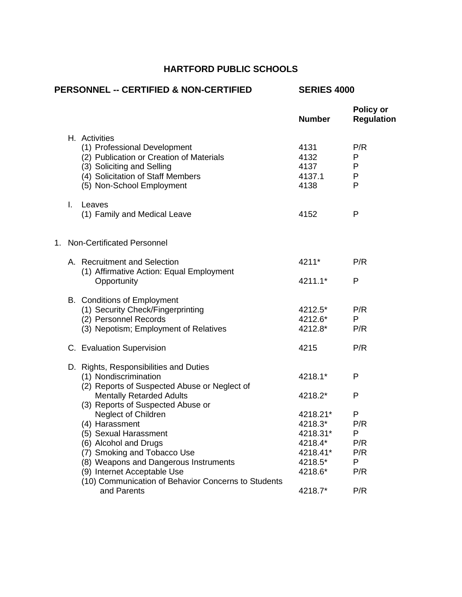# **HARTFORD PUBLIC SCHOOLS**

| <b>PERSONNEL -- CERTIFIED &amp; NON-CERTIFIED</b> |                               |                                                                                                                                                                                           | <b>SERIES 4000</b>                         |                                       |
|---------------------------------------------------|-------------------------------|-------------------------------------------------------------------------------------------------------------------------------------------------------------------------------------------|--------------------------------------------|---------------------------------------|
|                                                   |                               |                                                                                                                                                                                           | <b>Number</b>                              | <b>Policy or</b><br><b>Regulation</b> |
|                                                   |                               | H. Activities<br>(1) Professional Development<br>(2) Publication or Creation of Materials<br>(3) Soliciting and Selling<br>(4) Solicitation of Staff Members<br>(5) Non-School Employment | 4131<br>4132<br>4137<br>4137.1<br>4138     | P/R<br>P<br>P<br>$\mathsf{P}$<br>P    |
|                                                   | I.                            | Leaves<br>(1) Family and Medical Leave                                                                                                                                                    | 4152                                       | P                                     |
|                                                   | 1. Non-Certificated Personnel |                                                                                                                                                                                           |                                            |                                       |
|                                                   |                               | A. Recruitment and Selection<br>(1) Affirmative Action: Equal Employment                                                                                                                  | 4211*                                      | P/R                                   |
|                                                   |                               | Opportunity                                                                                                                                                                               | 4211.1*                                    | P                                     |
|                                                   |                               | <b>B.</b> Conditions of Employment<br>(1) Security Check/Fingerprinting<br>(2) Personnel Records<br>(3) Nepotism; Employment of Relatives                                                 | 4212.5*<br>4212.6*<br>4212.8*              | P/R<br>P<br>P/R                       |
|                                                   |                               | C. Evaluation Supervision                                                                                                                                                                 | 4215                                       | P/R                                   |
|                                                   |                               | D. Rights, Responsibilities and Duties<br>(1) Nondiscrimination<br>(2) Reports of Suspected Abuse or Neglect of                                                                           | 4218.1*                                    | P                                     |
|                                                   |                               | <b>Mentally Retarded Adults</b><br>(3) Reports of Suspected Abuse or                                                                                                                      | 4218.2*                                    | P                                     |
|                                                   |                               | <b>Neglect of Children</b><br>(4) Harassment<br>(5) Sexual Harassment<br>(6) Alcohol and Drugs                                                                                            | 4218.21*<br>4218.3*<br>4218.31*<br>4218.4* | P<br>P/R<br>P<br>P/R                  |
|                                                   |                               | (7) Smoking and Tobacco Use<br>(8) Weapons and Dangerous Instruments<br>(9) Internet Acceptable Use                                                                                       | 4218.41*<br>4218.5*<br>4218.6*             | P/R<br>P<br>P/R                       |
|                                                   |                               | (10) Communication of Behavior Concerns to Students<br>and Parents                                                                                                                        | 4218.7*                                    | P/R                                   |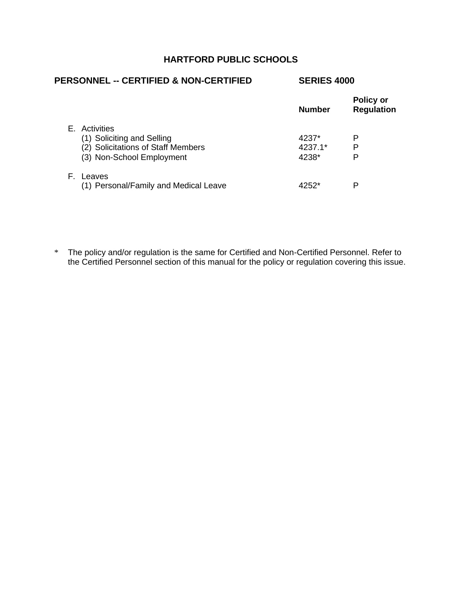# **HARTFORD PUBLIC SCHOOLS**

| <b>PERSONNEL -- CERTIFIED &amp; NON-CERTIFIED</b> | <b>SERIES 4000</b> |                                       |
|---------------------------------------------------|--------------------|---------------------------------------|
|                                                   | <b>Number</b>      | <b>Policy or</b><br><b>Regulation</b> |
| E. Activities                                     |                    |                                       |
| (1) Soliciting and Selling                        | 4237*              | Р                                     |
| (2) Solicitations of Staff Members                | 4237.1*            | P                                     |
| (3) Non-School Employment                         | 4238*              | P                                     |
| E.<br>Leaves                                      |                    |                                       |
| (1) Personal/Family and Medical Leave             | 4252*              | Р                                     |

\* The policy and/or regulation is the same for Certified and Non-Certified Personnel. Refer to the Certified Personnel section of this manual for the policy or regulation covering this issue.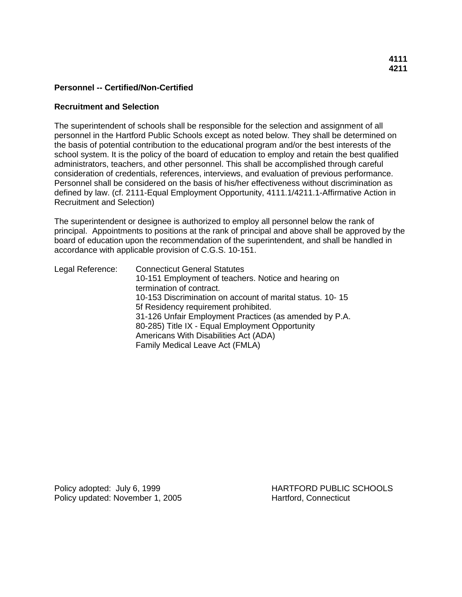#### **Recruitment and Selection**

The superintendent of schools shall be responsible for the selection and assignment of all personnel in the Hartford Public Schools except as noted below. They shall be determined on the basis of potential contribution to the educational program and/or the best interests of the school system. It is the policy of the board of education to employ and retain the best qualified administrators, teachers, and other personnel. This shall be accomplished through careful consideration of credentials, references, interviews, and evaluation of previous performance. Personnel shall be considered on the basis of his/her effectiveness without discrimination as defined by law. (cf. 2111-Equal Employment Opportunity, 4111.1/4211.1-Affirmative Action in Recruitment and Selection)

The superintendent or designee is authorized to employ all personnel below the rank of principal. Appointments to positions at the rank of principal and above shall be approved by the board of education upon the recommendation of the superintendent, and shall be handled in accordance with applicable provision of C.G.S. 10-151.

Legal Reference: Connecticut General Statutes 10-151 Employment of teachers. Notice and hearing on termination of contract. 10-153 Discrimination on account of marital status. 10- 15 5f Residency requirement prohibited. 31-126 Unfair Employment Practices (as amended by P.A. 80-285) Title IX - Equal Employment Opportunity Americans With Disabilities Act (ADA) Family Medical Leave Act (FMLA)

Policy updated: November 1, 2005 Hartford, Connecticut

Policy adopted: July 6, 1999 **HARTFORD PUBLIC SCHOOLS**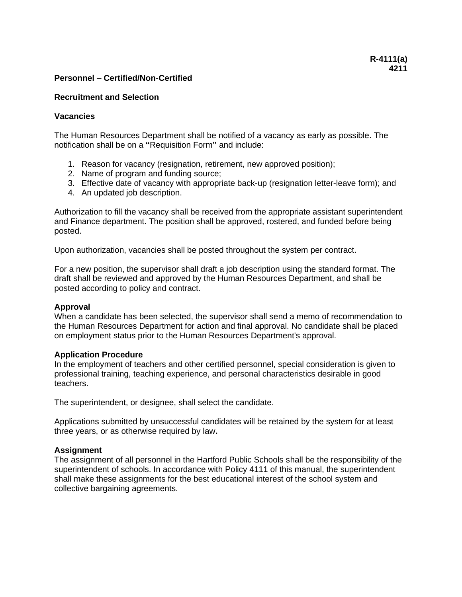### **Recruitment and Selection**

# **Vacancies**

The Human Resources Department shall be notified of a vacancy as early as possible. The notification shall be on a **"**Requisition Form**"** and include:

- 1. Reason for vacancy (resignation, retirement, new approved position);
- 2. Name of program and funding source;
- 3. Effective date of vacancy with appropriate back-up (resignation letter-leave form); and
- 4. An updated job description.

Authorization to fill the vacancy shall be received from the appropriate assistant superintendent and Finance department. The position shall be approved, rostered, and funded before being posted.

Upon authorization, vacancies shall be posted throughout the system per contract.

For a new position, the supervisor shall draft a job description using the standard format. The draft shall be reviewed and approved by the Human Resources Department, and shall be posted according to policy and contract.

### **Approval**

When a candidate has been selected, the supervisor shall send a memo of recommendation to the Human Resources Department for action and final approval. No candidate shall be placed on employment status prior to the Human Resources Department's approval.

### **Application Procedure**

In the employment of teachers and other certified personnel, special consideration is given to professional training, teaching experience, and personal characteristics desirable in good teachers.

The superintendent, or designee, shall select the candidate.

Applications submitted by unsuccessful candidates will be retained by the system for at least three years, or as otherwise required by law**.**

### **Assignment**

The assignment of all personnel in the Hartford Public Schools shall be the responsibility of the superintendent of schools. In accordance with Policy 4111 of this manual, the superintendent shall make these assignments for the best educational interest of the school system and collective bargaining agreements.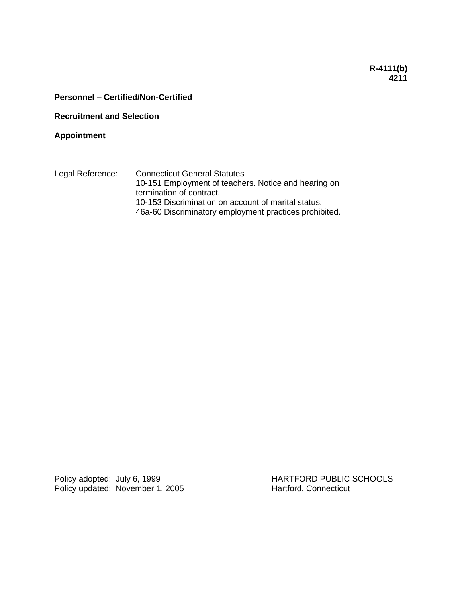# **R-4111(b) 4211**

# **Personnel – Certified/Non-Certified**

**Recruitment and Selection**

**Appointment**

Legal Reference: Connecticut General Statutes 10-151 Employment of teachers. Notice and hearing on termination of contract. 10-153 Discrimination on account of marital status. 46a-60 Discriminatory employment practices prohibited.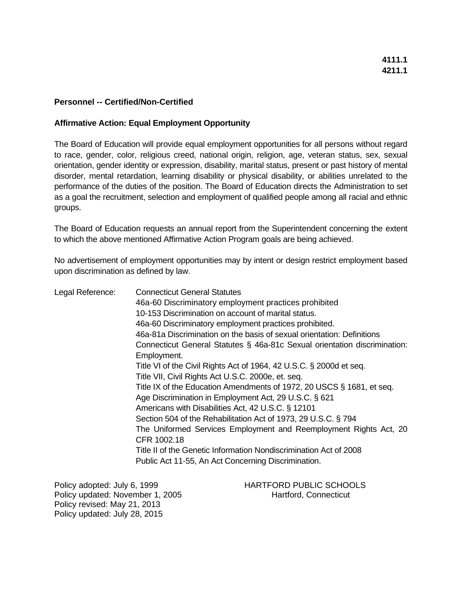# **Affirmative Action: Equal Employment Opportunity**

The Board of Education will provide equal employment opportunities for all persons without regard to race, gender, color, religious creed, national origin, religion, age, veteran status, sex, sexual orientation, gender identity or expression, disability, marital status, present or past history of mental disorder, mental retardation, learning disability or physical disability, or abilities unrelated to the performance of the duties of the position. The Board of Education directs the Administration to set as a goal the recruitment, selection and employment of qualified people among all racial and ethnic groups.

The Board of Education requests an annual report from the Superintendent concerning the extent to which the above mentioned Affirmative Action Program goals are being achieved.

No advertisement of employment opportunities may by intent or design restrict employment based upon discrimination as defined by law.

| Legal Reference: | <b>Connecticut General Statutes</b>                                       |
|------------------|---------------------------------------------------------------------------|
|                  | 46a-60 Discriminatory employment practices prohibited                     |
|                  | 10-153 Discrimination on account of marital status.                       |
|                  | 46a-60 Discriminatory employment practices prohibited.                    |
|                  | 46a-81a Discrimination on the basis of sexual orientation: Definitions    |
|                  | Connecticut General Statutes § 46a-81c Sexual orientation discrimination: |
|                  | Employment.                                                               |
|                  | Title VI of the Civil Rights Act of 1964, 42 U.S.C. § 2000d et seq.       |
|                  | Title VII, Civil Rights Act U.S.C. 2000e, et. seq.                        |
|                  | Title IX of the Education Amendments of 1972, 20 USCS § 1681, et seq.     |
|                  | Age Discrimination in Employment Act, 29 U.S.C. § 621                     |
|                  | Americans with Disabilities Act, 42 U.S.C. § 12101                        |
|                  | Section 504 of the Rehabilitation Act of 1973, 29 U.S.C. § 794            |
|                  | The Uniformed Services Employment and Reemployment Rights Act, 20         |
|                  | CFR 1002.18                                                               |
|                  | Title II of the Genetic Information Nondiscrimination Act of 2008         |
|                  | Public Act 11-55, An Act Concerning Discrimination.                       |
|                  |                                                                           |
|                  |                                                                           |

Policy updated: November 1, 2005 Hartford, Connecticut Policy revised: May 21, 2013 Policy updated: July 28, 2015

Policy adopted: July 6, 1999 HARTFORD PUBLIC SCHOOLS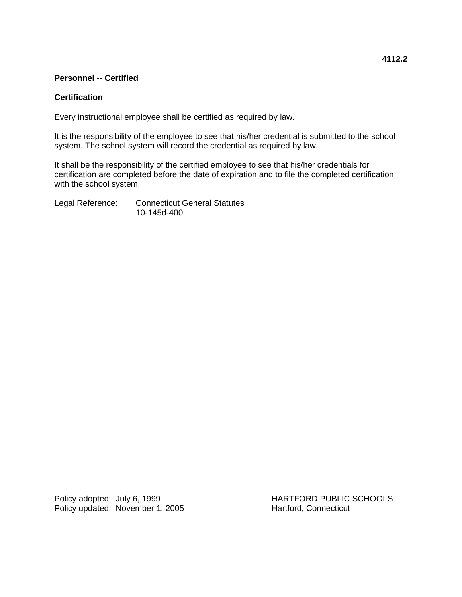# **Personnel -- Certified**

### **Certification**

Every instructional employee shall be certified as required by law.

It is the responsibility of the employee to see that his/her credential is submitted to the school system. The school system will record the credential as required by law.

It shall be the responsibility of the certified employee to see that his/her credentials for certification are completed before the date of expiration and to file the completed certification with the school system.

Legal Reference: Connecticut General Statutes 10-145d-400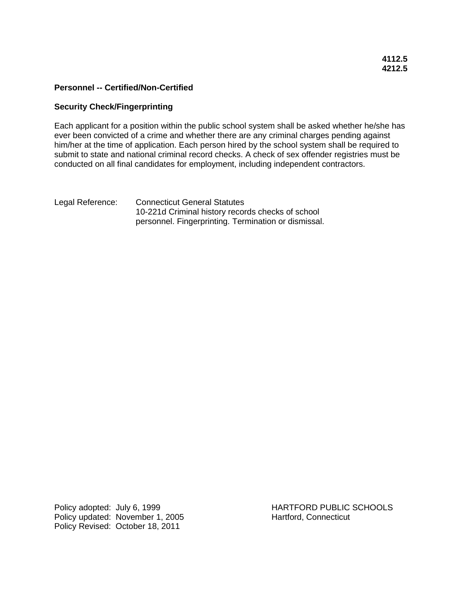# **4112.5 4212.5**

### **Personnel -- Certified/Non-Certified**

#### **Security Check/Fingerprinting**

Each applicant for a position within the public school system shall be asked whether he/she has ever been convicted of a crime and whether there are any criminal charges pending against him/her at the time of application. Each person hired by the school system shall be required to submit to state and national criminal record checks. A check of sex offender registries must be conducted on all final candidates for employment, including independent contractors.

Legal Reference: Connecticut General Statutes 10-221d Criminal history records checks of school personnel. Fingerprinting. Termination or dismissal.

Policy adopted: July 6, 1999 HARTFORD PUBLIC SCHOOLS Policy updated: November 1, 2005 Hartford, Connecticut Policy Revised: October 18, 2011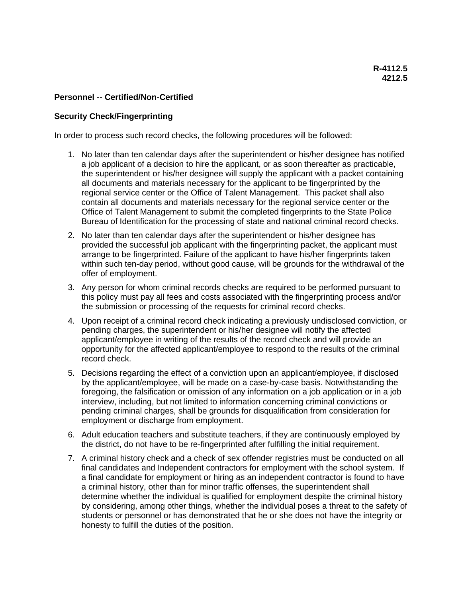# **Security Check/Fingerprinting**

In order to process such record checks, the following procedures will be followed:

- 1. No later than ten calendar days after the superintendent or his/her designee has notified a job applicant of a decision to hire the applicant, or as soon thereafter as practicable, the superintendent or his/her designee will supply the applicant with a packet containing all documents and materials necessary for the applicant to be fingerprinted by the regional service center or the Office of Talent Management. This packet shall also contain all documents and materials necessary for the regional service center or the Office of Talent Management to submit the completed fingerprints to the State Police Bureau of Identification for the processing of state and national criminal record checks.
- 2. No later than ten calendar days after the superintendent or his/her designee has provided the successful job applicant with the fingerprinting packet, the applicant must arrange to be fingerprinted. Failure of the applicant to have his/her fingerprints taken within such ten-day period, without good cause, will be grounds for the withdrawal of the offer of employment.
- 3. Any person for whom criminal records checks are required to be performed pursuant to this policy must pay all fees and costs associated with the fingerprinting process and/or the submission or processing of the requests for criminal record checks.
- 4. Upon receipt of a criminal record check indicating a previously undisclosed conviction, or pending charges, the superintendent or his/her designee will notify the affected applicant/employee in writing of the results of the record check and will provide an opportunity for the affected applicant/employee to respond to the results of the criminal record check.
- 5. Decisions regarding the effect of a conviction upon an applicant/employee, if disclosed by the applicant/employee, will be made on a case-by-case basis. Notwithstanding the foregoing, the falsification or omission of any information on a job application or in a job interview, including, but not limited to information concerning criminal convictions or pending criminal charges, shall be grounds for disqualification from consideration for employment or discharge from employment.
- 6. Adult education teachers and substitute teachers, if they are continuously employed by the district, do not have to be re-fingerprinted after fulfilling the initial requirement.
- 7. A criminal history check and a check of sex offender registries must be conducted on all final candidates and Independent contractors for employment with the school system. If a final candidate for employment or hiring as an independent contractor is found to have a criminal history, other than for minor traffic offenses, the superintendent shall determine whether the individual is qualified for employment despite the criminal history by considering, among other things, whether the individual poses a threat to the safety of students or personnel or has demonstrated that he or she does not have the integrity or honesty to fulfill the duties of the position.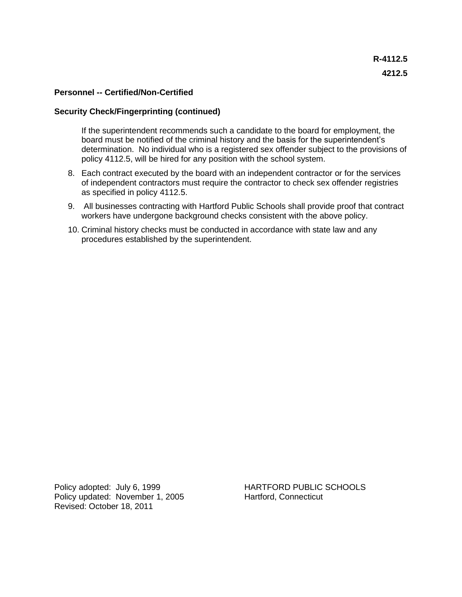#### **Security Check/Fingerprinting (continued)**

If the superintendent recommends such a candidate to the board for employment, the board must be notified of the criminal history and the basis for the superintendent's determination. No individual who is a registered sex offender subject to the provisions of policy 4112.5, will be hired for any position with the school system.

- 8. Each contract executed by the board with an independent contractor or for the services of independent contractors must require the contractor to check sex offender registries as specified in policy 4112.5.
- 9. All businesses contracting with Hartford Public Schools shall provide proof that contract workers have undergone background checks consistent with the above policy.
- 10. Criminal history checks must be conducted in accordance with state law and any procedures established by the superintendent.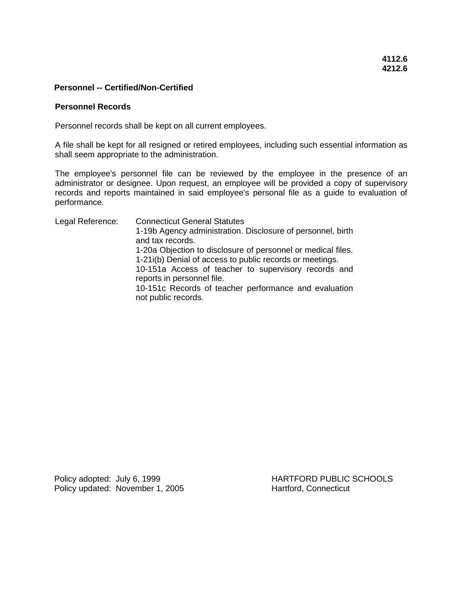#### **Personnel Records**

Personnel records shall be kept on all current employees.

A file shall be kept for all resigned or retired employees, including such essential information as shall seem appropriate to the administration.

The employee's personnel file can be reviewed by the employee in the presence of an administrator or designee. Upon request, an employee will be provided a copy of supervisory records and reports maintained in said employee's personal file as a guide to evaluation of performance.

Legal Reference: Connecticut General Statutes 1-19b Agency administration. Disclosure of personnel, birth and tax records. 1-20a Objection to disclosure of personnel or medical files. 1-21i(b) Denial of access to public records or meetings. 10-151a Access of teacher to supervisory records and reports in personnel file. 10-151c Records of teacher performance and evaluation not public records.

Policy updated: November 1, 2005 Hartford, Connecticut

Policy adopted: July 6, 1999 HARTFORD PUBLIC SCHOOLS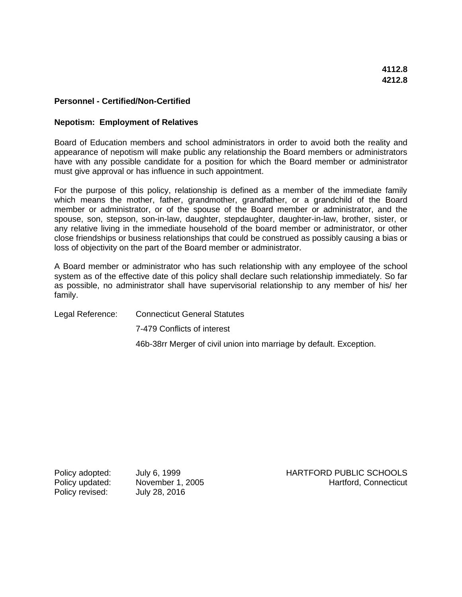#### **Nepotism: Employment of Relatives**

Board of Education members and school administrators in order to avoid both the reality and appearance of nepotism will make public any relationship the Board members or administrators have with any possible candidate for a position for which the Board member or administrator must give approval or has influence in such appointment.

For the purpose of this policy, relationship is defined as a member of the immediate family which means the mother, father, grandmother, grandfather, or a grandchild of the Board member or administrator, or of the spouse of the Board member or administrator, and the spouse, son, stepson, son-in-law, daughter, stepdaughter, daughter-in-law, brother, sister, or any relative living in the immediate household of the board member or administrator, or other close friendships or business relationships that could be construed as possibly causing a bias or loss of objectivity on the part of the Board member or administrator.

A Board member or administrator who has such relationship with any employee of the school system as of the effective date of this policy shall declare such relationship immediately. So far as possible, no administrator shall have supervisorial relationship to any member of his/ her family.

Legal Reference: Connecticut General Statutes 7-479 Conflicts of interest 46b-38rr Merger of civil union into marriage by default. Exception.

Policy revised: July 28, 2016

Policy adopted: July 6, 1999 HARTFORD PUBLIC SCHOOLS Policy updated: November 1, 2005 November 1, 2005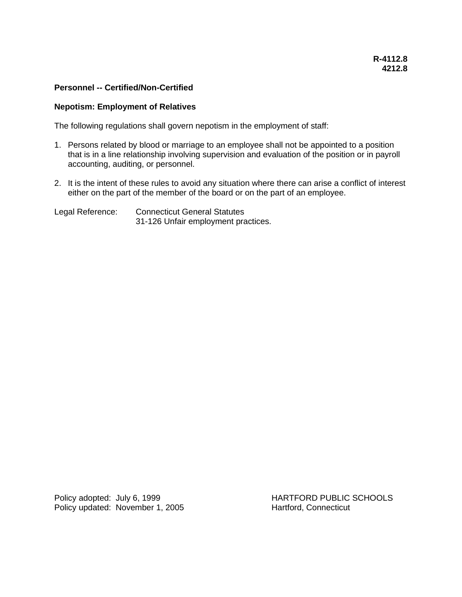#### **Nepotism: Employment of Relatives**

The following regulations shall govern nepotism in the employment of staff:

- 1. Persons related by blood or marriage to an employee shall not be appointed to a position that is in a line relationship involving supervision and evaluation of the position or in payroll accounting, auditing, or personnel.
- 2. It is the intent of these rules to avoid any situation where there can arise a conflict of interest either on the part of the member of the board or on the part of an employee.

Legal Reference: Connecticut General Statutes 31-126 Unfair employment practices.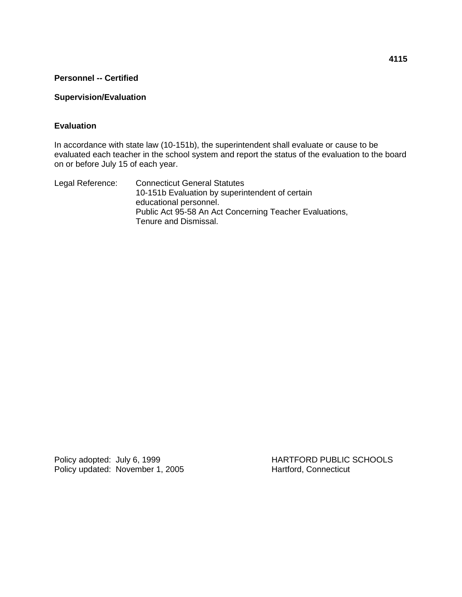# **Personnel -- Certified**

# **Supervision/Evaluation**

# **Evaluation**

In accordance with state law (10-151b), the superintendent shall evaluate or cause to be evaluated each teacher in the school system and report the status of the evaluation to the board on or before July 15 of each year.

Legal Reference: Connecticut General Statutes 10-151b Evaluation by superintendent of certain educational personnel. Public Act 95-58 An Act Concerning Teacher Evaluations, Tenure and Dismissal.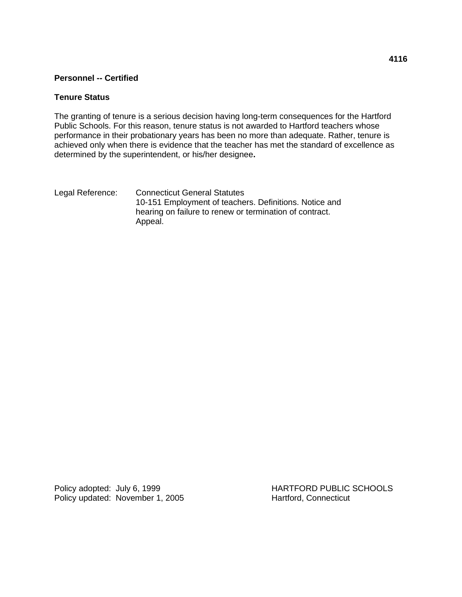# **Personnel -- Certified**

### **Tenure Status**

The granting of tenure is a serious decision having long-term consequences for the Hartford Public Schools. For this reason, tenure status is not awarded to Hartford teachers whose performance in their probationary years has been no more than adequate. Rather, tenure is achieved only when there is evidence that the teacher has met the standard of excellence as determined by the superintendent, or his/her designee**.**

Legal Reference: Connecticut General Statutes 10-151 Employment of teachers. Definitions. Notice and hearing on failure to renew or termination of contract. Appeal.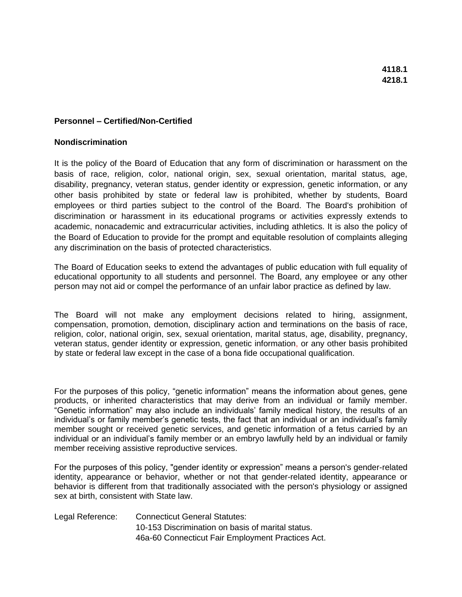#### **Nondiscrimination**

It is the policy of the Board of Education that any form of discrimination or harassment on the basis of race, religion, color, national origin, sex, sexual orientation, marital status, age, disability, pregnancy, veteran status, gender identity or expression, genetic information, or any other basis prohibited by state or federal law is prohibited, whether by students, Board employees or third parties subject to the control of the Board. The Board's prohibition of discrimination or harassment in its educational programs or activities expressly extends to academic, nonacademic and extracurricular activities, including athletics. It is also the policy of the Board of Education to provide for the prompt and equitable resolution of complaints alleging any discrimination on the basis of protected characteristics.

The Board of Education seeks to extend the advantages of public education with full equality of educational opportunity to all students and personnel. The Board, any employee or any other person may not aid or compel the performance of an unfair labor practice as defined by law.

The Board will not make any employment decisions related to hiring, assignment, compensation, promotion, demotion, disciplinary action and terminations on the basis of race, religion, color, national origin, sex, sexual orientation, marital status, age, disability, pregnancy, veteran status, gender identity or expression, genetic information, or any other basis prohibited by state or federal law except in the case of a bona fide occupational qualification.

For the purposes of this policy, "genetic information" means the information about genes, gene products, or inherited characteristics that may derive from an individual or family member. "Genetic information" may also include an individuals' family medical history, the results of an individual's or family member's genetic tests, the fact that an individual or an individual's family member sought or received genetic services, and genetic information of a fetus carried by an individual or an individual's family member or an embryo lawfully held by an individual or family member receiving assistive reproductive services.

For the purposes of this policy, "gender identity or expression" means a person's gender-related identity, appearance or behavior, whether or not that gender-related identity, appearance or behavior is different from that traditionally associated with the person's physiology or assigned sex at birth, consistent with State law.

Legal Reference: Connecticut General Statutes: 10-153 Discrimination on basis of marital status. 46a-60 Connecticut Fair Employment Practices Act.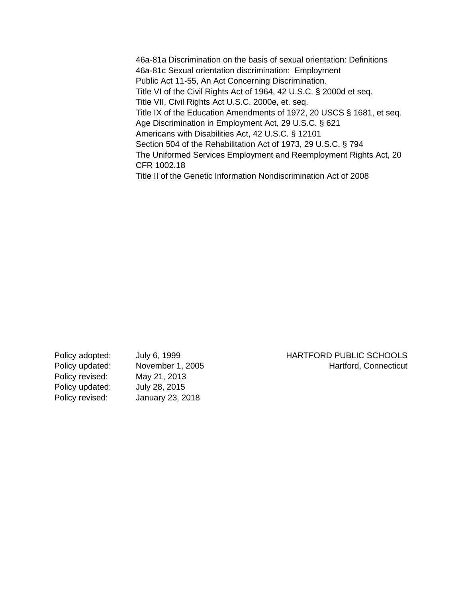46a-81a Discrimination on the basis of sexual orientation: Definitions 46a-81c Sexual orientation discrimination: Employment Public Act 11-55, An Act Concerning Discrimination. Title VI of the Civil Rights Act of 1964, 42 U.S.C. § 2000d et seq. Title VII, Civil Rights Act U.S.C. 2000e, et. seq. Title IX of the Education Amendments of 1972, 20 USCS § 1681, et seq. Age Discrimination in Employment Act, 29 U.S.C. § 621 Americans with Disabilities Act, 42 U.S.C. § 12101 Section 504 of the Rehabilitation Act of 1973, 29 U.S.C. § 794 The Uniformed Services Employment and Reemployment Rights Act, 20 CFR 1002.18 Title II of the Genetic Information Nondiscrimination Act of 2008

Policy adopted: July 6, 1999 HARTFORD PUBLIC SCHOOLS Policy updated: November 1, 2005 Movement Assembt Martford, Connecticut Policy revised: May 21, 2013 Policy updated: July 28, 2015 Policy revised: January 23, 2018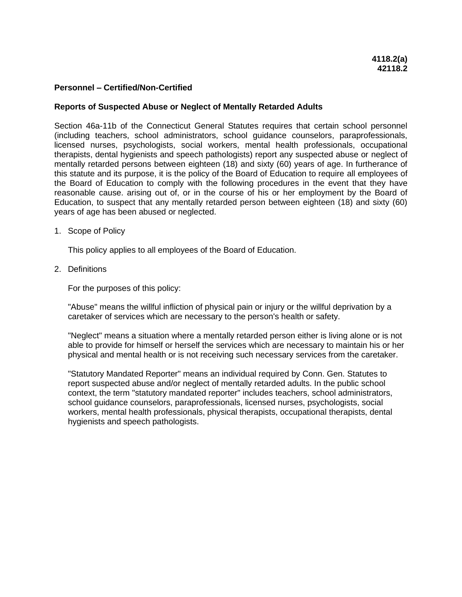### **Reports of Suspected Abuse or Neglect of Mentally Retarded Adults**

Section 46a-11b of the Connecticut General Statutes requires that certain school personnel (including teachers, school administrators, school guidance counselors, paraprofessionals, licensed nurses, psychologists, social workers, mental health professionals, occupational therapists, dental hygienists and speech pathologists) report any suspected abuse or neglect of mentally retarded persons between eighteen (18) and sixty (60) years of age. In furtherance of this statute and its purpose, it is the policy of the Board of Education to require all employees of the Board of Education to comply with the following procedures in the event that they have reasonable cause. arising out of, or in the course of his or her employment by the Board of Education, to suspect that any mentally retarded person between eighteen (18) and sixty (60) years of age has been abused or neglected.

1. Scope of Policy

This policy applies to all employees of the Board of Education.

2. Definitions

For the purposes of this policy:

"Abuse" means the willful infliction of physical pain or injury or the willful deprivation by a caretaker of services which are necessary to the person's health or safety.

"Neglect" means a situation where a mentally retarded person either is living alone or is not able to provide for himself or herself the services which are necessary to maintain his or her physical and mental health or is not receiving such necessary services from the caretaker.

"Statutory Mandated Reporter" means an individual required by Conn. Gen. Statutes to report suspected abuse and/or neglect of mentally retarded adults. In the public school context, the term "statutory mandated reporter" includes teachers, school administrators, school guidance counselors, paraprofessionals, licensed nurses, psychologists, social workers, mental health professionals, physical therapists, occupational therapists, dental hygienists and speech pathologists.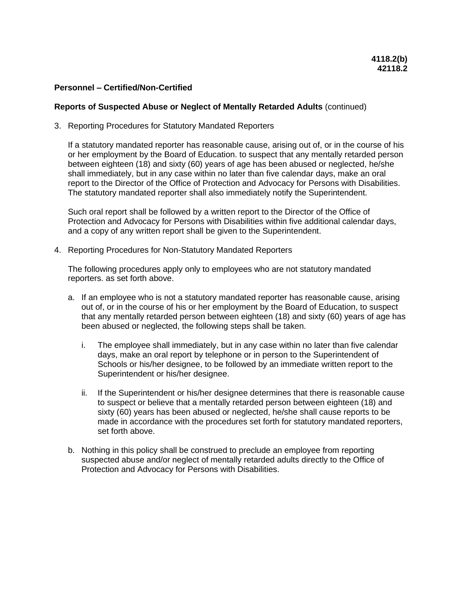#### **Reports of Suspected Abuse or Neglect of Mentally Retarded Adults** (continued)

3. Reporting Procedures for Statutory Mandated Reporters

If a statutory mandated reporter has reasonable cause, arising out of, or in the course of his or her employment by the Board of Education. to suspect that any mentally retarded person between eighteen (18) and sixty (60) years of age has been abused or neglected, he/she shall immediately, but in any case within no later than five calendar days, make an oral report to the Director of the Office of Protection and Advocacy for Persons with Disabilities. The statutory mandated reporter shall also immediately notify the Superintendent.

Such oral report shall be followed by a written report to the Director of the Office of Protection and Advocacy for Persons with Disabilities within five additional calendar days, and a copy of any written report shall be given to the Superintendent.

4. Reporting Procedures for Non-Statutory Mandated Reporters

The following procedures apply only to employees who are not statutory mandated reporters. as set forth above.

- a. If an employee who is not a statutory mandated reporter has reasonable cause, arising out of, or in the course of his or her employment by the Board of Education, to suspect that any mentally retarded person between eighteen (18) and sixty (60) years of age has been abused or neglected, the following steps shall be taken.
	- i. The employee shall immediately, but in any case within no later than five calendar days, make an oral report by telephone or in person to the Superintendent of Schools or his/her designee, to be followed by an immediate written report to the Superintendent or his/her designee.
	- ii. If the Superintendent or his/her designee determines that there is reasonable cause to suspect or believe that a mentally retarded person between eighteen (18) and sixty (60) years has been abused or neglected, he/she shall cause reports to be made in accordance with the procedures set forth for statutory mandated reporters, set forth above.
- b. Nothing in this policy shall be construed to preclude an employee from reporting suspected abuse and/or neglect of mentally retarded adults directly to the Office of Protection and Advocacy for Persons with Disabilities.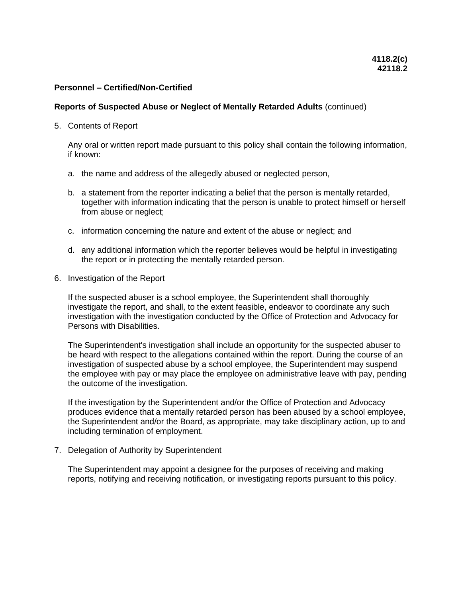#### **Reports of Suspected Abuse or Neglect of Mentally Retarded Adults** (continued)

5. Contents of Report

Any oral or written report made pursuant to this policy shall contain the following information, if known:

- a. the name and address of the allegedly abused or neglected person,
- b. a statement from the reporter indicating a belief that the person is mentally retarded, together with information indicating that the person is unable to protect himself or herself from abuse or neglect;
- c. information concerning the nature and extent of the abuse or neglect; and
- d. any additional information which the reporter believes would be helpful in investigating the report or in protecting the mentally retarded person.
- 6. Investigation of the Report

If the suspected abuser is a school employee, the Superintendent shall thoroughly investigate the report, and shall, to the extent feasible, endeavor to coordinate any such investigation with the investigation conducted by the Office of Protection and Advocacy for Persons with Disabilities.

The Superintendent's investigation shall include an opportunity for the suspected abuser to be heard with respect to the allegations contained within the report. During the course of an investigation of suspected abuse by a school employee, the Superintendent may suspend the employee with pay or may place the employee on administrative leave with pay, pending the outcome of the investigation.

If the investigation by the Superintendent and/or the Office of Protection and Advocacy produces evidence that a mentally retarded person has been abused by a school employee, the Superintendent and/or the Board, as appropriate, may take disciplinary action, up to and including termination of employment.

7. Delegation of Authority by Superintendent

The Superintendent may appoint a designee for the purposes of receiving and making reports, notifying and receiving notification, or investigating reports pursuant to this policy.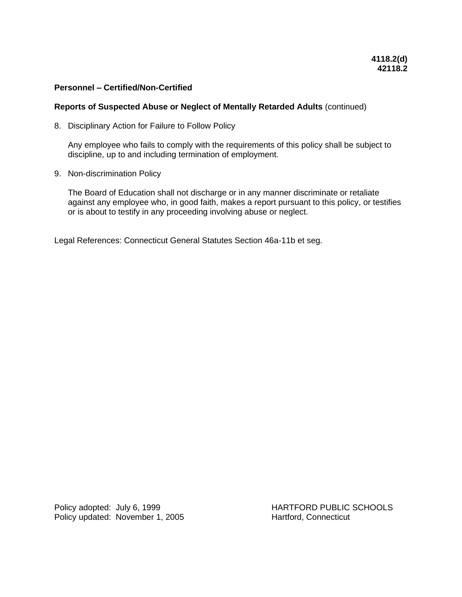### **Reports of Suspected Abuse or Neglect of Mentally Retarded Adults** (continued)

8. Disciplinary Action for Failure to Follow Policy

Any employee who fails to comply with the requirements of this policy shall be subject to discipline, up to and including termination of employment.

9. Non-discrimination Policy

The Board of Education shall not discharge or in any manner discriminate or retaliate against any employee who, in good faith, makes a report pursuant to this policy, or testifies or is about to testify in any proceeding involving abuse or neglect.

Legal References: Connecticut General Statutes Section 46a-11b et seg.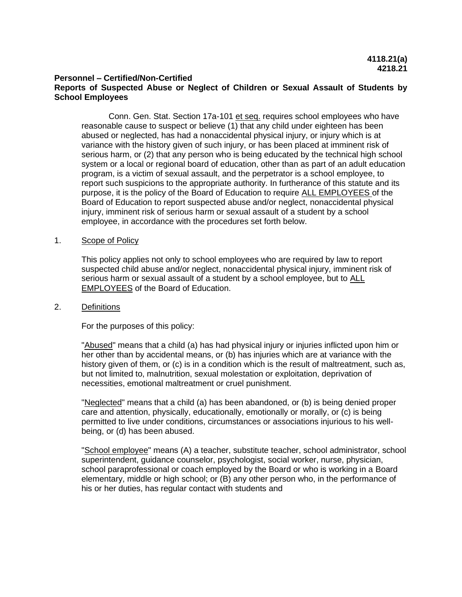#### **Personnel – Certified/Non-Certified Reports of Suspected Abuse or Neglect of Children or Sexual Assault of Students by School Employees**

Conn. Gen. Stat. Section 17a-101 et seq. requires school employees who have reasonable cause to suspect or believe (1) that any child under eighteen has been abused or neglected, has had a nonaccidental physical injury, or injury which is at variance with the history given of such injury, or has been placed at imminent risk of serious harm, or (2) that any person who is being educated by the technical high school system or a local or regional board of education, other than as part of an adult education program, is a victim of sexual assault, and the perpetrator is a school employee, to report such suspicions to the appropriate authority. In furtherance of this statute and its purpose, it is the policy of the Board of Education to require ALL EMPLOYEES of the Board of Education to report suspected abuse and/or neglect, nonaccidental physical injury, imminent risk of serious harm or sexual assault of a student by a school employee, in accordance with the procedures set forth below.

# 1. Scope of Policy

This policy applies not only to school employees who are required by law to report suspected child abuse and/or neglect, nonaccidental physical injury, imminent risk of serious harm or sexual assault of a student by a school employee, but to ALL EMPLOYEES of the Board of Education.

### 2. Definitions

For the purposes of this policy:

"Abused" means that a child (a) has had physical injury or injuries inflicted upon him or her other than by accidental means, or (b) has injuries which are at variance with the history given of them, or (c) is in a condition which is the result of maltreatment, such as, but not limited to, malnutrition, sexual molestation or exploitation, deprivation of necessities, emotional maltreatment or cruel punishment.

"Neglected" means that a child (a) has been abandoned, or (b) is being denied proper care and attention, physically, educationally, emotionally or morally, or (c) is being permitted to live under conditions, circumstances or associations injurious to his wellbeing, or (d) has been abused.

"School employee" means (A) a teacher, substitute teacher, school administrator, school superintendent, guidance counselor, psychologist, social worker, nurse, physician, school paraprofessional or coach employed by the Board or who is working in a Board elementary, middle or high school; or (B) any other person who, in the performance of his or her duties, has regular contact with students and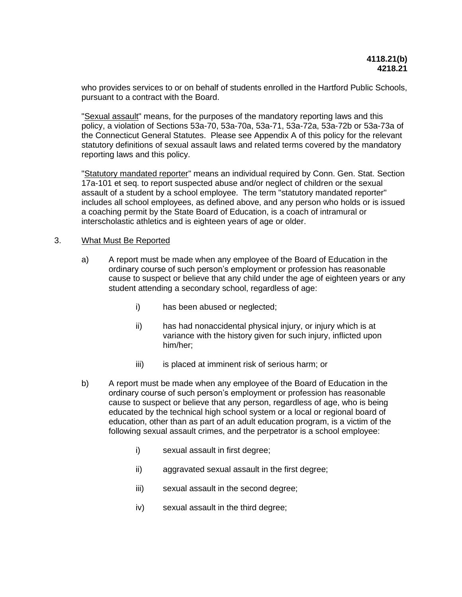who provides services to or on behalf of students enrolled in the Hartford Public Schools, pursuant to a contract with the Board.

"Sexual assault" means, for the purposes of the mandatory reporting laws and this policy, a violation of Sections 53a-70, 53a-70a, 53a-71, 53a-72a, 53a-72b or 53a-73a of the Connecticut General Statutes. Please see Appendix A of this policy for the relevant statutory definitions of sexual assault laws and related terms covered by the mandatory reporting laws and this policy.

"Statutory mandated reporter" means an individual required by Conn. Gen. Stat. Section 17a-101 et seq. to report suspected abuse and/or neglect of children or the sexual assault of a student by a school employee. The term "statutory mandated reporter" includes all school employees, as defined above, and any person who holds or is issued a coaching permit by the State Board of Education, is a coach of intramural or interscholastic athletics and is eighteen years of age or older.

### 3. What Must Be Reported

- a) A report must be made when any employee of the Board of Education in the ordinary course of such person's employment or profession has reasonable cause to suspect or believe that any child under the age of eighteen years or any student attending a secondary school, regardless of age:
	- i) has been abused or neglected;
	- ii) has had nonaccidental physical injury, or injury which is at variance with the history given for such injury, inflicted upon him/her;
	- iii) is placed at imminent risk of serious harm; or
- b) A report must be made when any employee of the Board of Education in the ordinary course of such person's employment or profession has reasonable cause to suspect or believe that any person, regardless of age, who is being educated by the technical high school system or a local or regional board of education, other than as part of an adult education program, is a victim of the following sexual assault crimes, and the perpetrator is a school employee:
	- i) sexual assault in first degree;
	- ii) aggravated sexual assault in the first degree;
	- iii) sexual assault in the second degree;
	- iv) sexual assault in the third degree;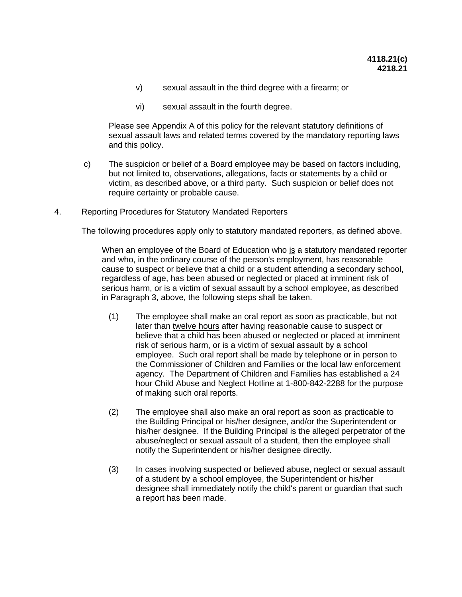- v) sexual assault in the third degree with a firearm; or
- vi) sexual assault in the fourth degree.

Please see Appendix A of this policy for the relevant statutory definitions of sexual assault laws and related terms covered by the mandatory reporting laws and this policy.

c) The suspicion or belief of a Board employee may be based on factors including, but not limited to, observations, allegations, facts or statements by a child or victim, as described above, or a third party. Such suspicion or belief does not require certainty or probable cause.

#### 4. Reporting Procedures for Statutory Mandated Reporters

The following procedures apply only to statutory mandated reporters, as defined above.

When an employee of the Board of Education who is a statutory mandated reporter and who, in the ordinary course of the person's employment, has reasonable cause to suspect or believe that a child or a student attending a secondary school, regardless of age, has been abused or neglected or placed at imminent risk of serious harm, or is a victim of sexual assault by a school employee, as described in Paragraph 3, above, the following steps shall be taken.

- (1) The employee shall make an oral report as soon as practicable, but not later than twelve hours after having reasonable cause to suspect or believe that a child has been abused or neglected or placed at imminent risk of serious harm, or is a victim of sexual assault by a school employee. Such oral report shall be made by telephone or in person to the Commissioner of Children and Families or the local law enforcement agency. The Department of Children and Families has established a 24 hour Child Abuse and Neglect Hotline at 1-800-842-2288 for the purpose of making such oral reports.
- (2) The employee shall also make an oral report as soon as practicable to the Building Principal or his/her designee, and/or the Superintendent or his/her designee. If the Building Principal is the alleged perpetrator of the abuse/neglect or sexual assault of a student, then the employee shall notify the Superintendent or his/her designee directly.
- (3) In cases involving suspected or believed abuse, neglect or sexual assault of a student by a school employee, the Superintendent or his/her designee shall immediately notify the child's parent or guardian that such a report has been made.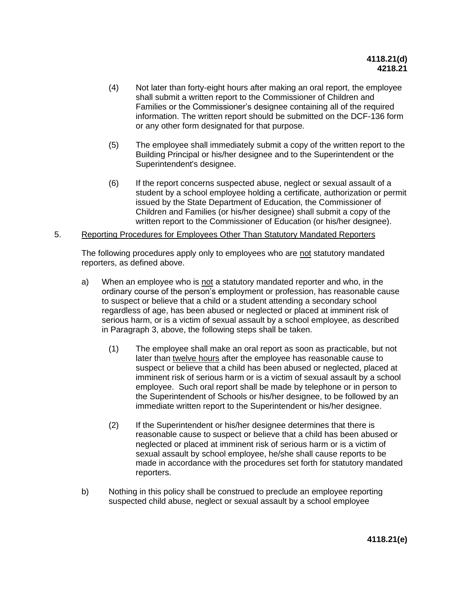- (4) Not later than forty-eight hours after making an oral report, the employee shall submit a written report to the Commissioner of Children and Families or the Commissioner's designee containing all of the required information. The written report should be submitted on the DCF-136 form or any other form designated for that purpose.
- (5) The employee shall immediately submit a copy of the written report to the Building Principal or his/her designee and to the Superintendent or the Superintendent's designee.
- (6) If the report concerns suspected abuse, neglect or sexual assault of a student by a school employee holding a certificate, authorization or permit issued by the State Department of Education, the Commissioner of Children and Families (or his/her designee) shall submit a copy of the written report to the Commissioner of Education (or his/her designee).

#### 5. Reporting Procedures for Employees Other Than Statutory Mandated Reporters

The following procedures apply only to employees who are not statutory mandated reporters, as defined above.

- a) When an employee who is not a statutory mandated reporter and who, in the ordinary course of the person's employment or profession, has reasonable cause to suspect or believe that a child or a student attending a secondary school regardless of age, has been abused or neglected or placed at imminent risk of serious harm, or is a victim of sexual assault by a school employee, as described in Paragraph 3, above, the following steps shall be taken.
	- (1) The employee shall make an oral report as soon as practicable, but not later than twelve hours after the employee has reasonable cause to suspect or believe that a child has been abused or neglected, placed at imminent risk of serious harm or is a victim of sexual assault by a school employee. Such oral report shall be made by telephone or in person to the Superintendent of Schools or his/her designee, to be followed by an immediate written report to the Superintendent or his/her designee.
	- (2) If the Superintendent or his/her designee determines that there is reasonable cause to suspect or believe that a child has been abused or neglected or placed at imminent risk of serious harm or is a victim of sexual assault by school employee, he/she shall cause reports to be made in accordance with the procedures set forth for statutory mandated reporters.
- b) Nothing in this policy shall be construed to preclude an employee reporting suspected child abuse, neglect or sexual assault by a school employee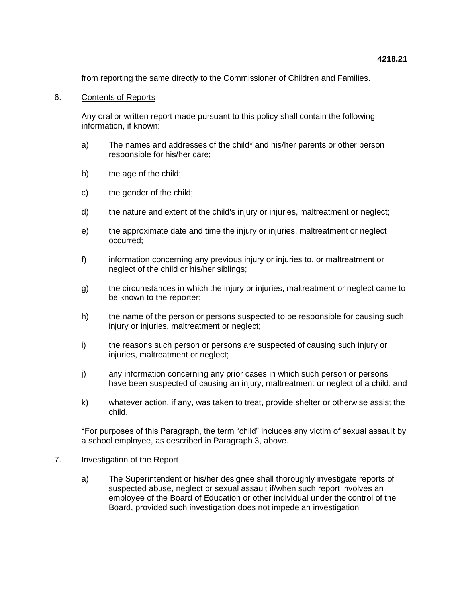from reporting the same directly to the Commissioner of Children and Families.

# 6. Contents of Reports

Any oral or written report made pursuant to this policy shall contain the following information, if known:

- a) The names and addresses of the child\* and his/her parents or other person responsible for his/her care;
- b) the age of the child;
- c) the gender of the child;
- d) the nature and extent of the child's injury or injuries, maltreatment or neglect;
- e) the approximate date and time the injury or injuries, maltreatment or neglect occurred;
- f) information concerning any previous injury or injuries to, or maltreatment or neglect of the child or his/her siblings;
- g) the circumstances in which the injury or injuries, maltreatment or neglect came to be known to the reporter;
- h) the name of the person or persons suspected to be responsible for causing such injury or injuries, maltreatment or neglect;
- i) the reasons such person or persons are suspected of causing such injury or injuries, maltreatment or neglect;
- j) any information concerning any prior cases in which such person or persons have been suspected of causing an injury, maltreatment or neglect of a child; and
- k) whatever action, if any, was taken to treat, provide shelter or otherwise assist the child.

\*For purposes of this Paragraph, the term "child" includes any victim of sexual assault by a school employee, as described in Paragraph 3, above.

# 7. **Investigation of the Report**

a) The Superintendent or his/her designee shall thoroughly investigate reports of suspected abuse, neglect or sexual assault if/when such report involves an employee of the Board of Education or other individual under the control of the Board, provided such investigation does not impede an investigation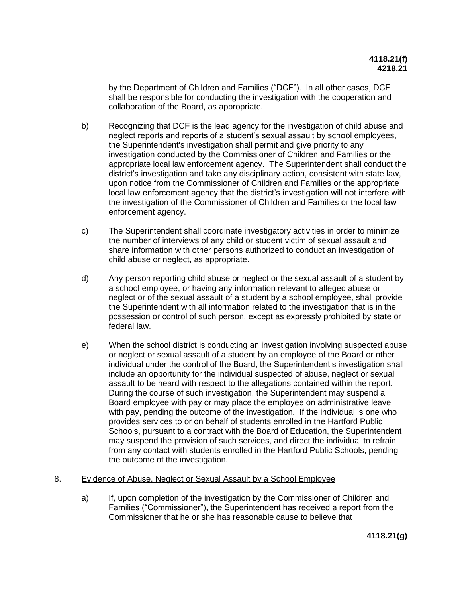by the Department of Children and Families ("DCF"). In all other cases, DCF shall be responsible for conducting the investigation with the cooperation and collaboration of the Board, as appropriate.

- b) Recognizing that DCF is the lead agency for the investigation of child abuse and neglect reports and reports of a student's sexual assault by school employees, the Superintendent's investigation shall permit and give priority to any investigation conducted by the Commissioner of Children and Families or the appropriate local law enforcement agency. The Superintendent shall conduct the district's investigation and take any disciplinary action, consistent with state law, upon notice from the Commissioner of Children and Families or the appropriate local law enforcement agency that the district's investigation will not interfere with the investigation of the Commissioner of Children and Families or the local law enforcement agency.
- c) The Superintendent shall coordinate investigatory activities in order to minimize the number of interviews of any child or student victim of sexual assault and share information with other persons authorized to conduct an investigation of child abuse or neglect, as appropriate.
- d) Any person reporting child abuse or neglect or the sexual assault of a student by a school employee, or having any information relevant to alleged abuse or neglect or of the sexual assault of a student by a school employee, shall provide the Superintendent with all information related to the investigation that is in the possession or control of such person, except as expressly prohibited by state or federal law.
- e) When the school district is conducting an investigation involving suspected abuse or neglect or sexual assault of a student by an employee of the Board or other individual under the control of the Board, the Superintendent's investigation shall include an opportunity for the individual suspected of abuse, neglect or sexual assault to be heard with respect to the allegations contained within the report. During the course of such investigation, the Superintendent may suspend a Board employee with pay or may place the employee on administrative leave with pay, pending the outcome of the investigation. If the individual is one who provides services to or on behalf of students enrolled in the Hartford Public Schools, pursuant to a contract with the Board of Education, the Superintendent may suspend the provision of such services, and direct the individual to refrain from any contact with students enrolled in the Hartford Public Schools, pending the outcome of the investigation.

# 8. Evidence of Abuse, Neglect or Sexual Assault by a School Employee

a) If, upon completion of the investigation by the Commissioner of Children and Families ("Commissioner"), the Superintendent has received a report from the Commissioner that he or she has reasonable cause to believe that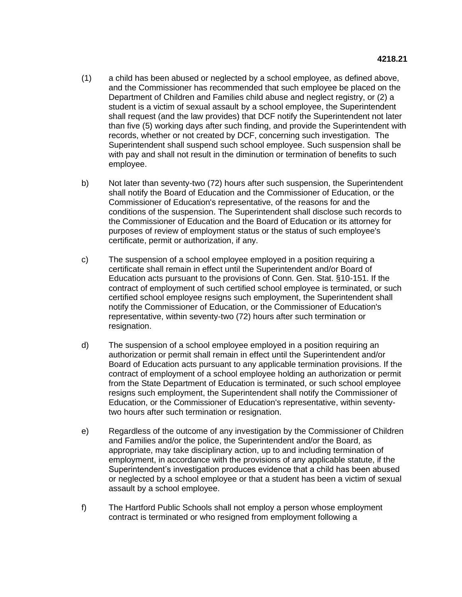- (1) a child has been abused or neglected by a school employee, as defined above, and the Commissioner has recommended that such employee be placed on the Department of Children and Families child abuse and neglect registry, or (2) a student is a victim of sexual assault by a school employee, the Superintendent shall request (and the law provides) that DCF notify the Superintendent not later than five (5) working days after such finding, and provide the Superintendent with records, whether or not created by DCF, concerning such investigation. The Superintendent shall suspend such school employee. Such suspension shall be with pay and shall not result in the diminution or termination of benefits to such employee.
- b) Not later than seventy-two (72) hours after such suspension, the Superintendent shall notify the Board of Education and the Commissioner of Education, or the Commissioner of Education's representative, of the reasons for and the conditions of the suspension. The Superintendent shall disclose such records to the Commissioner of Education and the Board of Education or its attorney for purposes of review of employment status or the status of such employee's certificate, permit or authorization, if any.
- c) The suspension of a school employee employed in a position requiring a certificate shall remain in effect until the Superintendent and/or Board of Education acts pursuant to the provisions of Conn. Gen. Stat. §10-151. If the contract of employment of such certified school employee is terminated, or such certified school employee resigns such employment, the Superintendent shall notify the Commissioner of Education, or the Commissioner of Education's representative, within seventy-two (72) hours after such termination or resignation.
- d) The suspension of a school employee employed in a position requiring an authorization or permit shall remain in effect until the Superintendent and/or Board of Education acts pursuant to any applicable termination provisions. If the contract of employment of a school employee holding an authorization or permit from the State Department of Education is terminated, or such school employee resigns such employment, the Superintendent shall notify the Commissioner of Education, or the Commissioner of Education's representative, within seventytwo hours after such termination or resignation.
- e) Regardless of the outcome of any investigation by the Commissioner of Children and Families and/or the police, the Superintendent and/or the Board, as appropriate, may take disciplinary action, up to and including termination of employment, in accordance with the provisions of any applicable statute, if the Superintendent's investigation produces evidence that a child has been abused or neglected by a school employee or that a student has been a victim of sexual assault by a school employee.
- f) The Hartford Public Schools shall not employ a person whose employment contract is terminated or who resigned from employment following a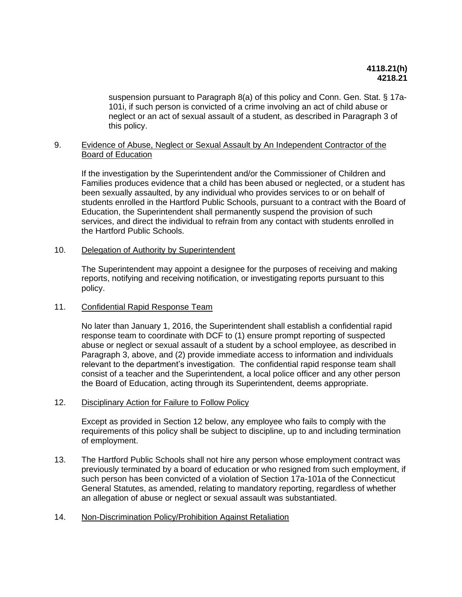suspension pursuant to Paragraph 8(a) of this policy and Conn. Gen. Stat. § 17a-101i, if such person is convicted of a crime involving an act of child abuse or neglect or an act of sexual assault of a student, as described in Paragraph 3 of this policy.

# 9. Evidence of Abuse, Neglect or Sexual Assault by An Independent Contractor of the Board of Education

If the investigation by the Superintendent and/or the Commissioner of Children and Families produces evidence that a child has been abused or neglected, or a student has been sexually assaulted, by any individual who provides services to or on behalf of students enrolled in the Hartford Public Schools, pursuant to a contract with the Board of Education, the Superintendent shall permanently suspend the provision of such services, and direct the individual to refrain from any contact with students enrolled in the Hartford Public Schools.

# 10. Delegation of Authority by Superintendent

The Superintendent may appoint a designee for the purposes of receiving and making reports, notifying and receiving notification, or investigating reports pursuant to this policy.

# 11. Confidential Rapid Response Team

No later than January 1, 2016, the Superintendent shall establish a confidential rapid response team to coordinate with DCF to (1) ensure prompt reporting of suspected abuse or neglect or sexual assault of a student by a school employee, as described in Paragraph 3, above, and (2) provide immediate access to information and individuals relevant to the department's investigation. The confidential rapid response team shall consist of a teacher and the Superintendent, a local police officer and any other person the Board of Education, acting through its Superintendent, deems appropriate.

# 12. Disciplinary Action for Failure to Follow Policy

Except as provided in Section 12 below, any employee who fails to comply with the requirements of this policy shall be subject to discipline, up to and including termination of employment.

13. The Hartford Public Schools shall not hire any person whose employment contract was previously terminated by a board of education or who resigned from such employment, if such person has been convicted of a violation of Section 17a-101a of the Connecticut General Statutes, as amended, relating to mandatory reporting, regardless of whether an allegation of abuse or neglect or sexual assault was substantiated.

# 14. Non-Discrimination Policy/Prohibition Against Retaliation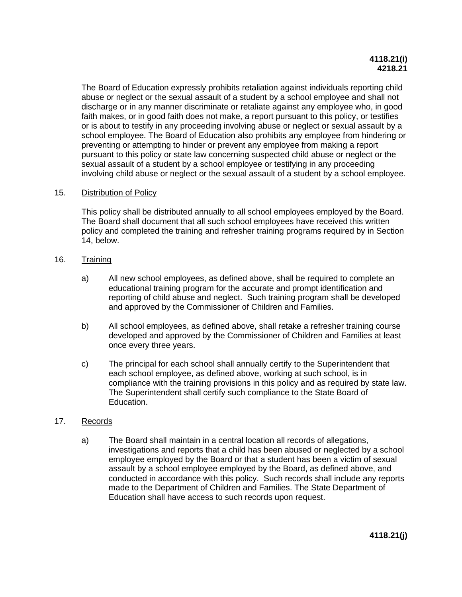The Board of Education expressly prohibits retaliation against individuals reporting child abuse or neglect or the sexual assault of a student by a school employee and shall not discharge or in any manner discriminate or retaliate against any employee who, in good faith makes, or in good faith does not make, a report pursuant to this policy, or testifies or is about to testify in any proceeding involving abuse or neglect or sexual assault by a school employee. The Board of Education also prohibits any employee from hindering or preventing or attempting to hinder or prevent any employee from making a report pursuant to this policy or state law concerning suspected child abuse or neglect or the sexual assault of a student by a school employee or testifying in any proceeding involving child abuse or neglect or the sexual assault of a student by a school employee.

# 15. Distribution of Policy

This policy shall be distributed annually to all school employees employed by the Board. The Board shall document that all such school employees have received this written policy and completed the training and refresher training programs required by in Section 14, below.

# 16. Training

- a) All new school employees, as defined above, shall be required to complete an educational training program for the accurate and prompt identification and reporting of child abuse and neglect. Such training program shall be developed and approved by the Commissioner of Children and Families.
- b) All school employees, as defined above, shall retake a refresher training course developed and approved by the Commissioner of Children and Families at least once every three years.
- c) The principal for each school shall annually certify to the Superintendent that each school employee, as defined above, working at such school, is in compliance with the training provisions in this policy and as required by state law. The Superintendent shall certify such compliance to the State Board of Education.

# 17. Records

a) The Board shall maintain in a central location all records of allegations, investigations and reports that a child has been abused or neglected by a school employee employed by the Board or that a student has been a victim of sexual assault by a school employee employed by the Board, as defined above, and conducted in accordance with this policy. Such records shall include any reports made to the Department of Children and Families. The State Department of Education shall have access to such records upon request.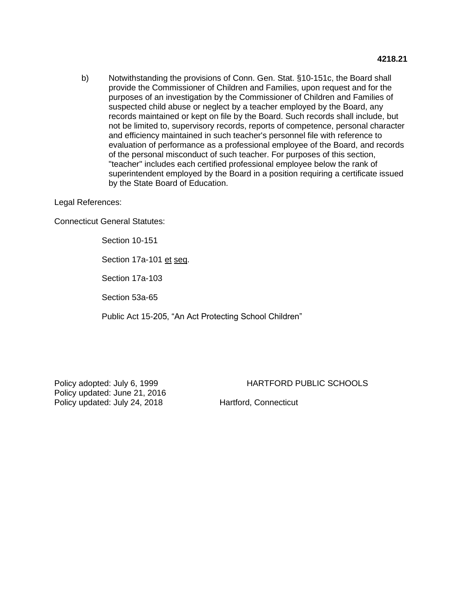b) Notwithstanding the provisions of Conn. Gen. Stat. §10-151c, the Board shall provide the Commissioner of Children and Families, upon request and for the purposes of an investigation by the Commissioner of Children and Families of suspected child abuse or neglect by a teacher employed by the Board, any records maintained or kept on file by the Board. Such records shall include, but not be limited to, supervisory records, reports of competence, personal character and efficiency maintained in such teacher's personnel file with reference to evaluation of performance as a professional employee of the Board, and records of the personal misconduct of such teacher. For purposes of this section, "teacher" includes each certified professional employee below the rank of superintendent employed by the Board in a position requiring a certificate issued by the State Board of Education.

### Legal References:

Connecticut General Statutes:

Section 10-151

Section 17a-101 et seq.

Section 17a-103

Section 53a-65

Public Act 15-205, "An Act Protecting School Children"

Policy updated: June 21, 2016 Policy updated: July 24, 2018 Hartford, Connecticut

Policy adopted: July 6, 1999 **HARTFORD PUBLIC SCHOOLS**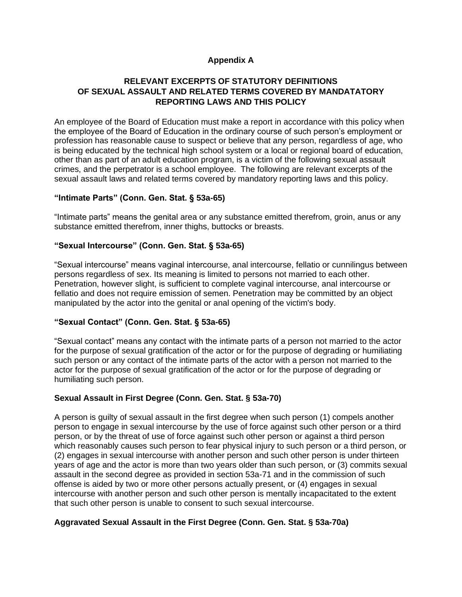# **Appendix A**

# **RELEVANT EXCERPTS OF STATUTORY DEFINITIONS OF SEXUAL ASSAULT AND RELATED TERMS COVERED BY MANDATATORY REPORTING LAWS AND THIS POLICY**

An employee of the Board of Education must make a report in accordance with this policy when the employee of the Board of Education in the ordinary course of such person's employment or profession has reasonable cause to suspect or believe that any person, regardless of age, who is being educated by the technical high school system or a local or regional board of education, other than as part of an adult education program, is a victim of the following sexual assault crimes, and the perpetrator is a school employee. The following are relevant excerpts of the sexual assault laws and related terms covered by mandatory reporting laws and this policy.

# **"Intimate Parts" (Conn. Gen. Stat. § 53a-65)**

"Intimate parts" means the genital area or any substance emitted therefrom, groin, anus or any substance emitted therefrom, inner thighs, buttocks or breasts.

# **"Sexual Intercourse" (Conn. Gen. Stat. § 53a-65)**

"Sexual intercourse" means vaginal intercourse, anal intercourse, fellatio or cunnilingus between persons regardless of sex. Its meaning is limited to persons not married to each other. Penetration, however slight, is sufficient to complete vaginal intercourse, anal intercourse or fellatio and does not require emission of semen. Penetration may be committed by an object manipulated by the actor into the genital or anal opening of the victim's body.

### **"Sexual Contact" (Conn. Gen. Stat. § 53a-65)**

"Sexual contact" means any contact with the intimate parts of a person not married to the actor for the purpose of sexual gratification of the actor or for the purpose of degrading or humiliating such person or any contact of the intimate parts of the actor with a person not married to the actor for the purpose of sexual gratification of the actor or for the purpose of degrading or humiliating such person.

# **Sexual Assault in First Degree (Conn. Gen. Stat. § 53a-70)**

A person is guilty of sexual assault in the first degree when such person (1) compels another person to engage in sexual intercourse by the use of force against such other person or a third person, or by the threat of use of force against such other person or against a third person which reasonably causes such person to fear physical injury to such person or a third person, or (2) engages in sexual intercourse with another person and such other person is under thirteen years of age and the actor is more than two years older than such person, or (3) commits sexual assault in the second degree as provided in section 53a-71 and in the commission of such offense is aided by two or more other persons actually present, or (4) engages in sexual intercourse with another person and such other person is mentally incapacitated to the extent that such other person is unable to consent to such sexual intercourse.

# **Aggravated Sexual Assault in the First Degree (Conn. Gen. Stat. § 53a-70a)**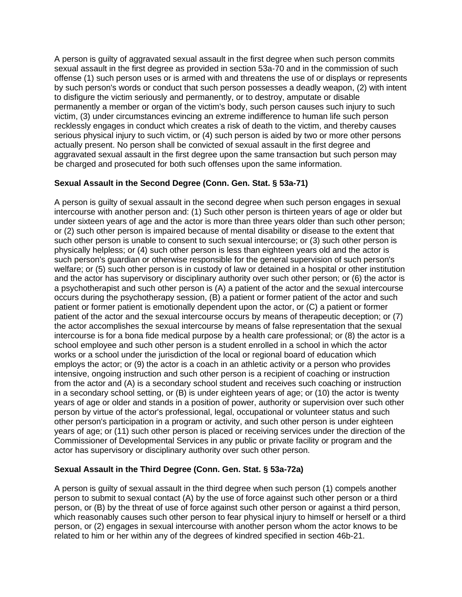A person is guilty of aggravated sexual assault in the first degree when such person commits sexual assault in the first degree as provided in section 53a-70 and in the commission of such offense (1) such person uses or is armed with and threatens the use of or displays or represents by such person's words or conduct that such person possesses a deadly weapon, (2) with intent to disfigure the victim seriously and permanently, or to destroy, amputate or disable permanently a member or organ of the victim's body, such person causes such injury to such victim, (3) under circumstances evincing an extreme indifference to human life such person recklessly engages in conduct which creates a risk of death to the victim, and thereby causes serious physical injury to such victim, or (4) such person is aided by two or more other persons actually present. No person shall be convicted of sexual assault in the first degree and aggravated sexual assault in the first degree upon the same transaction but such person may be charged and prosecuted for both such offenses upon the same information.

# **Sexual Assault in the Second Degree (Conn. Gen. Stat. § 53a-71)**

A person is guilty of sexual assault in the second degree when such person engages in sexual intercourse with another person and: (1) Such other person is thirteen years of age or older but under sixteen years of age and the actor is more than three years older than such other person; or (2) such other person is impaired because of mental disability or disease to the extent that such other person is unable to consent to such sexual intercourse; or (3) such other person is physically helpless; or (4) such other person is less than eighteen years old and the actor is such person's guardian or otherwise responsible for the general supervision of such person's welfare; or (5) such other person is in custody of law or detained in a hospital or other institution and the actor has supervisory or disciplinary authority over such other person; or (6) the actor is a psychotherapist and such other person is (A) a patient of the actor and the sexual intercourse occurs during the psychotherapy session, (B) a patient or former patient of the actor and such patient or former patient is emotionally dependent upon the actor, or (C) a patient or former patient of the actor and the sexual intercourse occurs by means of therapeutic deception; or (7) the actor accomplishes the sexual intercourse by means of false representation that the sexual intercourse is for a bona fide medical purpose by a health care professional; or (8) the actor is a school employee and such other person is a student enrolled in a school in which the actor works or a school under the jurisdiction of the local or regional board of education which employs the actor; or (9) the actor is a coach in an athletic activity or a person who provides intensive, ongoing instruction and such other person is a recipient of coaching or instruction from the actor and (A) is a secondary school student and receives such coaching or instruction in a secondary school setting, or (B) is under eighteen years of age; or (10) the actor is twenty years of age or older and stands in a position of power, authority or supervision over such other person by virtue of the actor's professional, legal, occupational or volunteer status and such other person's participation in a program or activity, and such other person is under eighteen years of age; or (11) such other person is placed or receiving services under the direction of the Commissioner of Developmental Services in any public or private facility or program and the actor has supervisory or disciplinary authority over such other person.

# **Sexual Assault in the Third Degree (Conn. Gen. Stat. § 53a-72a)**

A person is guilty of sexual assault in the third degree when such person (1) compels another person to submit to sexual contact (A) by the use of force against such other person or a third person, or (B) by the threat of use of force against such other person or against a third person, which reasonably causes such other person to fear physical injury to himself or herself or a third person, or (2) engages in sexual intercourse with another person whom the actor knows to be related to him or her within any of the degrees of kindred specified in section 46b-21.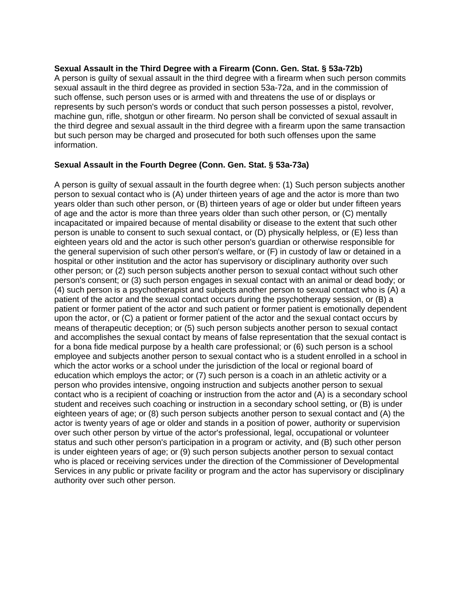# **Sexual Assault in the Third Degree with a Firearm (Conn. Gen. Stat. § 53a-72b)**

A person is guilty of sexual assault in the third degree with a firearm when such person commits sexual assault in the third degree as provided in section 53a-72a, and in the commission of such offense, such person uses or is armed with and threatens the use of or displays or represents by such person's words or conduct that such person possesses a pistol, revolver, machine gun, rifle, shotgun or other firearm. No person shall be convicted of sexual assault in the third degree and sexual assault in the third degree with a firearm upon the same transaction but such person may be charged and prosecuted for both such offenses upon the same information.

# **Sexual Assault in the Fourth Degree (Conn. Gen. Stat. § 53a-73a)**

A person is guilty of sexual assault in the fourth degree when: (1) Such person subjects another person to sexual contact who is (A) under thirteen years of age and the actor is more than two years older than such other person, or (B) thirteen years of age or older but under fifteen years of age and the actor is more than three years older than such other person, or (C) mentally incapacitated or impaired because of mental disability or disease to the extent that such other person is unable to consent to such sexual contact, or (D) physically helpless, or (E) less than eighteen years old and the actor is such other person's guardian or otherwise responsible for the general supervision of such other person's welfare, or (F) in custody of law or detained in a hospital or other institution and the actor has supervisory or disciplinary authority over such other person; or (2) such person subjects another person to sexual contact without such other person's consent; or (3) such person engages in sexual contact with an animal or dead body; or (4) such person is a psychotherapist and subjects another person to sexual contact who is (A) a patient of the actor and the sexual contact occurs during the psychotherapy session, or (B) a patient or former patient of the actor and such patient or former patient is emotionally dependent upon the actor, or (C) a patient or former patient of the actor and the sexual contact occurs by means of therapeutic deception; or (5) such person subjects another person to sexual contact and accomplishes the sexual contact by means of false representation that the sexual contact is for a bona fide medical purpose by a health care professional; or (6) such person is a school employee and subjects another person to sexual contact who is a student enrolled in a school in which the actor works or a school under the jurisdiction of the local or regional board of education which employs the actor; or (7) such person is a coach in an athletic activity or a person who provides intensive, ongoing instruction and subjects another person to sexual contact who is a recipient of coaching or instruction from the actor and (A) is a secondary school student and receives such coaching or instruction in a secondary school setting, or (B) is under eighteen years of age; or (8) such person subjects another person to sexual contact and (A) the actor is twenty years of age or older and stands in a position of power, authority or supervision over such other person by virtue of the actor's professional, legal, occupational or volunteer status and such other person's participation in a program or activity, and (B) such other person is under eighteen years of age; or (9) such person subjects another person to sexual contact who is placed or receiving services under the direction of the Commissioner of Developmental Services in any public or private facility or program and the actor has supervisory or disciplinary authority over such other person.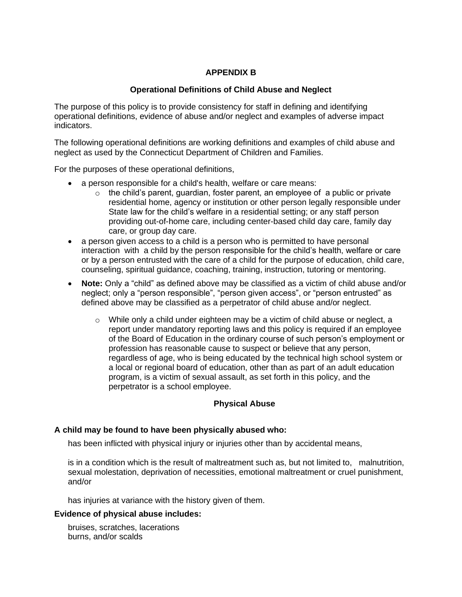# **APPENDIX B**

# **Operational Definitions of Child Abuse and Neglect**

The purpose of this policy is to provide consistency for staff in defining and identifying operational definitions, evidence of abuse and/or neglect and examples of adverse impact indicators.

The following operational definitions are working definitions and examples of child abuse and neglect as used by the Connecticut Department of Children and Families.

For the purposes of these operational definitions,

- a person responsible for a child's health, welfare or care means:
	- $\circ$  the child's parent, guardian, foster parent, an employee of a public or private residential home, agency or institution or other person legally responsible under State law for the child's welfare in a residential setting; or any staff person providing out-of-home care, including center-based child day care, family day care, or group day care.
- a person given access to a child is a person who is permitted to have personal interaction with a child by the person responsible for the child's health, welfare or care or by a person entrusted with the care of a child for the purpose of education, child care, counseling, spiritual guidance, coaching, training, instruction, tutoring or mentoring.
- **Note:** Only a "child" as defined above may be classified as a victim of child abuse and/or neglect; only a "person responsible", "person given access", or "person entrusted" as defined above may be classified as a perpetrator of child abuse and/or neglect.
	- $\circ$  While only a child under eighteen may be a victim of child abuse or neglect, a report under mandatory reporting laws and this policy is required if an employee of the Board of Education in the ordinary course of such person's employment or profession has reasonable cause to suspect or believe that any person, regardless of age, who is being educated by the technical high school system or a local or regional board of education, other than as part of an adult education program, is a victim of sexual assault, as set forth in this policy, and the perpetrator is a school employee.

# **Physical Abuse**

### **A child may be found to have been physically abused who:**

has been inflicted with physical injury or injuries other than by accidental means,

is in a condition which is the result of maltreatment such as, but not limited to, malnutrition, sexual molestation, deprivation of necessities, emotional maltreatment or cruel punishment, and/or

has injuries at variance with the history given of them.

# **Evidence of physical abuse includes:**

bruises, scratches, lacerations burns, and/or scalds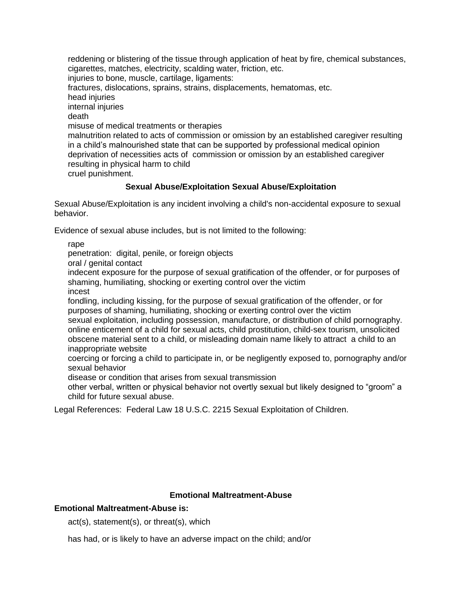reddening or blistering of the tissue through application of heat by fire, chemical substances, cigarettes, matches, electricity, scalding water, friction, etc. injuries to bone, muscle, cartilage, ligaments: fractures, dislocations, sprains, strains, displacements, hematomas, etc. head injuries internal injuries death misuse of medical treatments or therapies malnutrition related to acts of commission or omission by an established caregiver resulting in a child's malnourished state that can be supported by professional medical opinion deprivation of necessities acts of commission or omission by an established caregiver resulting in physical harm to child cruel punishment.

# **Sexual Abuse/Exploitation Sexual Abuse/Exploitation**

Sexual Abuse/Exploitation is any incident involving a child's non-accidental exposure to sexual behavior.

Evidence of sexual abuse includes, but is not limited to the following:

rape

penetration: digital, penile, or foreign objects

oral / genital contact

indecent exposure for the purpose of sexual gratification of the offender, or for purposes of shaming, humiliating, shocking or exerting control over the victim

incest

fondling, including kissing, for the purpose of sexual gratification of the offender, or for purposes of shaming, humiliating, shocking or exerting control over the victim

sexual exploitation, including possession, manufacture, or distribution of child pornography. online enticement of a child for sexual acts, child prostitution, child-sex tourism, unsolicited obscene material sent to a child, or misleading domain name likely to attract a child to an inappropriate website

coercing or forcing a child to participate in, or be negligently exposed to, pornography and/or sexual behavior

disease or condition that arises from sexual transmission

other verbal, written or physical behavior not overtly sexual but likely designed to "groom" a child for future sexual abuse.

Legal References: Federal Law 18 U.S.C. 2215 Sexual Exploitation of Children.

# **Emotional Maltreatment-Abuse**

# **Emotional Maltreatment-Abuse is:**

act(s), statement(s), or threat(s), which

has had, or is likely to have an adverse impact on the child; and/or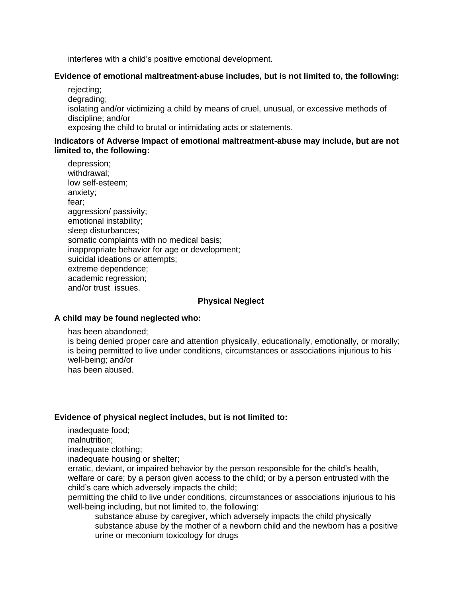interferes with a child's positive emotional development.

## **Evidence of emotional maltreatment-abuse includes, but is not limited to, the following:**

rejecting; degrading; isolating and/or victimizing a child by means of cruel, unusual, or excessive methods of discipline; and/or exposing the child to brutal or intimidating acts or statements.

### **Indicators of Adverse Impact of emotional maltreatment-abuse may include, but are not limited to, the following:**

depression; withdrawal; low self-esteem; anxiety; fear; aggression/ passivity; emotional instability; sleep disturbances; somatic complaints with no medical basis; inappropriate behavior for age or development; suicidal ideations or attempts; extreme dependence; academic regression; and/or trust issues.

## **Physical Neglect**

#### **A child may be found neglected who:**

has been abandoned;

is being denied proper care and attention physically, educationally, emotionally, or morally; is being permitted to live under conditions, circumstances or associations injurious to his well-being; and/or has been abused.

#### **Evidence of physical neglect includes, but is not limited to:**

inadequate food;

malnutrition;

inadequate clothing;

inadequate housing or shelter;

erratic, deviant, or impaired behavior by the person responsible for the child's health, welfare or care; by a person given access to the child; or by a person entrusted with the child's care which adversely impacts the child;

permitting the child to live under conditions, circumstances or associations injurious to his well-being including, but not limited to, the following:

substance abuse by caregiver, which adversely impacts the child physically substance abuse by the mother of a newborn child and the newborn has a positive urine or meconium toxicology for drugs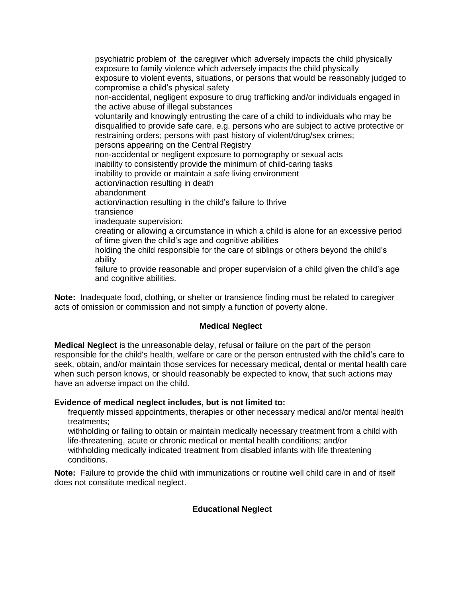psychiatric problem of the caregiver which adversely impacts the child physically exposure to family violence which adversely impacts the child physically exposure to violent events, situations, or persons that would be reasonably judged to compromise a child's physical safety non-accidental, negligent exposure to drug trafficking and/or individuals engaged in the active abuse of illegal substances voluntarily and knowingly entrusting the care of a child to individuals who may be disqualified to provide safe care, e.g. persons who are subject to active protective or restraining orders; persons with past history of violent/drug/sex crimes; persons appearing on the Central Registry non-accidental or negligent exposure to pornography or sexual acts inability to consistently provide the minimum of child-caring tasks inability to provide or maintain a safe living environment action/inaction resulting in death abandonment action/inaction resulting in the child's failure to thrive transience inadequate supervision: creating or allowing a circumstance in which a child is alone for an excessive period of time given the child's age and cognitive abilities holding the child responsible for the care of siblings or others beyond the child's ability failure to provide reasonable and proper supervision of a child given the child's age

and cognitive abilities.

**Note:** Inadequate food, clothing, or shelter or transience finding must be related to caregiver acts of omission or commission and not simply a function of poverty alone.

#### **Medical Neglect**

**Medical Neglect** is the unreasonable delay, refusal or failure on the part of the person responsible for the child's health, welfare or care or the person entrusted with the child's care to seek, obtain, and/or maintain those services for necessary medical, dental or mental health care when such person knows, or should reasonably be expected to know, that such actions may have an adverse impact on the child.

#### **Evidence of medical neglect includes, but is not limited to:**

frequently missed appointments, therapies or other necessary medical and/or mental health treatments;

withholding or failing to obtain or maintain medically necessary treatment from a child with life-threatening, acute or chronic medical or mental health conditions; and/or withholding medically indicated treatment from disabled infants with life threatening conditions.

**Note:** Failure to provide the child with immunizations or routine well child care in and of itself does not constitute medical neglect.

# **Educational Neglect**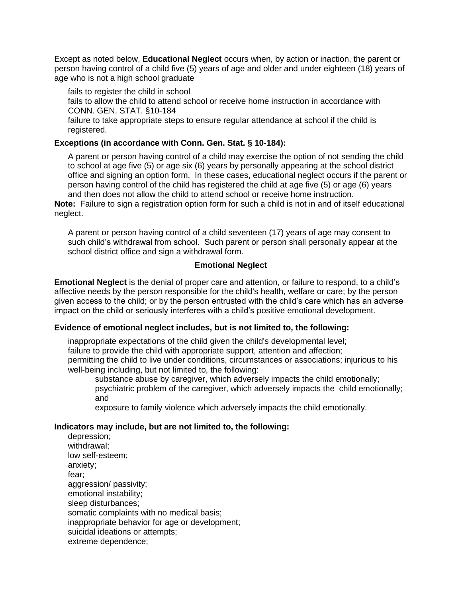Except as noted below, **Educational Neglect** occurs when, by action or inaction, the parent or person having control of a child five (5) years of age and older and under eighteen (18) years of age who is not a high school graduate

fails to register the child in school

fails to allow the child to attend school or receive home instruction in accordance with CONN. GEN. STAT. §10-184

failure to take appropriate steps to ensure regular attendance at school if the child is registered.

## **Exceptions (in accordance with Conn. Gen. Stat. § 10-184):**

A parent or person having control of a child may exercise the option of not sending the child to school at age five (5) or age six (6) years by personally appearing at the school district office and signing an option form. In these cases, educational neglect occurs if the parent or person having control of the child has registered the child at age five (5) or age (6) years and then does not allow the child to attend school or receive home instruction.

**Note:** Failure to sign a registration option form for such a child is not in and of itself educational neglect.

A parent or person having control of a child seventeen (17) years of age may consent to such child's withdrawal from school. Such parent or person shall personally appear at the school district office and sign a withdrawal form.

### **Emotional Neglect**

**Emotional Neglect** is the denial of proper care and attention, or failure to respond, to a child's affective needs by the person responsible for the child's health, welfare or care; by the person given access to the child; or by the person entrusted with the child's care which has an adverse impact on the child or seriously interferes with a child's positive emotional development.

#### **Evidence of emotional neglect includes, but is not limited to, the following:**

inappropriate expectations of the child given the child's developmental level; failure to provide the child with appropriate support, attention and affection; permitting the child to live under conditions, circumstances or associations; injurious to his well-being including, but not limited to, the following:

substance abuse by caregiver, which adversely impacts the child emotionally; psychiatric problem of the caregiver, which adversely impacts the child emotionally; and

exposure to family violence which adversely impacts the child emotionally.

# **Indicators may include, but are not limited to, the following:**

depression; withdrawal; low self-esteem; anxiety; fear; aggression/ passivity; emotional instability; sleep disturbances; somatic complaints with no medical basis; inappropriate behavior for age or development; suicidal ideations or attempts; extreme dependence;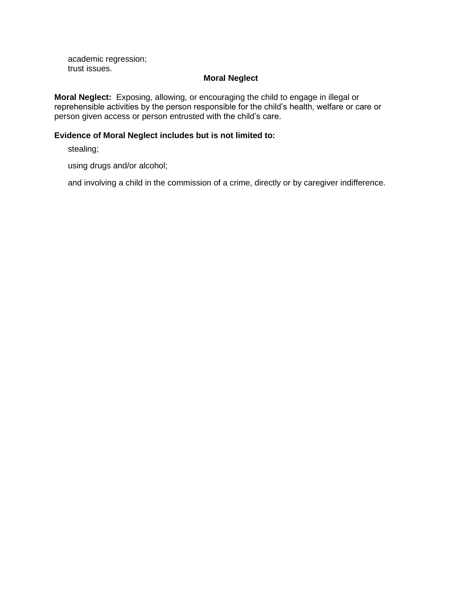academic regression; trust issues.

#### **Moral Neglect**

**Moral Neglect:** Exposing, allowing, or encouraging the child to engage in illegal or reprehensible activities by the person responsible for the child's health, welfare or care or person given access or person entrusted with the child's care.

# **Evidence of Moral Neglect includes but is not limited to:**

stealing;

using drugs and/or alcohol;

and involving a child in the commission of a crime, directly or by caregiver indifference.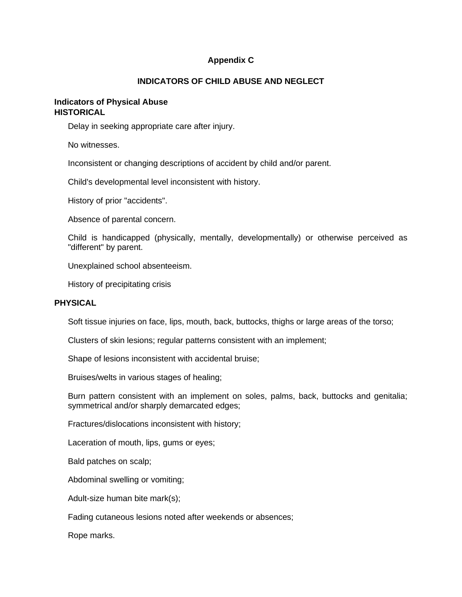# **Appendix C**

### **INDICATORS OF CHILD ABUSE AND NEGLECT**

### **Indicators of Physical Abuse HISTORICAL**

Delay in seeking appropriate care after injury.

No witnesses.

Inconsistent or changing descriptions of accident by child and/or parent.

Child's developmental level inconsistent with history.

History of prior "accidents".

Absence of parental concern.

Child is handicapped (physically, mentally, developmentally) or otherwise perceived as "different" by parent.

Unexplained school absenteeism.

History of precipitating crisis

#### **PHYSICAL**

Soft tissue injuries on face, lips, mouth, back, buttocks, thighs or large areas of the torso;

Clusters of skin lesions; regular patterns consistent with an implement;

Shape of lesions inconsistent with accidental bruise;

Bruises/welts in various stages of healing;

Burn pattern consistent with an implement on soles, palms, back, buttocks and genitalia; symmetrical and/or sharply demarcated edges;

Fractures/dislocations inconsistent with history;

Laceration of mouth, lips, gums or eyes;

Bald patches on scalp;

Abdominal swelling or vomiting;

Adult-size human bite mark(s);

Fading cutaneous lesions noted after weekends or absences;

Rope marks.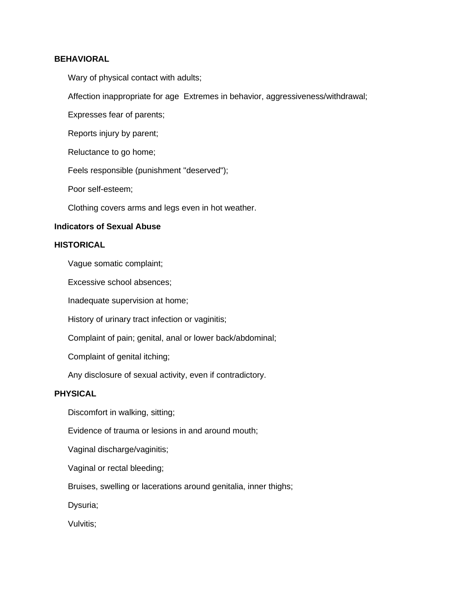## **BEHAVIORAL**

Wary of physical contact with adults;

Affection inappropriate for age Extremes in behavior, aggressiveness/withdrawal;

Expresses fear of parents;

Reports injury by parent;

Reluctance to go home;

Feels responsible (punishment "deserved");

Poor self-esteem;

Clothing covers arms and legs even in hot weather.

# **Indicators of Sexual Abuse**

# **HISTORICAL**

Vague somatic complaint;

Excessive school absences;

Inadequate supervision at home;

History of urinary tract infection or vaginitis;

Complaint of pain; genital, anal or lower back/abdominal;

Complaint of genital itching;

Any disclosure of sexual activity, even if contradictory.

## **PHYSICAL**

Discomfort in walking, sitting;

Evidence of trauma or lesions in and around mouth;

Vaginal discharge/vaginitis;

Vaginal or rectal bleeding;

Bruises, swelling or lacerations around genitalia, inner thighs;

Dysuria;

Vulvitis;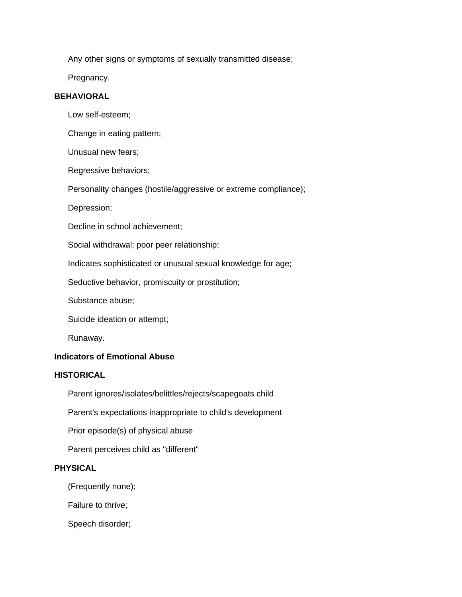Any other signs or symptoms of sexually transmitted disease;

Pregnancy.

# **BEHAVIORAL**

Low self-esteem;

Change in eating pattern;

Unusual new fears;

Regressive behaviors;

Personality changes (hostile/aggressive or extreme compliance);

Depression;

Decline in school achievement;

Social withdrawal; poor peer relationship;

Indicates sophisticated or unusual sexual knowledge for age;

Seductive behavior, promiscuity or prostitution;

Substance abuse;

Suicide ideation or attempt;

Runaway.

# **Indicators of Emotional Abuse**

# **HISTORICAL**

Parent ignores/isolates/belittles/rejects/scapegoats child

Parent's expectations inappropriate to child's development

Prior episode(s) of physical abuse

Parent perceives child as "different"

### **PHYSICAL**

(Frequently none);

Failure to thrive;

Speech disorder;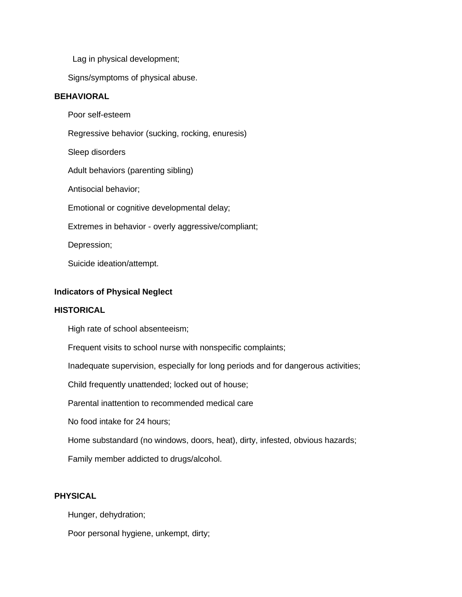Lag in physical development;

Signs/symptoms of physical abuse.

# **BEHAVIORAL**

Poor self-esteem Regressive behavior (sucking, rocking, enuresis) Sleep disorders Adult behaviors (parenting sibling) Antisocial behavior; Emotional or cognitive developmental delay; Extremes in behavior - overly aggressive/compliant; Depression;

Suicide ideation/attempt.

## **Indicators of Physical Neglect**

#### **HISTORICAL**

High rate of school absenteeism;

Frequent visits to school nurse with nonspecific complaints;

Inadequate supervision, especially for long periods and for dangerous activities;

Child frequently unattended; locked out of house;

Parental inattention to recommended medical care

No food intake for 24 hours;

Home substandard (no windows, doors, heat), dirty, infested, obvious hazards;

Family member addicted to drugs/alcohol.

### **PHYSICAL**

Hunger, dehydration;

Poor personal hygiene, unkempt, dirty;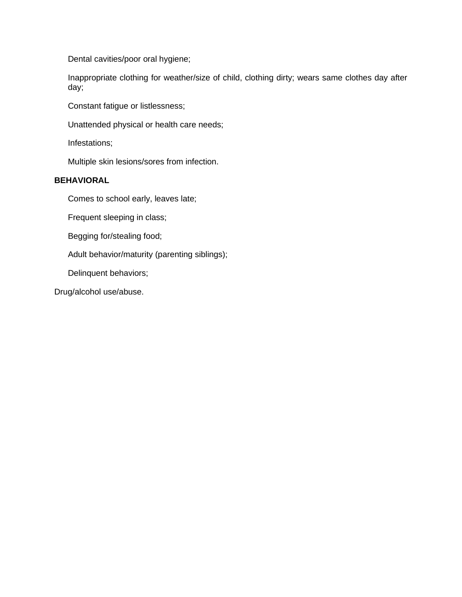Dental cavities/poor oral hygiene;

Inappropriate clothing for weather/size of child, clothing dirty; wears same clothes day after day;

Constant fatigue or listlessness;

Unattended physical or health care needs;

Infestations;

Multiple skin lesions/sores from infection.

## **BEHAVIORAL**

Comes to school early, leaves late;

Frequent sleeping in class;

Begging for/stealing food;

Adult behavior/maturity (parenting siblings);

Delinquent behaviors;

Drug/alcohol use/abuse.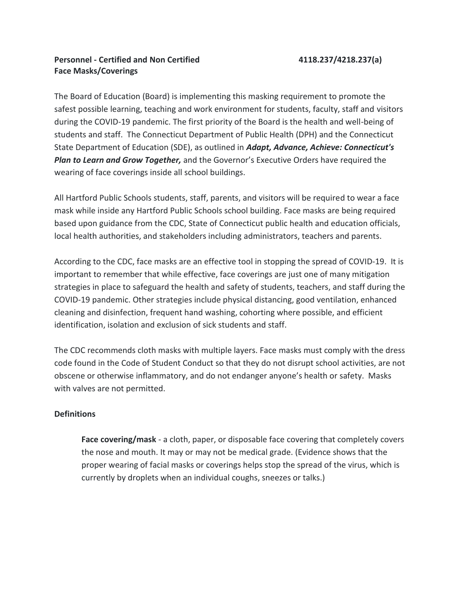# **Personnel - Certified and Non Certified 4118.237/4218.237(a) Face Masks/Coverings**

The Board of Education (Board) is implementing this masking requirement to promote the safest possible learning, teaching and work environment for students, faculty, staff and visitors during the COVID-19 pandemic. The first priority of the Board is the health and well-being of students and staff. The Connecticut Department of Public Health (DPH) and the Connecticut State Department of Education (SDE), as outlined in *Adapt, Advance, Achieve: Connecticut's Plan to Learn and Grow Together,* and the Governor's Executive Orders have required the wearing of face coverings inside all school buildings. 

All Hartford Public Schools students, staff, parents, and visitors will be required to wear a face mask while inside any Hartford Public Schools school building. Face masks are being required based upon guidance from the CDC, State of Connecticut public health and education officials, local health authorities, and stakeholders including administrators, teachers and parents.

According to the CDC, face masks are an effective tool in stopping the spread of COVID‐19. It is important to remember that while effective, face coverings are just one of many mitigation strategies in place to safeguard the health and safety of students, teachers, and staff during the COVID-19 pandemic. Other strategies include physical distancing, good ventilation, enhanced cleaning and disinfection, frequent hand washing, cohorting where possible, and efficient identification, isolation and exclusion of sick students and staff.

The CDC recommends cloth masks with multiple layers. Face masks must comply with the dress code found in the Code of Student Conduct so that they do not disrupt school activities, are not obscene or otherwise inflammatory, and do not endanger anyone's health or safety. Masks with valves are not permitted.

# **Definitions**

**Face covering/mask** - a cloth, paper, or disposable face covering that completely covers the nose and mouth. It may or may not be medical grade. (Evidence shows that the proper wearing of facial masks or coverings helps stop the spread of the virus, which is currently by droplets when an individual coughs, sneezes or talks.)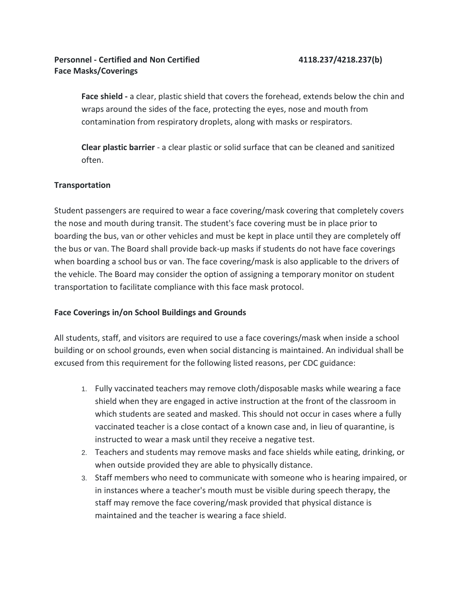**Face shield -** a clear, plastic shield that covers the forehead, extends below the chin and wraps around the sides of the face, protecting the eyes, nose and mouth from contamination from respiratory droplets, along with masks or respirators.

**Clear plastic barrier** - a clear plastic or solid surface that can be cleaned and sanitized often.

# **Transportation**

Student passengers are required to wear a face covering/mask covering that completely covers the nose and mouth during transit. The student's face covering must be in place prior to boarding the bus, van or other vehicles and must be kept in place until they are completely off the bus or van. The Board shall provide back-up masks if students do not have face coverings when boarding a school bus or van. The face covering/mask is also applicable to the drivers of the vehicle. The Board may consider the option of assigning a temporary monitor on student transportation to facilitate compliance with this face mask protocol.

# **Face Coverings in/on School Buildings and Grounds**

All students, staff, and visitors are required to use a face coverings/mask when inside a school building or on school grounds, even when social distancing is maintained. An individual shall be excused from this requirement for the following listed reasons, per CDC guidance:

- 1. Fully vaccinated teachers may remove cloth/disposable masks while wearing a face shield when they are engaged in active instruction at the front of the classroom in which students are seated and masked. This should not occur in cases where a fully vaccinated teacher is a close contact of a known case and, in lieu of quarantine, is instructed to wear a mask until they receive a negative test.
- 2. Teachers and students may remove masks and face shields while eating, drinking, or when outside provided they are able to physically distance.
- 3. Staff members who need to communicate with someone who is hearing impaired, or in instances where a teacher's mouth must be visible during speech therapy, the staff may remove the face covering/mask provided that physical distance is maintained and the teacher is wearing a face shield.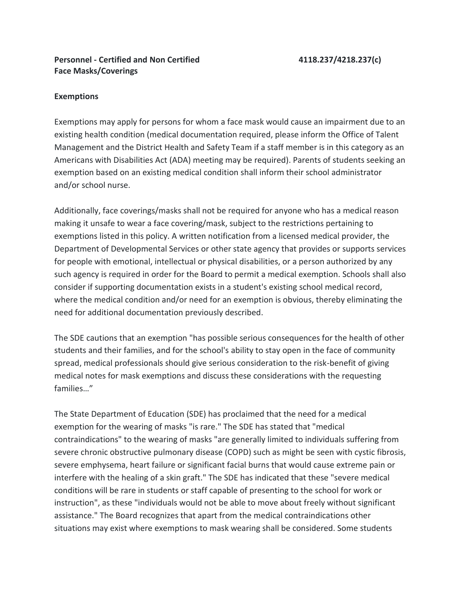# **Personnel - Certified and Non Certified 4118.237/4218.237(c) Face Masks/Coverings**

# **Exemptions**

Exemptions may apply for persons for whom a face mask would cause an impairment due to an existing health condition (medical documentation required, please inform the Office of Talent Management and the District Health and Safety Team if a staff member is in this category as an Americans with Disabilities Act (ADA) meeting may be required). Parents of students seeking an exemption based on an existing medical condition shall inform their school administrator and/or school nurse.

Additionally, face coverings/masks shall not be required for anyone who has a medical reason making it unsafe to wear a face covering/mask, subject to the restrictions pertaining to exemptions listed in this policy. A written notification from a licensed medical provider, the Department of Developmental Services or other state agency that provides or supports services for people with emotional, intellectual or physical disabilities, or a person authorized by any such agency is required in order for the Board to permit a medical exemption. Schools shall also consider if supporting documentation exists in a student's existing school medical record, where the medical condition and/or need for an exemption is obvious, thereby eliminating the need for additional documentation previously described.

The SDE cautions that an exemption "has possible serious consequences for the health of other students and their families, and for the school's ability to stay open in the face of community spread, medical professionals should give serious consideration to the risk-benefit of giving medical notes for mask exemptions and discuss these considerations with the requesting families…"

The State Department of Education (SDE) has proclaimed that the need for a medical exemption for the wearing of masks "is rare." The SDE has stated that "medical contraindications" to the wearing of masks "are generally limited to individuals suffering from severe chronic obstructive pulmonary disease (COPD) such as might be seen with cystic fibrosis, severe emphysema, heart failure or significant facial burns that would cause extreme pain or interfere with the healing of a skin graft." The SDE has indicated that these "severe medical conditions will be rare in students or staff capable of presenting to the school for work or instruction", as these "individuals would not be able to move about freely without significant assistance." The Board recognizes that apart from the medical contraindications other situations may exist where exemptions to mask wearing shall be considered. Some students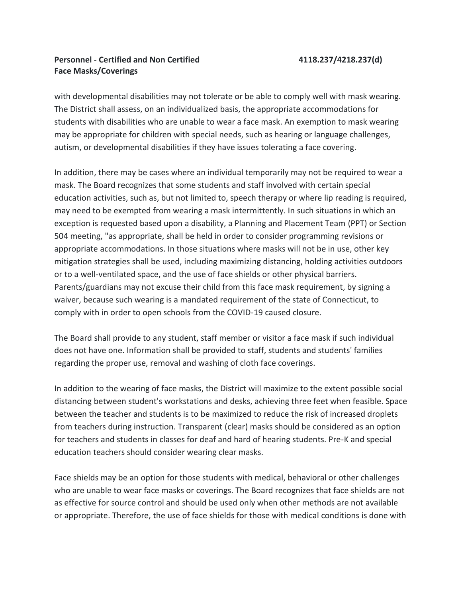# **Personnel - Certified and Non Certified 4118.237/4218.237(d) Face Masks/Coverings**

with developmental disabilities may not tolerate or be able to comply well with mask wearing. The District shall assess, on an individualized basis, the appropriate accommodations for students with disabilities who are unable to wear a face mask. An exemption to mask wearing may be appropriate for children with special needs, such as hearing or language challenges, autism, or developmental disabilities if they have issues tolerating a face covering.

In addition, there may be cases where an individual temporarily may not be required to wear a mask. The Board recognizes that some students and staff involved with certain special education activities, such as, but not limited to, speech therapy or where lip reading is required, may need to be exempted from wearing a mask intermittently. In such situations in which an exception is requested based upon a disability, a Planning and Placement Team (PPT) or Section 504 meeting, "as appropriate, shall be held in order to consider programming revisions or appropriate accommodations. In those situations where masks will not be in use, other key mitigation strategies shall be used, including maximizing distancing, holding activities outdoors or to a well-ventilated space, and the use of face shields or other physical barriers. Parents/guardians may not excuse their child from this face mask requirement, by signing a waiver, because such wearing is a mandated requirement of the state of Connecticut, to comply with in order to open schools from the COVID-19 caused closure.

The Board shall provide to any student, staff member or visitor a face mask if such individual does not have one. Information shall be provided to staff, students and students' families regarding the proper use, removal and washing of cloth face coverings.

In addition to the wearing of face masks, the District will maximize to the extent possible social distancing between student's workstations and desks, achieving three feet when feasible. Space between the teacher and students is to be maximized to reduce the risk of increased droplets from teachers during instruction. Transparent (clear) masks should be considered as an option for teachers and students in classes for deaf and hard of hearing students. Pre-K and special education teachers should consider wearing clear masks.

Face shields may be an option for those students with medical, behavioral or other challenges who are unable to wear face masks or coverings. The Board recognizes that face shields are not as effective for source control and should be used only when other methods are not available or appropriate. Therefore, the use of face shields for those with medical conditions is done with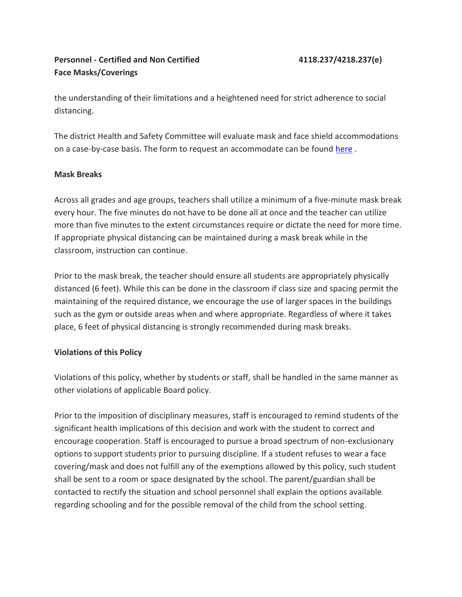# **Personnel - Certified and Non Certified 4118.237/4218.237(e) Face Masks/Coverings**

the understanding of their limitations and a heightened need for strict adherence to social distancing.

The district Health and Safety Committee will evaluate mask and face shield accommodations on a case-by-case basis. The form to request an accommodate can be found [here](https://www.hartfordschools.org/returntolearn-2/).

# **Mask Breaks**

Across all grades and age groups, teachers shall utilize a minimum of a five-minute mask break every hour. The five minutes do not have to be done all at once and the teacher can utilize more than five minutes to the extent circumstances require or dictate the need for more time. If appropriate physical distancing can be maintained during a mask break while in the classroom, instruction can continue.

Prior to the mask break, the teacher should ensure all students are appropriately physically distanced (6 feet). While this can be done in the classroom if class size and spacing permit the maintaining of the required distance, we encourage the use of larger spaces in the buildings such as the gym or outside areas when and where appropriate. Regardless of where it takes place, 6 feet of physical distancing is strongly recommended during mask breaks.

# **Violations of this Policy**

Violations of this policy, whether by students or staff, shall be handled in the same manner as other violations of applicable Board policy.

Prior to the imposition of disciplinary measures, staff is encouraged to remind students of the significant health implications of this decision and work with the student to correct and encourage cooperation. Staff is encouraged to pursue a broad spectrum of non-exclusionary options to support students prior to pursuing discipline. If a student refuses to wear a face covering/mask and does not fulfill any of the exemptions allowed by this policy, such student shall be sent to a room or space designated by the school. The parent/guardian shall be contacted to rectify the situation and school personnel shall explain the options available regarding schooling and for the possible removal of the child from the school setting.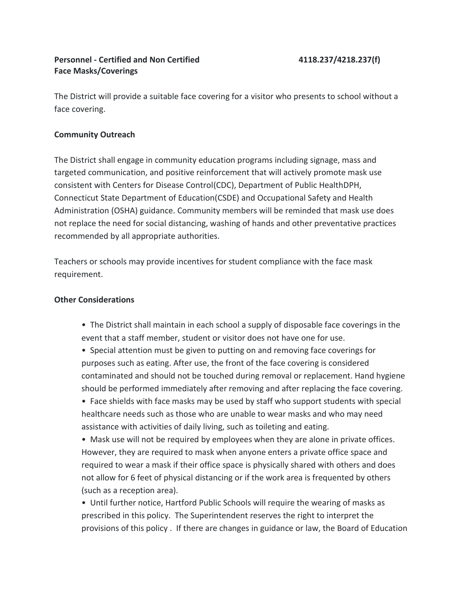# **Personnel - Certified and Non Certified 4118.237/4218.237(f) Face Masks/Coverings**

The District will provide a suitable face covering for a visitor who presents to school without a face covering.

# **Community Outreach**

The District shall engage in community education programs including signage, mass and targeted communication, and positive reinforcement that will actively promote mask use consistent with Centers for Disease Control(CDC), Department of Public HealthDPH, Connecticut State Department of Education(CSDE) and Occupational Safety and Health Administration (OSHA) guidance. Community members will be reminded that mask use does not replace the need for social distancing, washing of hands and other preventative practices recommended by all appropriate authorities.

Teachers or schools may provide incentives for student compliance with the face mask requirement.

# **Other Considerations**

- •  The District shall maintain in each school a supply of disposable face coverings in the event that a staff member, student or visitor does not have one for use.
- •  Special attention must be given to putting on and removing face coverings for purposes such as eating. After use, the front of the face covering is considered contaminated and should not be touched during removal or replacement. Hand hygiene should be performed immediately after removing and after replacing the face covering.

•  Face shields with face masks may be used by staff who support students with special healthcare needs such as those who are unable to wear masks and who may need assistance with activities of daily living, such as toileting and eating.

•  Mask use will not be required by employees when they are alone in private offices. However, they are required to mask when anyone enters a private office space and required to wear a mask if their office space is physically shared with others and does not allow for 6 feet of physical distancing or if the work area is frequented by others (such as a reception area).

•  Until further notice, Hartford Public Schools will require the wearing of masks as prescribed in this policy.  The Superintendent reserves the right to interpret the provisions of this policy . If there are changes in guidance or law, the Board of Education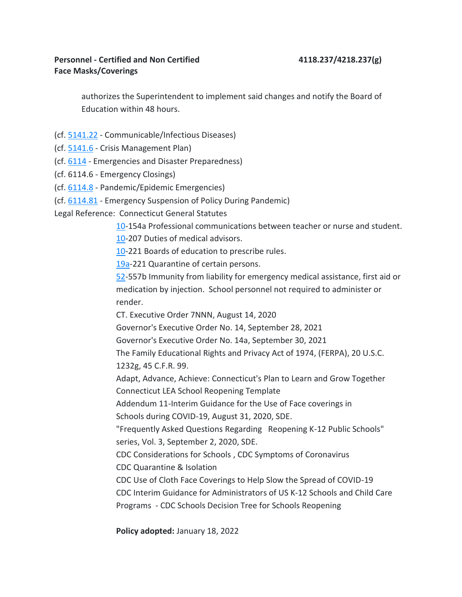authorizes the Superintendent to implement said changes and notify the Board of Education within 48 hours.

- (cf. [5141.22](https://z2policy.cabe.org/cabe/) Communicable/Infectious Diseases)
- (cf. [5141.6](https://z2policy.cabe.org/cabe/) Crisis Management Plan)
- (cf. [6114](https://z2policy.cabe.org/cabe/) Emergencies and Disaster Preparedness)
- (cf. 6114.6 Emergency Closings)
- (cf. [6114.8](https://z2policy.cabe.org/cabe/) Pandemic/Epidemic Emergencies)
- (cf. [6114.81](https://z2policy.cabe.org/cabe/) Emergency Suspension of Policy During Pandemic)

Legal Reference:  Connecticut General Statutes

[10-](https://www.cga.ct.gov/current/pub/Title_10.htm)154a Professional communications between teacher or nurse and student.

[10-](https://www.cga.ct.gov/current/pub/Title_10.htm)207 Duties of medical advisors.

[10-](https://www.cga.ct.gov/current/pub/Title_10.htm)221 Boards of education to prescribe rules.

[19a-](https://www.cga.ct.gov/current/pub/Title_19a.htm)221 Quarantine of certain persons.

[52-](https://www.cga.ct.gov/current/pub/Title_52.htm)557b Immunity from liability for emergency medical assistance, first aid or medication by injection.  School personnel not required to administer or render.

CT. Executive Order 7NNN, August 14, 2020

Governor's Executive Order No. 14, September 28, 2021

Governor's Executive Order No. 14a, September 30, 2021

The Family Educational Rights and Privacy Act of 1974, (FERPA), 20 U.S.C. 1232g, 45 C.F.R. 99.

Adapt, Advance, Achieve: Connecticut's Plan to Learn and Grow Together Connecticut LEA School Reopening Template

Addendum 11-Interim Guidance for the Use of Face coverings in

Schools during COVID-19, August 31, 2020, SDE.

"Frequently Asked Questions Regarding   Reopening K-12 Public Schools" series, Vol. 3, September 2, 2020, SDE.

CDC Considerations for Schools , CDC Symptoms of Coronavirus 

CDC Quarantine & Isolation

CDC Use of Cloth Face Coverings to Help Slow the Spread of COVID-19

CDC Interim Guidance for Administrators of US K-12 Schools and Child Care

Programs - CDC Schools Decision Tree for Schools Reopening

**Policy adopted:** January 18, 2022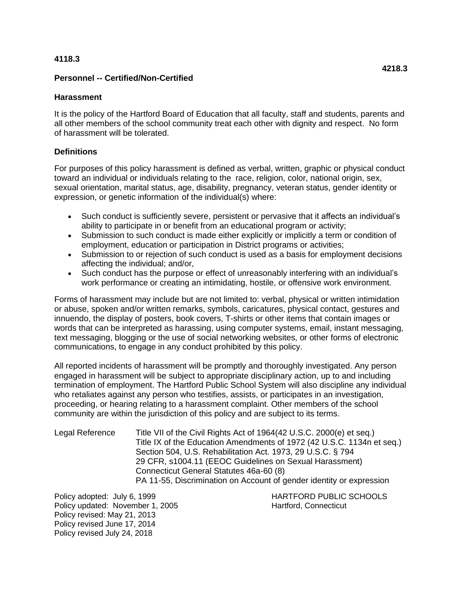### **4118.3**

## **Personnel -- Certified/Non-Certified**

### **Harassment**

It is the policy of the Hartford Board of Education that all faculty, staff and students, parents and all other members of the school community treat each other with dignity and respect. No form of harassment will be tolerated.

# **Definitions**

For purposes of this policy harassment is defined as verbal, written, graphic or physical conduct toward an individual or individuals relating to the race, religion, color, national origin, sex, sexual orientation, marital status, age, disability, pregnancy, veteran status, gender identity or expression, or genetic information of the individual(s) where:

- Such conduct is sufficiently severe, persistent or pervasive that it affects an individual's ability to participate in or benefit from an educational program or activity;
- Submission to such conduct is made either explicitly or implicitly a term or condition of employment, education or participation in District programs or activities;
- Submission to or rejection of such conduct is used as a basis for employment decisions affecting the individual; and/or,
- Such conduct has the purpose or effect of unreasonably interfering with an individual's work performance or creating an intimidating, hostile, or offensive work environment.

Forms of harassment may include but are not limited to: verbal, physical or written intimidation or abuse, spoken and/or written remarks, symbols, caricatures, physical contact, gestures and innuendo, the display of posters, book covers, T-shirts or other items that contain images or words that can be interpreted as harassing, using computer systems, email, instant messaging, text messaging, blogging or the use of social networking websites, or other forms of electronic communications, to engage in any conduct prohibited by this policy.

All reported incidents of harassment will be promptly and thoroughly investigated. Any person engaged in harassment will be subject to appropriate disciplinary action, up to and including termination of employment. The Hartford Public School System will also discipline any individual who retaliates against any person who testifies, assists, or participates in an investigation, proceeding, or hearing relating to a harassment complaint. Other members of the school community are within the jurisdiction of this policy and are subject to its terms.

| Legal Reference | Title VII of the Civil Rights Act of 1964(42 U.S.C. 2000(e) et seq.)   |
|-----------------|------------------------------------------------------------------------|
|                 | Title IX of the Education Amendments of 1972 (42 U.S.C. 1134n et seq.) |
|                 | Section 504, U.S. Rehabilitation Act. 1973, 29 U.S.C. § 794            |
|                 | 29 CFR, s1004.11 (EEOC Guidelines on Sexual Harassment)                |
|                 | Connecticut General Statutes 46a-60 (8)                                |
|                 | PA 11-55, Discrimination on Account of gender identity or expression   |

Policy updated: November 1, 2005 Hartford, Connecticut Policy revised: May 21, 2013 Policy revised June 17, 2014 Policy revised July 24, 2018

Policy adopted: July 6, 1999 **HARTFORD PUBLIC SCHOOLS**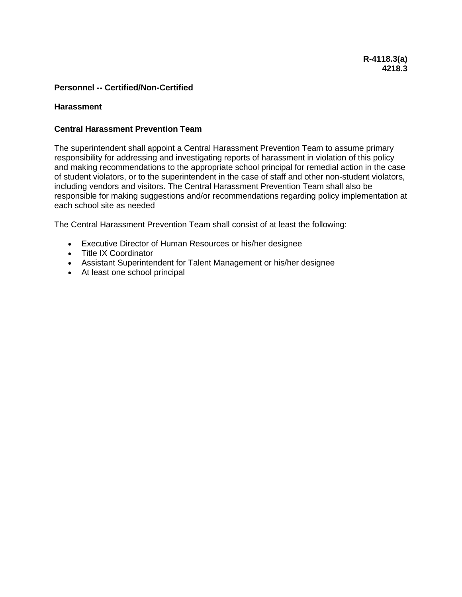#### **Harassment**

### **Central Harassment Prevention Team**

The superintendent shall appoint a Central Harassment Prevention Team to assume primary responsibility for addressing and investigating reports of harassment in violation of this policy and making recommendations to the appropriate school principal for remedial action in the case of student violators, or to the superintendent in the case of staff and other non-student violators, including vendors and visitors. The Central Harassment Prevention Team shall also be responsible for making suggestions and/or recommendations regarding policy implementation at each school site as needed

The Central Harassment Prevention Team shall consist of at least the following:

- Executive Director of Human Resources or his/her designee
- Title IX Coordinator
- Assistant Superintendent for Talent Management or his/her designee
- At least one school principal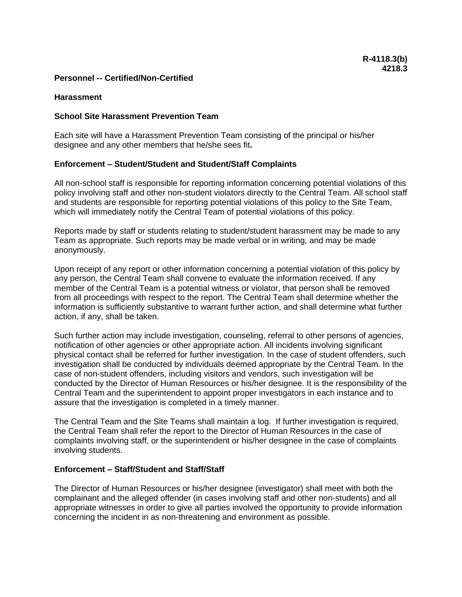#### **Harassment**

### **School Site Harassment Prevention Team**

Each site will have a Harassment Prevention Team consisting of the principal or his/her designee and any other members that he/she sees fit**.**

#### **Enforcement – Student/Student and Student/Staff Complaints**

All non-school staff is responsible for reporting information concerning potential violations of this policy involving staff and other non-student violators directly to the Central Team. All school staff and students are responsible for reporting potential violations of this policy to the Site Team, which will immediately notify the Central Team of potential violations of this policy.

Reports made by staff or students relating to student/student harassment may be made to any Team as appropriate. Such reports may be made verbal or in writing, and may be made anonymously.

Upon receipt of any report or other information concerning a potential violation of this policy by any person, the Central Team shall convene to evaluate the information received. If any member of the Central Team is a potential witness or violator, that person shall be removed from all proceedings with respect to the report. The Central Team shall determine whether the information is sufficiently substantive to warrant further action, and shall determine what further action, if any, shall be taken.

Such further action may include investigation, counseling, referral to other persons of agencies, notification of other agencies or other appropriate action. All incidents involving significant physical contact shall be referred for further investigation. In the case of student offenders, such investigation shall be conducted by individuals deemed appropriate by the Central Team. In the case of non-student offenders, including visitors and vendors, such investigation will be conducted by the Director of Human Resources or his/her designee. It is the responsibility of the Central Team and the superintendent to appoint proper investigators in each instance and to assure that the investigation is completed in a timely manner.

The Central Team and the Site Teams shall maintain a log. If further investigation is required, the Central Team shall refer the report to the Director of Human Resources in the case of complaints involving staff, or the superintendent or his/her designee in the case of complaints involving students.

#### **Enforcement – Staff/Student and Staff/Staff**

The Director of Human Resources or his/her designee (investigator) shall meet with both the complainant and the alleged offender (in cases involving staff and other non-students) and all appropriate witnesses in order to give all parties involved the opportunity to provide information concerning the incident in as non-threatening and environment as possible.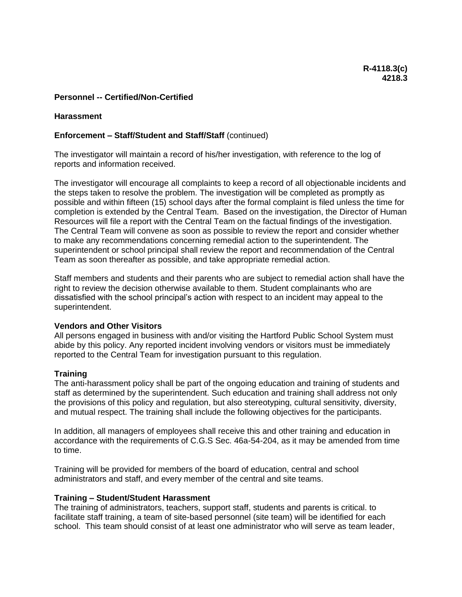#### **Harassment**

#### **Enforcement – Staff/Student and Staff/Staff** (continued)

The investigator will maintain a record of his/her investigation, with reference to the log of reports and information received.

The investigator will encourage all complaints to keep a record of all objectionable incidents and the steps taken to resolve the problem. The investigation will be completed as promptly as possible and within fifteen (15) school days after the formal complaint is filed unless the time for completion is extended by the Central Team. Based on the investigation, the Director of Human Resources will file a report with the Central Team on the factual findings of the investigation. The Central Team will convene as soon as possible to review the report and consider whether to make any recommendations concerning remedial action to the superintendent. The superintendent or school principal shall review the report and recommendation of the Central Team as soon thereafter as possible, and take appropriate remedial action.

Staff members and students and their parents who are subject to remedial action shall have the right to review the decision otherwise available to them. Student complainants who are dissatisfied with the school principal's action with respect to an incident may appeal to the superintendent.

#### **Vendors and Other Visitors**

All persons engaged in business with and/or visiting the Hartford Public School System must abide by this policy. Any reported incident involving vendors or visitors must be immediately reported to the Central Team for investigation pursuant to this regulation.

#### **Training**

The anti-harassment policy shall be part of the ongoing education and training of students and staff as determined by the superintendent. Such education and training shall address not only the provisions of this policy and regulation, but also stereotyping, cultural sensitivity, diversity, and mutual respect. The training shall include the following objectives for the participants.

In addition, all managers of employees shall receive this and other training and education in accordance with the requirements of C.G.S Sec. 46a-54-204, as it may be amended from time to time.

Training will be provided for members of the board of education, central and school administrators and staff, and every member of the central and site teams.

#### **Training – Student/Student Harassment**

The training of administrators, teachers, support staff, students and parents is critical. to facilitate staff training, a team of site-based personnel (site team) will be identified for each school. This team should consist of at least one administrator who will serve as team leader,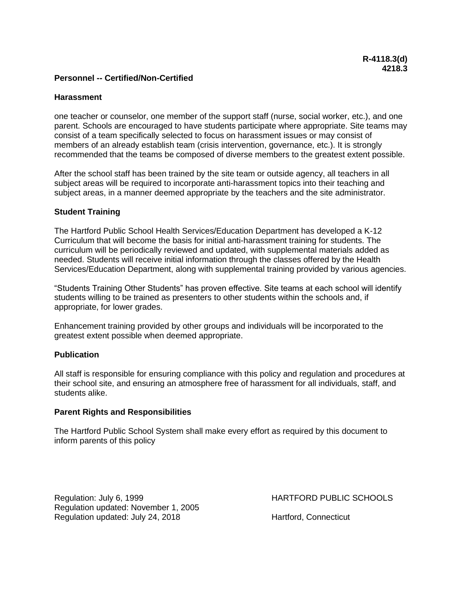#### **Harassment**

one teacher or counselor, one member of the support staff (nurse, social worker, etc.), and one parent. Schools are encouraged to have students participate where appropriate. Site teams may consist of a team specifically selected to focus on harassment issues or may consist of members of an already establish team (crisis intervention, governance, etc.). It is strongly recommended that the teams be composed of diverse members to the greatest extent possible.

After the school staff has been trained by the site team or outside agency, all teachers in all subject areas will be required to incorporate anti-harassment topics into their teaching and subject areas, in a manner deemed appropriate by the teachers and the site administrator.

#### **Student Training**

The Hartford Public School Health Services/Education Department has developed a K-12 Curriculum that will become the basis for initial anti-harassment training for students. The curriculum will be periodically reviewed and updated, with supplemental materials added as needed. Students will receive initial information through the classes offered by the Health Services/Education Department, along with supplemental training provided by various agencies.

"Students Training Other Students" has proven effective. Site teams at each school will identify students willing to be trained as presenters to other students within the schools and, if appropriate, for lower grades.

Enhancement training provided by other groups and individuals will be incorporated to the greatest extent possible when deemed appropriate.

#### **Publication**

All staff is responsible for ensuring compliance with this policy and regulation and procedures at their school site, and ensuring an atmosphere free of harassment for all individuals, staff, and students alike.

#### **Parent Rights and Responsibilities**

The Hartford Public School System shall make every effort as required by this document to inform parents of this policy

Regulation: July 6, 1999 **HARTFORD PUBLIC SCHOOLS** Regulation updated: November 1, 2005 Regulation updated: July 24, 2018 Hartford, Connecticut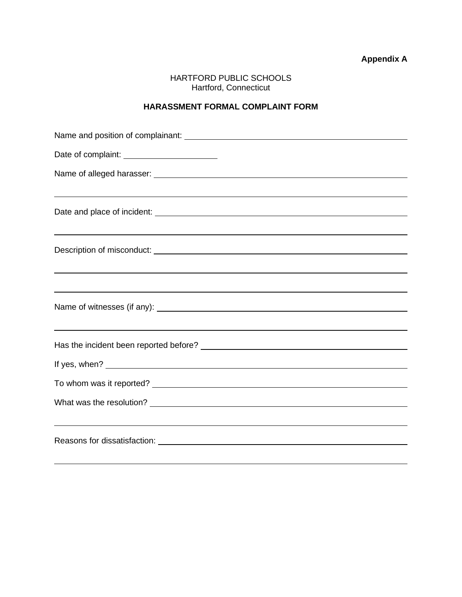**Appendix A**

HARTFORD PUBLIC SCHOOLS Hartford, Connecticut

# **HARASSMENT FORMAL COMPLAINT FORM**

| ,我们也不会有什么。""我们的人,我们也不会有什么?""我们的人,我们也不会有什么?""我们的人,我们也不会有什么?""我们的人,我们也不会有什么?""我们的人 |
|----------------------------------------------------------------------------------|
|                                                                                  |
|                                                                                  |
|                                                                                  |
|                                                                                  |
|                                                                                  |
|                                                                                  |
| ,我们也不会有什么。""我们的人,我们也不会有什么?""我们的人,我们也不会有什么?""我们的人,我们也不会有什么?""我们的人,我们也不会有什么?""我们的人 |
|                                                                                  |
|                                                                                  |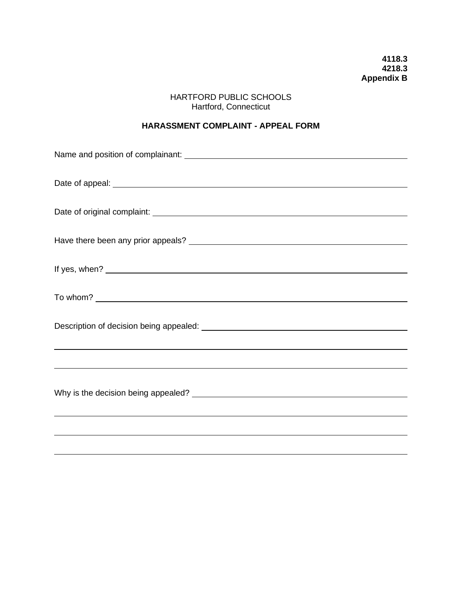**4118.3 4218.3 Appendix B**

# HARTFORD PUBLIC SCHOOLS Hartford, Connecticut

# **HARASSMENT COMPLAINT - APPEAL FORM**

| ,我们也不会有什么。""我们的人,我们也不会有什么?""我们的人,我们也不会有什么?""我们的人,我们也不会有什么?""我们的人,我们也不会有什么?""我们的人 |  |  |
|----------------------------------------------------------------------------------|--|--|
|                                                                                  |  |  |
| <u> 1989 - Jan Samuel Barbara, margaret eta biztanleria (h. 1989).</u>           |  |  |
|                                                                                  |  |  |
|                                                                                  |  |  |
|                                                                                  |  |  |
|                                                                                  |  |  |
|                                                                                  |  |  |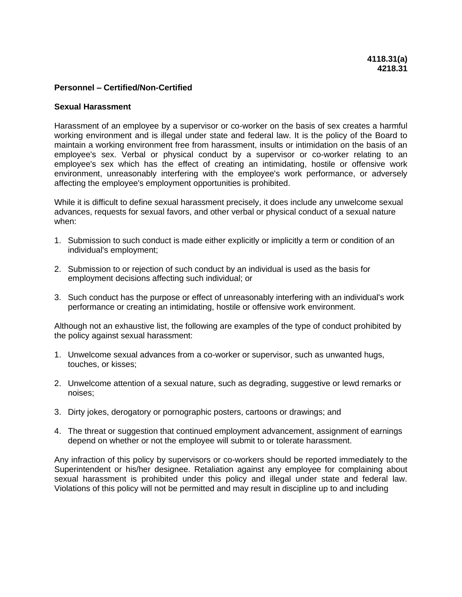#### **Sexual Harassment**

Harassment of an employee by a supervisor or co-worker on the basis of sex creates a harmful working environment and is illegal under state and federal law. It is the policy of the Board to maintain a working environment free from harassment, insults or intimidation on the basis of an employee's sex. Verbal or physical conduct by a supervisor or co-worker relating to an employee's sex which has the effect of creating an intimidating, hostile or offensive work environment, unreasonably interfering with the employee's work performance, or adversely affecting the employee's employment opportunities is prohibited.

While it is difficult to define sexual harassment precisely, it does include any unwelcome sexual advances, requests for sexual favors, and other verbal or physical conduct of a sexual nature when:

- 1. Submission to such conduct is made either explicitly or implicitly a term or condition of an individual's employment;
- 2. Submission to or rejection of such conduct by an individual is used as the basis for employment decisions affecting such individual; or
- 3. Such conduct has the purpose or effect of unreasonably interfering with an individual's work performance or creating an intimidating, hostile or offensive work environment.

Although not an exhaustive list, the following are examples of the type of conduct prohibited by the policy against sexual harassment:

- 1. Unwelcome sexual advances from a co-worker or supervisor, such as unwanted hugs, touches, or kisses;
- 2. Unwelcome attention of a sexual nature, such as degrading, suggestive or lewd remarks or noises;
- 3. Dirty jokes, derogatory or pornographic posters, cartoons or drawings; and
- 4. The threat or suggestion that continued employment advancement, assignment of earnings depend on whether or not the employee will submit to or tolerate harassment.

Any infraction of this policy by supervisors or co-workers should be reported immediately to the Superintendent or his/her designee. Retaliation against any employee for complaining about sexual harassment is prohibited under this policy and illegal under state and federal law. Violations of this policy will not be permitted and may result in discipline up to and including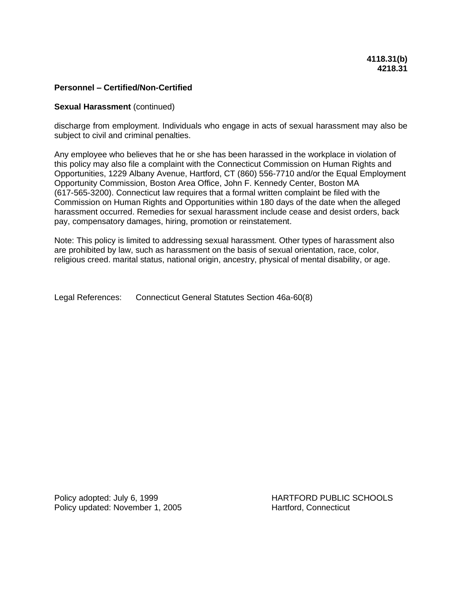#### **Sexual Harassment** (continued)

discharge from employment. Individuals who engage in acts of sexual harassment may also be subject to civil and criminal penalties.

Any employee who believes that he or she has been harassed in the workplace in violation of this policy may also file a complaint with the Connecticut Commission on Human Rights and Opportunities, 1229 Albany Avenue, Hartford, CT (860) 556-7710 and/or the Equal Employment Opportunity Commission, Boston Area Office, John F. Kennedy Center, Boston MA (617-565-3200). Connecticut law requires that a formal written complaint be filed with the Commission on Human Rights and Opportunities within 180 days of the date when the alleged harassment occurred. Remedies for sexual harassment include cease and desist orders, back pay, compensatory damages, hiring, promotion or reinstatement.

Note: This policy is limited to addressing sexual harassment. Other types of harassment also are prohibited by law, such as harassment on the basis of sexual orientation, race, color, religious creed. marital status, national origin, ancestry, physical of mental disability, or age.

Legal References: Connecticut General Statutes Section 46a-60(8)

Policy updated: November 1, 2005 Hartford, Connecticut

Policy adopted: July 6, 1999 HARTFORD PUBLIC SCHOOLS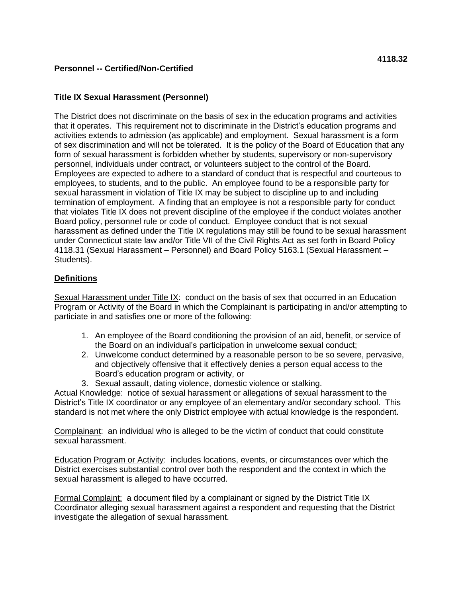# **Title IX Sexual Harassment (Personnel)**

The District does not discriminate on the basis of sex in the education programs and activities that it operates. This requirement not to discriminate in the District's education programs and activities extends to admission (as applicable) and employment. Sexual harassment is a form of sex discrimination and will not be tolerated. It is the policy of the Board of Education that any form of sexual harassment is forbidden whether by students, supervisory or non-supervisory personnel, individuals under contract, or volunteers subject to the control of the Board. Employees are expected to adhere to a standard of conduct that is respectful and courteous to employees, to students, and to the public. An employee found to be a responsible party for sexual harassment in violation of Title IX may be subject to discipline up to and including termination of employment. A finding that an employee is not a responsible party for conduct that violates Title IX does not prevent discipline of the employee if the conduct violates another Board policy, personnel rule or code of conduct. Employee conduct that is not sexual harassment as defined under the Title IX regulations may still be found to be sexual harassment under Connecticut state law and/or Title VII of the Civil Rights Act as set forth in Board Policy 4118.31 (Sexual Harassment – Personnel) and Board Policy 5163.1 (Sexual Harassment – Students).

# **Definitions**

Sexual Harassment under Title IX: conduct on the basis of sex that occurred in an Education Program or Activity of the Board in which the Complainant is participating in and/or attempting to particiate in and satisfies one or more of the following:

- 1. An employee of the Board conditioning the provision of an aid, benefit, or service of the Board on an individual's participation in unwelcome sexual conduct;
- 2. Unwelcome conduct determined by a reasonable person to be so severe, pervasive, and objectively offensive that it effectively denies a person equal access to the Board's education program or activity, or
- 3. Sexual assault, dating violence, domestic violence or stalking.

Actual Knowledge: notice of sexual harassment or allegations of sexual harassment to the District's Title IX coordinator or any employee of an elementary and/or secondary school. This standard is not met where the only District employee with actual knowledge is the respondent.

Complainant: an individual who is alleged to be the victim of conduct that could constitute sexual harassment.

Education Program or Activity: includes locations, events, or circumstances over which the District exercises substantial control over both the respondent and the context in which the sexual harassment is alleged to have occurred.

Formal Complaint: a document filed by a complainant or signed by the District Title IX Coordinator alleging sexual harassment against a respondent and requesting that the District investigate the allegation of sexual harassment.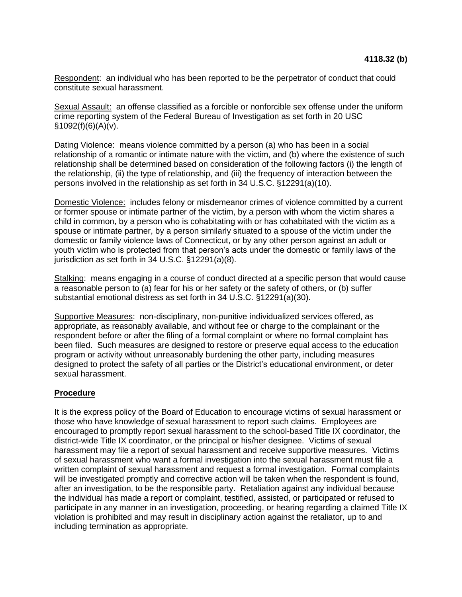Respondent: an individual who has been reported to be the perpetrator of conduct that could constitute sexual harassment.

Sexual Assault: an offense classified as a forcible or nonforcible sex offense under the uniform crime reporting system of the Federal Bureau of Investigation as set forth in 20 USC  $$1092(f)(6)(A)(v).$ 

Dating Violence: means violence committed by a person (a) who has been in a social relationship of a romantic or intimate nature with the victim, and (b) where the existence of such relationship shall be determined based on consideration of the following factors (i) the length of the relationship, (ii) the type of relationship, and (iii) the frequency of interaction between the persons involved in the relationship as set forth in 34 U.S.C. §12291(a)(10).

Domestic Violence: includes felony or misdemeanor crimes of violence committed by a current or former spouse or intimate partner of the victim, by a person with whom the victim shares a child in common, by a person who is cohabitating with or has cohabitated with the victim as a spouse or intimate partner, by a person similarly situated to a spouse of the victim under the domestic or family violence laws of Connecticut, or by any other person against an adult or youth victim who is protected from that person's acts under the domestic or family laws of the jurisdiction as set forth in 34 U.S.C. §12291(a)(8).

Stalking: means engaging in a course of conduct directed at a specific person that would cause a reasonable person to (a) fear for his or her safety or the safety of others, or (b) suffer substantial emotional distress as set forth in 34 U.S.C. §12291(a)(30).

Supportive Measures: non-disciplinary, non-punitive individualized services offered, as appropriate, as reasonably available, and without fee or charge to the complainant or the respondent before or after the filing of a formal complaint or where no formal complaint has been filed. Such measures are designed to restore or preserve equal access to the education program or activity without unreasonably burdening the other party, including measures designed to protect the safety of all parties or the District's educational environment, or deter sexual harassment.

#### **Procedure**

It is the express policy of the Board of Education to encourage victims of sexual harassment or those who have knowledge of sexual harassment to report such claims. Employees are encouraged to promptly report sexual harassment to the school-based Title IX coordinator, the district-wide Title IX coordinator, or the principal or his/her designee. Victims of sexual harassment may file a report of sexual harassment and receive supportive measures. Victims of sexual harassment who want a formal investigation into the sexual harassment must file a written complaint of sexual harassment and request a formal investigation. Formal complaints will be investigated promptly and corrective action will be taken when the respondent is found, after an investigation, to be the responsible party. Retaliation against any individual because the individual has made a report or complaint, testified, assisted, or participated or refused to participate in any manner in an investigation, proceeding, or hearing regarding a claimed Title IX violation is prohibited and may result in disciplinary action against the retaliator, up to and including termination as appropriate.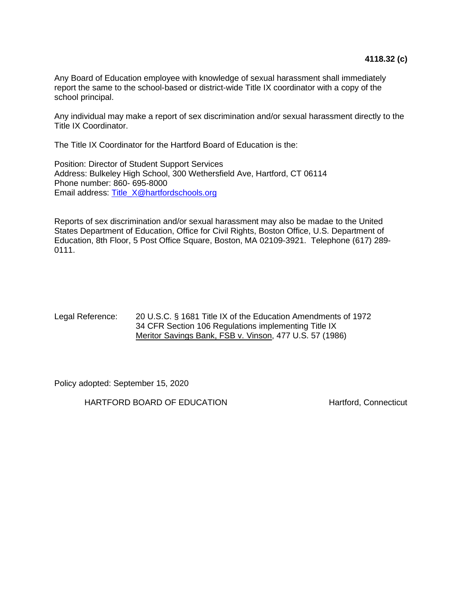Any Board of Education employee with knowledge of sexual harassment shall immediately report the same to the school-based or district-wide Title IX coordinator with a copy of the school principal.

Any individual may make a report of sex discrimination and/or sexual harassment directly to the Title IX Coordinator.

The Title IX Coordinator for the Hartford Board of Education is the:

Position: Director of Student Support Services Address: Bulkeley High School, 300 Wethersfield Ave, Hartford, CT 06114 Phone number: 860- 695-8000 Email address: [Title\\_X@hartfordschools.org](mailto:Title_x@hartfordschools.org)

Reports of sex discrimination and/or sexual harassment may also be madae to the United States Department of Education, Office for Civil Rights, Boston Office, U.S. Department of Education, 8th Floor, 5 Post Office Square, Boston, MA 02109-3921. Telephone (617) 289- 0111.

### Legal Reference: 20 U.S.C. § 1681 Title IX of the Education Amendments of 1972 34 CFR Section 106 Regulations implementing Title IX Meritor Savings Bank, FSB v. Vinson, 477 U.S. 57 (1986)

Policy adopted: September 15, 2020

HARTFORD BOARD OF EDUCATION HARTFORD BOARD OF EDUCATION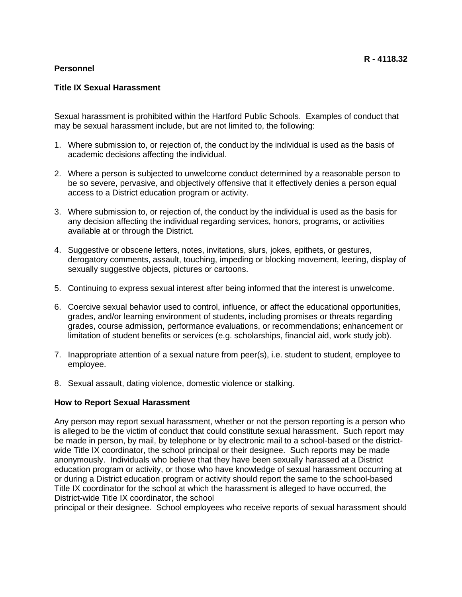## **Personnel**

Sexual harassment is prohibited within the Hartford Public Schools. Examples of conduct that may be sexual harassment include, but are not limited to, the following:

- 1. Where submission to, or rejection of, the conduct by the individual is used as the basis of academic decisions affecting the individual.
- 2. Where a person is subjected to unwelcome conduct determined by a reasonable person to be so severe, pervasive, and objectively offensive that it effectively denies a person equal access to a District education program or activity.
- 3. Where submission to, or rejection of, the conduct by the individual is used as the basis for any decision affecting the individual regarding services, honors, programs, or activities available at or through the District.
- 4. Suggestive or obscene letters, notes, invitations, slurs, jokes, epithets, or gestures, derogatory comments, assault, touching, impeding or blocking movement, leering, display of sexually suggestive objects, pictures or cartoons.
- 5. Continuing to express sexual interest after being informed that the interest is unwelcome.
- 6. Coercive sexual behavior used to control, influence, or affect the educational opportunities, grades, and/or learning environment of students, including promises or threats regarding grades, course admission, performance evaluations, or recommendations; enhancement or limitation of student benefits or services (e.g. scholarships, financial aid, work study job).
- 7. Inappropriate attention of a sexual nature from peer(s), i.e. student to student, employee to employee.
- 8. Sexual assault, dating violence, domestic violence or stalking.

# **How to Report Sexual Harassment**

Any person may report sexual harassment, whether or not the person reporting is a person who is alleged to be the victim of conduct that could constitute sexual harassment. Such report may be made in person, by mail, by telephone or by electronic mail to a school-based or the districtwide Title IX coordinator, the school principal or their designee. Such reports may be made anonymously. Individuals who believe that they have been sexually harassed at a District education program or activity, or those who have knowledge of sexual harassment occurring at or during a District education program or activity should report the same to the school-based Title IX coordinator for the school at which the harassment is alleged to have occurred, the District-wide Title IX coordinator, the school

principal or their designee. School employees who receive reports of sexual harassment should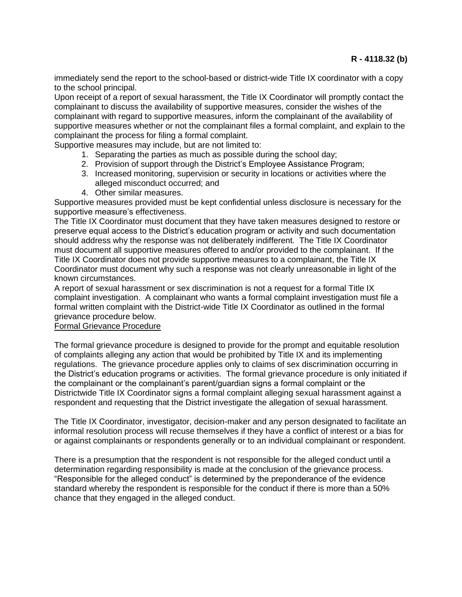immediately send the report to the school-based or district-wide Title IX coordinator with a copy to the school principal.

Upon receipt of a report of sexual harassment, the Title IX Coordinator will promptly contact the complainant to discuss the availability of supportive measures, consider the wishes of the complainant with regard to supportive measures, inform the complainant of the availability of supportive measures whether or not the complainant files a formal complaint, and explain to the complainant the process for filing a formal complaint.

Supportive measures may include, but are not limited to:

- 1. Separating the parties as much as possible during the school day;
- 2. Provision of support through the District's Employee Assistance Program;
- 3. Increased monitoring, supervision or security in locations or activities where the alleged misconduct occurred; and
- 4. Other similar measures.

Supportive measures provided must be kept confidential unless disclosure is necessary for the supportive measure's effectiveness.

The Title IX Coordinator must document that they have taken measures designed to restore or preserve equal access to the District's education program or activity and such documentation should address why the response was not deliberately indifferent. The Title IX Coordinator must document all supportive measures offered to and/or provided to the complainant. If the Title IX Coordinator does not provide supportive measures to a complainant, the Title IX Coordinator must document why such a response was not clearly unreasonable in light of the known circumstances.

A report of sexual harassment or sex discrimination is not a request for a formal Title IX complaint investigation. A complainant who wants a formal complaint investigation must file a formal written complaint with the District-wide Title IX Coordinator as outlined in the formal grievance procedure below.

### Formal Grievance Procedure

The formal grievance procedure is designed to provide for the prompt and equitable resolution of complaints alleging any action that would be prohibited by Title IX and its implementing regulations. The grievance procedure applies only to claims of sex discrimination occurring in the District's education programs or activities. The formal grievance procedure is only initiated if the complainant or the complainant's parent/guardian signs a formal complaint or the Districtwide Title IX Coordinator signs a formal complaint alleging sexual harassment against a respondent and requesting that the District investigate the allegation of sexual harassment.

The Title IX Coordinator, investigator, decision-maker and any person designated to facilitate an informal resolution process will recuse themselves if they have a conflict of interest or a bias for or against complainants or respondents generally or to an individual complainant or respondent.

There is a presumption that the respondent is not responsible for the alleged conduct until a determination regarding responsibility is made at the conclusion of the grievance process. "Responsible for the alleged conduct" is determined by the preponderance of the evidence standard whereby the respondent is responsible for the conduct if there is more than a 50% chance that they engaged in the alleged conduct.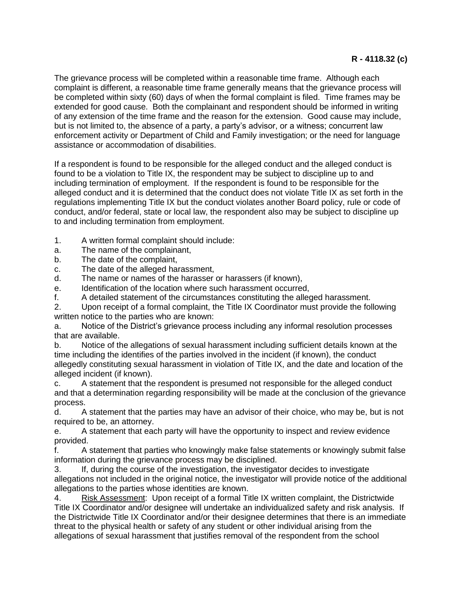The grievance process will be completed within a reasonable time frame. Although each complaint is different, a reasonable time frame generally means that the grievance process will be completed within sixty (60) days of when the formal complaint is filed. Time frames may be extended for good cause. Both the complainant and respondent should be informed in writing of any extension of the time frame and the reason for the extension. Good cause may include, but is not limited to, the absence of a party, a party's advisor, or a witness; concurrent law enforcement activity or Department of Child and Family investigation; or the need for language assistance or accommodation of disabilities.

If a respondent is found to be responsible for the alleged conduct and the alleged conduct is found to be a violation to Title IX, the respondent may be subject to discipline up to and including termination of employment. If the respondent is found to be responsible for the alleged conduct and it is determined that the conduct does not violate Title IX as set forth in the regulations implementing Title IX but the conduct violates another Board policy, rule or code of conduct, and/or federal, state or local law, the respondent also may be subject to discipline up to and including termination from employment.

- 1. A written formal complaint should include:
- a. The name of the complainant,
- b. The date of the complaint,
- c. The date of the alleged harassment,
- d. The name or names of the harasser or harassers (if known),
- e. Identification of the location where such harassment occurred,
- f. A detailed statement of the circumstances constituting the alleged harassment.

2. Upon receipt of a formal complaint, the Title IX Coordinator must provide the following written notice to the parties who are known:

a. Notice of the District's grievance process including any informal resolution processes that are available.

b. Notice of the allegations of sexual harassment including sufficient details known at the time including the identifies of the parties involved in the incident (if known), the conduct allegedly constituting sexual harassment in violation of Title IX, and the date and location of the alleged incident (if known).

c. A statement that the respondent is presumed not responsible for the alleged conduct and that a determination regarding responsibility will be made at the conclusion of the grievance process.

d. A statement that the parties may have an advisor of their choice, who may be, but is not required to be, an attorney.

e. A statement that each party will have the opportunity to inspect and review evidence provided.

f. A statement that parties who knowingly make false statements or knowingly submit false information during the grievance process may be disciplined.

3. If, during the course of the investigation, the investigator decides to investigate allegations not included in the original notice, the investigator will provide notice of the additional allegations to the parties whose identities are known.

4. Risk Assessment: Upon receipt of a formal Title IX written complaint, the Districtwide Title IX Coordinator and/or designee will undertake an individualized safety and risk analysis. If the Districtwide Title IX Coordinator and/or their designee determines that there is an immediate threat to the physical health or safety of any student or other individual arising from the allegations of sexual harassment that justifies removal of the respondent from the school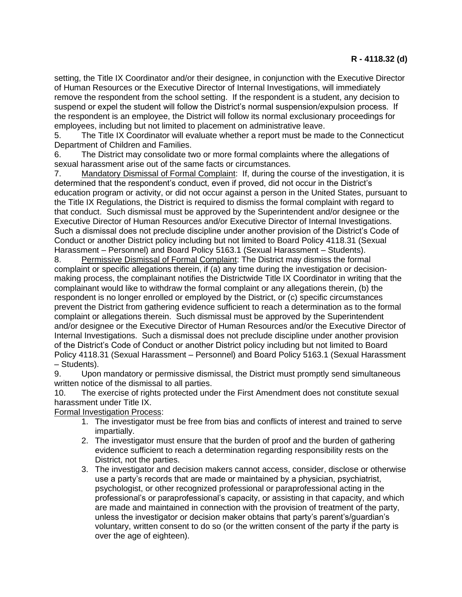setting, the Title IX Coordinator and/or their designee, in conjunction with the Executive Director of Human Resources or the Executive Director of Internal Investigations, will immediately remove the respondent from the school setting. If the respondent is a student, any decision to suspend or expel the student will follow the District's normal suspension/expulsion process. If the respondent is an employee, the District will follow its normal exclusionary proceedings for employees, including but not limited to placement on administrative leave.

5. The Title IX Coordinator will evaluate whether a report must be made to the Connecticut Department of Children and Families.

6. The District may consolidate two or more formal complaints where the allegations of sexual harassment arise out of the same facts or circumstances.

7. Mandatory Dismissal of Formal Complaint: If, during the course of the investigation, it is determined that the respondent's conduct, even if proved, did not occur in the District's education program or activity, or did not occur against a person in the United States, pursuant to the Title IX Regulations, the District is required to dismiss the formal complaint with regard to that conduct. Such dismissal must be approved by the Superintendent and/or designee or the Executive Director of Human Resources and/or Executive Director of Internal Investigations. Such a dismissal does not preclude discipline under another provision of the District's Code of Conduct or another District policy including but not limited to Board Policy 4118.31 (Sexual Harassment – Personnel) and Board Policy 5163.1 (Sexual Harassment – Students).

8. Permissive Dismissal of Formal Complaint: The District may dismiss the formal complaint or specific allegations therein, if (a) any time during the investigation or decisionmaking process, the complainant notifies the Districtwide Title IX Coordinator in writing that the complainant would like to withdraw the formal complaint or any allegations therein, (b) the respondent is no longer enrolled or employed by the District, or (c) specific circumstances prevent the District from gathering evidence sufficient to reach a determination as to the formal complaint or allegations therein. Such dismissal must be approved by the Superintendent and/or designee or the Executive Director of Human Resources and/or the Executive Director of Internal Investigations. Such a dismissal does not preclude discipline under another provision of the District's Code of Conduct or another District policy including but not limited to Board Policy 4118.31 (Sexual Harassment – Personnel) and Board Policy 5163.1 (Sexual Harassment – Students).

9. Upon mandatory or permissive dismissal, the District must promptly send simultaneous written notice of the dismissal to all parties.

10. The exercise of rights protected under the First Amendment does not constitute sexual harassment under Title IX.

Formal Investigation Process:

- 1. The investigator must be free from bias and conflicts of interest and trained to serve impartially.
- 2. The investigator must ensure that the burden of proof and the burden of gathering evidence sufficient to reach a determination regarding responsibility rests on the District, not the parties.
- 3. The investigator and decision makers cannot access, consider, disclose or otherwise use a party's records that are made or maintained by a physician, psychiatrist, psychologist, or other recognized professional or paraprofessional acting in the professional's or paraprofessional's capacity, or assisting in that capacity, and which are made and maintained in connection with the provision of treatment of the party, unless the investigator or decision maker obtains that party's parent's/guardian's voluntary, written consent to do so (or the written consent of the party if the party is over the age of eighteen).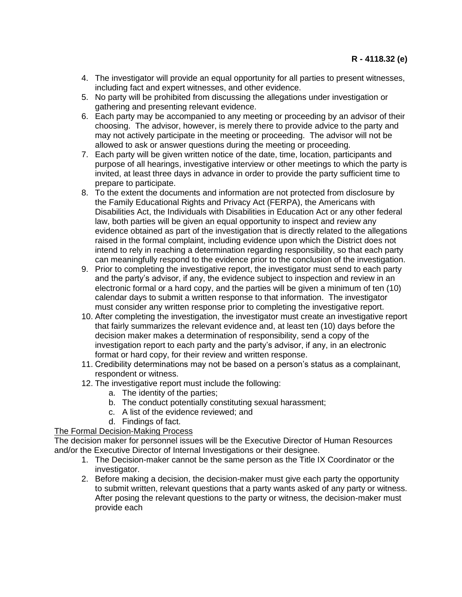- 4. The investigator will provide an equal opportunity for all parties to present witnesses, including fact and expert witnesses, and other evidence.
- 5. No party will be prohibited from discussing the allegations under investigation or gathering and presenting relevant evidence.
- 6. Each party may be accompanied to any meeting or proceeding by an advisor of their choosing. The advisor, however, is merely there to provide advice to the party and may not actively participate in the meeting or proceeding. The advisor will not be allowed to ask or answer questions during the meeting or proceeding.
- 7. Each party will be given written notice of the date, time, location, participants and purpose of all hearings, investigative interview or other meetings to which the party is invited, at least three days in advance in order to provide the party sufficient time to prepare to participate.
- 8. To the extent the documents and information are not protected from disclosure by the Family Educational Rights and Privacy Act (FERPA), the Americans with Disabilities Act, the Individuals with Disabilities in Education Act or any other federal law, both parties will be given an equal opportunity to inspect and review any evidence obtained as part of the investigation that is directly related to the allegations raised in the formal complaint, including evidence upon which the District does not intend to rely in reaching a determination regarding responsibility, so that each party can meaningfully respond to the evidence prior to the conclusion of the investigation.
- 9. Prior to completing the investigative report, the investigator must send to each party and the party's advisor, if any, the evidence subject to inspection and review in an electronic formal or a hard copy, and the parties will be given a minimum of ten (10) calendar days to submit a written response to that information. The investigator must consider any written response prior to completing the investigative report.
- 10. After completing the investigation, the investigator must create an investigative report that fairly summarizes the relevant evidence and, at least ten (10) days before the decision maker makes a determination of responsibility, send a copy of the investigation report to each party and the party's advisor, if any, in an electronic format or hard copy, for their review and written response.
- 11. Credibility determinations may not be based on a person's status as a complainant, respondent or witness.
- 12. The investigative report must include the following:
	- a. The identity of the parties;
	- b. The conduct potentially constituting sexual harassment;
	- c. A list of the evidence reviewed; and
	- d. Findings of fact.

The Formal Decision-Making Process

The decision maker for personnel issues will be the Executive Director of Human Resources and/or the Executive Director of Internal Investigations or their designee.

- 1. The Decision-maker cannot be the same person as the Title IX Coordinator or the investigator.
- 2. Before making a decision, the decision-maker must give each party the opportunity to submit written, relevant questions that a party wants asked of any party or witness. After posing the relevant questions to the party or witness, the decision-maker must provide each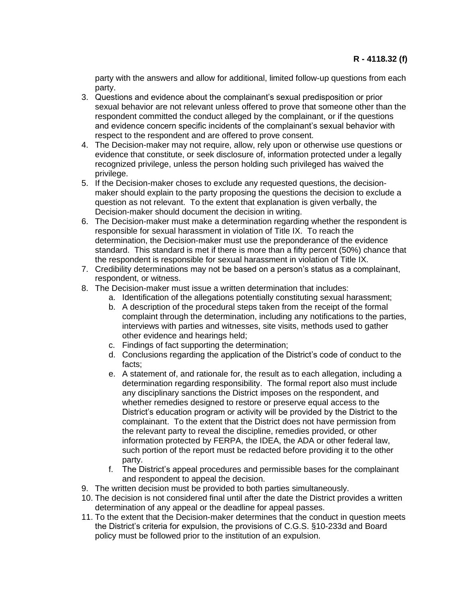party with the answers and allow for additional, limited follow-up questions from each party.

- 3. Questions and evidence about the complainant's sexual predisposition or prior sexual behavior are not relevant unless offered to prove that someone other than the respondent committed the conduct alleged by the complainant, or if the questions and evidence concern specific incidents of the complainant's sexual behavior with respect to the respondent and are offered to prove consent.
- 4. The Decision-maker may not require, allow, rely upon or otherwise use questions or evidence that constitute, or seek disclosure of, information protected under a legally recognized privilege, unless the person holding such privileged has waived the privilege.
- 5. If the Decision-maker choses to exclude any requested questions, the decisionmaker should explain to the party proposing the questions the decision to exclude a question as not relevant. To the extent that explanation is given verbally, the Decision-maker should document the decision in writing.
- 6. The Decision-maker must make a determination regarding whether the respondent is responsible for sexual harassment in violation of Title IX. To reach the determination, the Decision-maker must use the preponderance of the evidence standard. This standard is met if there is more than a fifty percent (50%) chance that the respondent is responsible for sexual harassment in violation of Title IX.
- 7. Credibility determinations may not be based on a person's status as a complainant, respondent, or witness.
- 8. The Decision-maker must issue a written determination that includes:
	- a. Identification of the allegations potentially constituting sexual harassment;
	- b. A description of the procedural steps taken from the receipt of the formal complaint through the determination, including any notifications to the parties, interviews with parties and witnesses, site visits, methods used to gather other evidence and hearings held;
	- c. Findings of fact supporting the determination;
	- d. Conclusions regarding the application of the District's code of conduct to the facts;
	- e. A statement of, and rationale for, the result as to each allegation, including a determination regarding responsibility. The formal report also must include any disciplinary sanctions the District imposes on the respondent, and whether remedies designed to restore or preserve equal access to the District's education program or activity will be provided by the District to the complainant. To the extent that the District does not have permission from the relevant party to reveal the discipline, remedies provided, or other information protected by FERPA, the IDEA, the ADA or other federal law, such portion of the report must be redacted before providing it to the other party.
	- f. The District's appeal procedures and permissible bases for the complainant and respondent to appeal the decision.
- 9. The written decision must be provided to both parties simultaneously.
- 10. The decision is not considered final until after the date the District provides a written determination of any appeal or the deadline for appeal passes.
- 11. To the extent that the Decision-maker determines that the conduct in question meets the District's criteria for expulsion, the provisions of C.G.S. §10-233d and Board policy must be followed prior to the institution of an expulsion.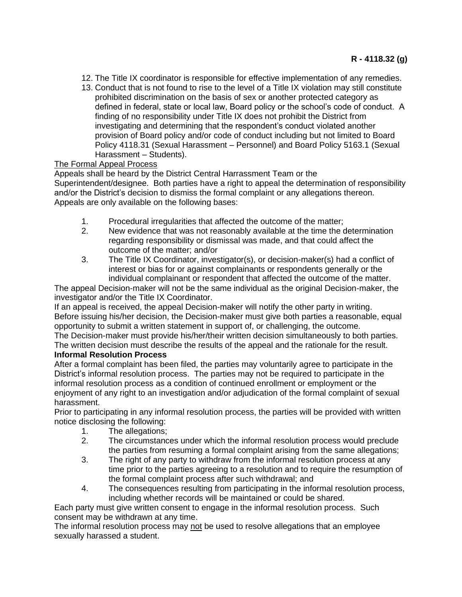- 12. The Title IX coordinator is responsible for effective implementation of any remedies.
- 13. Conduct that is not found to rise to the level of a Title IX violation may still constitute prohibited discrimination on the basis of sex or another protected category as defined in federal, state or local law, Board policy or the school's code of conduct. A finding of no responsibility under Title IX does not prohibit the District from investigating and determining that the respondent's conduct violated another provision of Board policy and/or code of conduct including but not limited to Board Policy 4118.31 (Sexual Harassment – Personnel) and Board Policy 5163.1 (Sexual Harassment – Students).

# The Formal Appeal Process

Appeals shall be heard by the District Central Harrassment Team or the Superintendent/designee. Both parties have a right to appeal the determination of responsibility and/or the District's decision to dismiss the formal complaint or any allegations thereon. Appeals are only available on the following bases:

- 1. Procedural irregularities that affected the outcome of the matter;
- 2. New evidence that was not reasonably available at the time the determination regarding responsibility or dismissal was made, and that could affect the outcome of the matter; and/or
- 3. The Title IX Coordinator, investigator(s), or decision-maker(s) had a conflict of interest or bias for or against complainants or respondents generally or the individual complainant or respondent that affected the outcome of the matter.

The appeal Decision-maker will not be the same individual as the original Decision-maker, the investigator and/or the Title IX Coordinator.

If an appeal is received, the appeal Decision-maker will notify the other party in writing. Before issuing his/her decision, the Decision-maker must give both parties a reasonable, equal opportunity to submit a written statement in support of, or challenging, the outcome.

The Decision-maker must provide his/her/their written decision simultaneously to both parties. The written decision must describe the results of the appeal and the rationale for the result.

# **Informal Resolution Process**

After a formal complaint has been filed, the parties may voluntarily agree to participate in the District's informal resolution process. The parties may not be required to participate in the informal resolution process as a condition of continued enrollment or employment or the enjoyment of any right to an investigation and/or adjudication of the formal complaint of sexual harassment.

Prior to participating in any informal resolution process, the parties will be provided with written notice disclosing the following:

- 1. The allegations;
- 2. The circumstances under which the informal resolution process would preclude the parties from resuming a formal complaint arising from the same allegations;
- 3. The right of any party to withdraw from the informal resolution process at any time prior to the parties agreeing to a resolution and to require the resumption of the formal complaint process after such withdrawal; and
- 4. The consequences resulting from participating in the informal resolution process, including whether records will be maintained or could be shared.

Each party must give written consent to engage in the informal resolution process. Such consent may be withdrawn at any time.

The informal resolution process may not be used to resolve allegations that an employee sexually harassed a student.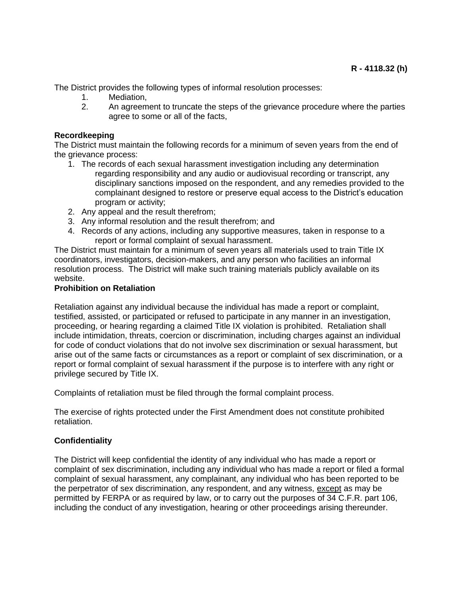The District provides the following types of informal resolution processes:

- 1. Mediation,
- 2. An agreement to truncate the steps of the grievance procedure where the parties agree to some or all of the facts,

## **Recordkeeping**

The District must maintain the following records for a minimum of seven years from the end of the grievance process:

- 1. The records of each sexual harassment investigation including any determination regarding responsibility and any audio or audiovisual recording or transcript, any disciplinary sanctions imposed on the respondent, and any remedies provided to the complainant designed to restore or preserve equal access to the District's education program or activity;
- 2. Any appeal and the result therefrom;
- 3. Any informal resolution and the result therefrom; and
- 4. Records of any actions, including any supportive measures, taken in response to a report or formal complaint of sexual harassment.

The District must maintain for a minimum of seven years all materials used to train Title IX coordinators, investigators, decision-makers, and any person who facilities an informal resolution process. The District will make such training materials publicly available on its website.

### **Prohibition on Retaliation**

Retaliation against any individual because the individual has made a report or complaint, testified, assisted, or participated or refused to participate in any manner in an investigation, proceeding, or hearing regarding a claimed Title IX violation is prohibited. Retaliation shall include intimidation, threats, coercion or discrimination, including charges against an individual for code of conduct violations that do not involve sex discrimination or sexual harassment, but arise out of the same facts or circumstances as a report or complaint of sex discrimination, or a report or formal complaint of sexual harassment if the purpose is to interfere with any right or privilege secured by Title IX.

Complaints of retaliation must be filed through the formal complaint process.

The exercise of rights protected under the First Amendment does not constitute prohibited retaliation.

## **Confidentiality**

The District will keep confidential the identity of any individual who has made a report or complaint of sex discrimination, including any individual who has made a report or filed a formal complaint of sexual harassment, any complainant, any individual who has been reported to be the perpetrator of sex discrimination, any respondent, and any witness, except as may be permitted by FERPA or as required by law, or to carry out the purposes of 34 C.F.R. part 106, including the conduct of any investigation, hearing or other proceedings arising thereunder.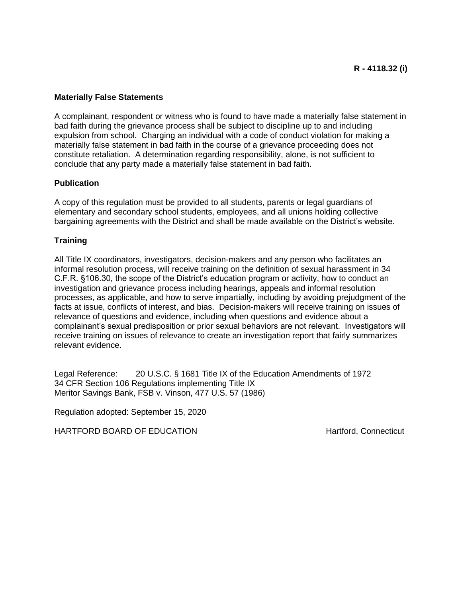## **Materially False Statements**

A complainant, respondent or witness who is found to have made a materially false statement in bad faith during the grievance process shall be subject to discipline up to and including expulsion from school. Charging an individual with a code of conduct violation for making a materially false statement in bad faith in the course of a grievance proceeding does not constitute retaliation. A determination regarding responsibility, alone, is not sufficient to conclude that any party made a materially false statement in bad faith.

### **Publication**

A copy of this regulation must be provided to all students, parents or legal guardians of elementary and secondary school students, employees, and all unions holding collective bargaining agreements with the District and shall be made available on the District's website.

### **Training**

All Title IX coordinators, investigators, decision-makers and any person who facilitates an informal resolution process, will receive training on the definition of sexual harassment in 34 C.F.R. §106.30, the scope of the District's education program or activity, how to conduct an investigation and grievance process including hearings, appeals and informal resolution processes, as applicable, and how to serve impartially, including by avoiding prejudgment of the facts at issue, conflicts of interest, and bias. Decision-makers will receive training on issues of relevance of questions and evidence, including when questions and evidence about a complainant's sexual predisposition or prior sexual behaviors are not relevant. Investigators will receive training on issues of relevance to create an investigation report that fairly summarizes relevant evidence.

Legal Reference: 20 U.S.C. § 1681 Title IX of the Education Amendments of 1972 34 CFR Section 106 Regulations implementing Title IX Meritor Savings Bank, FSB v. Vinson, 477 U.S. 57 (1986)

Regulation adopted: September 15, 2020

HARTFORD BOARD OF EDUCATION **HARTFORD** BOARD OF EDUCATION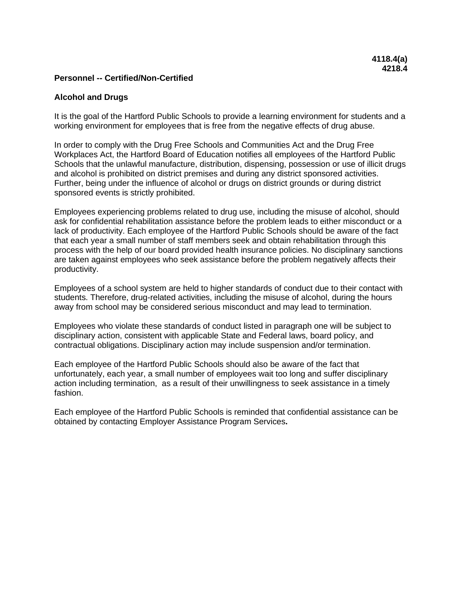### **Alcohol and Drugs**

It is the goal of the Hartford Public Schools to provide a learning environment for students and a working environment for employees that is free from the negative effects of drug abuse.

In order to comply with the Drug Free Schools and Communities Act and the Drug Free Workplaces Act, the Hartford Board of Education notifies all employees of the Hartford Public Schools that the unlawful manufacture, distribution, dispensing, possession or use of illicit drugs and alcohol is prohibited on district premises and during any district sponsored activities. Further, being under the influence of alcohol or drugs on district grounds or during district sponsored events is strictly prohibited.

Employees experiencing problems related to drug use, including the misuse of alcohol, should ask for confidential rehabilitation assistance before the problem leads to either misconduct or a lack of productivity. Each employee of the Hartford Public Schools should be aware of the fact that each year a small number of staff members seek and obtain rehabilitation through this process with the help of our board provided health insurance policies. No disciplinary sanctions are taken against employees who seek assistance before the problem negatively affects their productivity.

Employees of a school system are held to higher standards of conduct due to their contact with students. Therefore, drug-related activities, including the misuse of alcohol, during the hours away from school may be considered serious misconduct and may lead to termination.

Employees who violate these standards of conduct listed in paragraph one will be subject to disciplinary action, consistent with applicable State and Federal laws, board policy, and contractual obligations. Disciplinary action may include suspension and/or termination.

Each employee of the Hartford Public Schools should also be aware of the fact that unfortunately, each year, a small number of employees wait too long and suffer disciplinary action including termination, as a result of their unwillingness to seek assistance in a timely fashion.

Each employee of the Hartford Public Schools is reminded that confidential assistance can be obtained by contacting Employer Assistance Program Services**.**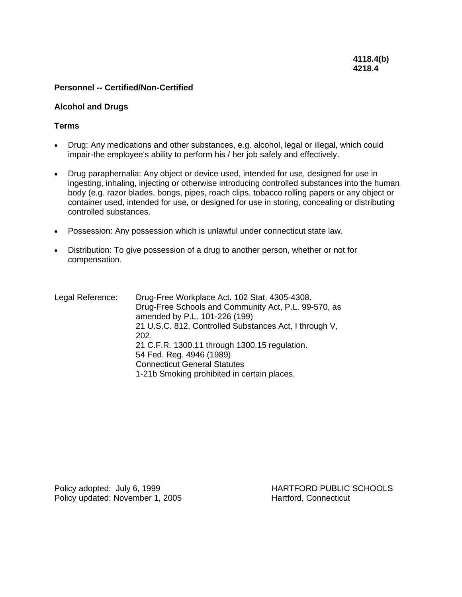#### **Alcohol and Drugs**

### **Terms**

- Drug: Any medications and other substances, e.g. alcohol, legal or illegal, which could impair-the employee's ability to perform his / her job safely and effectively.
- Drug paraphernalia: Any object or device used, intended for use, designed for use in ingesting, inhaling, injecting or otherwise introducing controlled substances into the human body (e.g. razor blades, bongs, pipes, roach clips, tobacco rolling papers or any object or container used, intended for use, or designed for use in storing, concealing or distributing controlled substances.
- Possession: Any possession which is unlawful under connecticut state law.
- Distribution: To give possession of a drug to another person, whether or not for compensation.
- Legal Reference: Drug-Free Workplace Act. 102 Stat. 4305-4308. Drug-Free Schools and Community Act, P.L. 99-570, as amended by P.L. 101-226 (199) 21 U.S.C. 812, Controlled Substances Act, I through V, 202. 21 C.F.R. 1300.11 through 1300.15 regulation. 54 Fed. Reg. 4946 (1989) Connecticut General Statutes 1-21b Smoking prohibited in certain places.

Policy adopted: July 6, 1999 HARTFORD PUBLIC SCHOOLS Policy updated: November 1, 2005 Hartford, Connecticut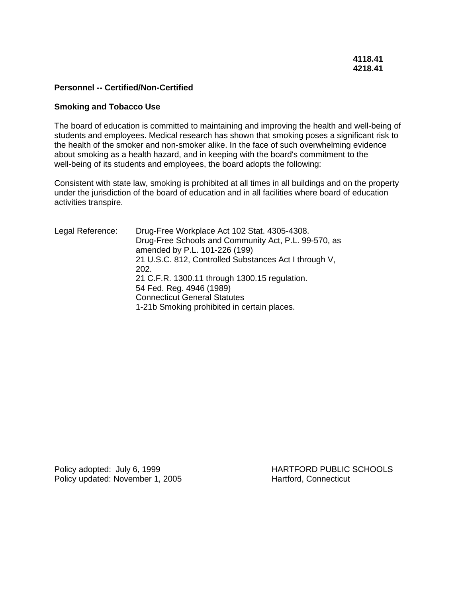#### **Smoking and Tobacco Use**

The board of education is committed to maintaining and improving the health and well-being of students and employees. Medical research has shown that smoking poses a significant risk to the health of the smoker and non-smoker alike. In the face of such overwhelming evidence about smoking as a health hazard, and in keeping with the board's commitment to the well-being of its students and employees, the board adopts the following:

Consistent with state law, smoking is prohibited at all times in all buildings and on the property under the jurisdiction of the board of education and in all facilities where board of education activities transpire.

| Legal Reference: | Drug-Free Workplace Act 102 Stat. 4305-4308.<br>Drug-Free Schools and Community Act, P.L. 99-570, as<br>amended by P.L. 101-226 (199) |
|------------------|---------------------------------------------------------------------------------------------------------------------------------------|
|                  | 21 U.S.C. 812, Controlled Substances Act I through V,<br>202.                                                                         |
|                  | 21 C.F.R. 1300.11 through 1300.15 regulation.                                                                                         |
|                  | 54 Fed. Reg. 4946 (1989)                                                                                                              |
|                  | <b>Connecticut General Statutes</b>                                                                                                   |
|                  | 1-21b Smoking prohibited in certain places.                                                                                           |

Policy adopted: July 6, 1999 HARTFORD PUBLIC SCHOOLS Policy updated: November 1, 2005 Hartford, Connecticut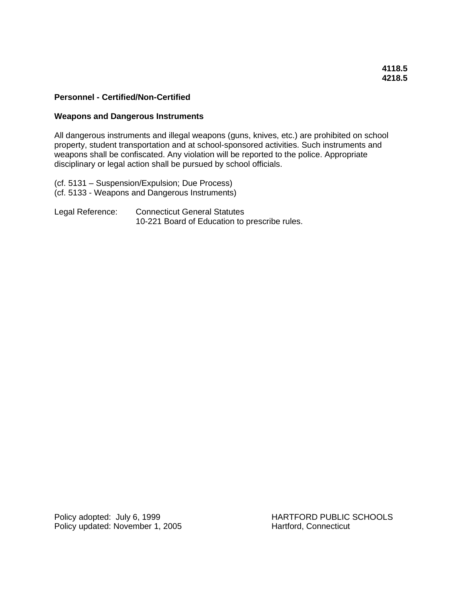### **Weapons and Dangerous Instruments**

All dangerous instruments and illegal weapons (guns, knives, etc.) are prohibited on school property, student transportation and at school-sponsored activities. Such instruments and weapons shall be confiscated. Any violation will be reported to the police. Appropriate disciplinary or legal action shall be pursued by school officials.

(cf. 5131 – Suspension/Expulsion; Due Process) (cf. 5133 - Weapons and Dangerous Instruments)

Legal Reference: Connecticut General Statutes 10-221 Board of Education to prescribe rules.

Policy adopted: July 6, 1999 HARTFORD PUBLIC SCHOOLS Policy updated: November 1, 2005 Hartford, Connecticut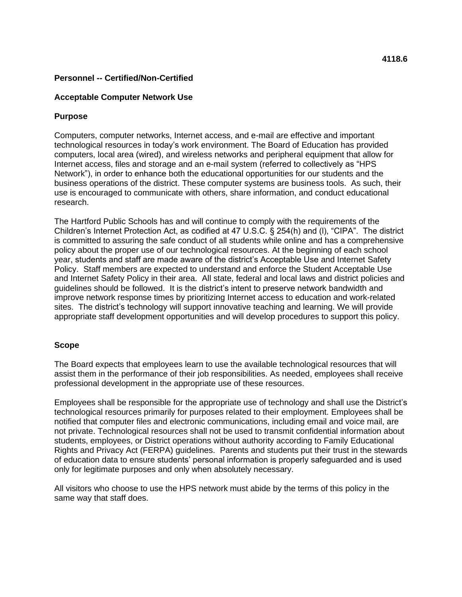### **Acceptable Computer Network Use**

### **Purpose**

Computers, computer networks, Internet access, and e-mail are effective and important technological resources in today's work environment. The Board of Education has provided computers, local area (wired), and wireless networks and peripheral equipment that allow for Internet access, files and storage and an e-mail system (referred to collectively as "HPS Network"), in order to enhance both the educational opportunities for our students and the business operations of the district. These computer systems are business tools. As such, their use is encouraged to communicate with others, share information, and conduct educational research.

The Hartford Public Schools has and will continue to comply with the requirements of the Children's Internet Protection Act, as codified at 47 U.S.C. § 254(h) and (l), "CIPA". The district is committed to assuring the safe conduct of all students while online and has a comprehensive policy about the proper use of our technological resources. At the beginning of each school year, students and staff are made aware of the district's Acceptable Use and Internet Safety Policy. Staff members are expected to understand and enforce the Student Acceptable Use and Internet Safety Policy in their area. All state, federal and local laws and district policies and guidelines should be followed. It is the district's intent to preserve network bandwidth and improve network response times by prioritizing Internet access to education and work-related sites. The district's technology will support innovative teaching and learning. We will provide appropriate staff development opportunities and will develop procedures to support this policy.

#### **Scope**

The Board expects that employees learn to use the available technological resources that will assist them in the performance of their job responsibilities. As needed, employees shall receive professional development in the appropriate use of these resources.

Employees shall be responsible for the appropriate use of technology and shall use the District's technological resources primarily for purposes related to their employment. Employees shall be notified that computer files and electronic communications, including email and voice mail, are not private. Technological resources shall not be used to transmit confidential information about students, employees, or District operations without authority according to Family Educational Rights and Privacy Act (FERPA) guidelines. Parents and students put their trust in the stewards of education data to ensure students' personal information is properly safeguarded and is used only for legitimate purposes and only when absolutely necessary.

All visitors who choose to use the HPS network must abide by the terms of this policy in the same way that staff does.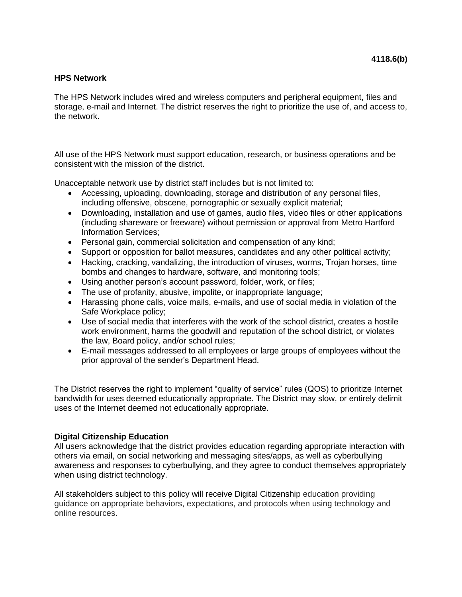#### **HPS Network**

The HPS Network includes wired and wireless computers and peripheral equipment, files and storage, e-mail and Internet. The district reserves the right to prioritize the use of, and access to, the network.

All use of the HPS Network must support education, research, or business operations and be consistent with the mission of the district.

Unacceptable network use by district staff includes but is not limited to:

- Accessing, uploading, downloading, storage and distribution of any personal files, including offensive, obscene, pornographic or sexually explicit material;
- Downloading, installation and use of games, audio files, video files or other applications (including shareware or freeware) without permission or approval from Metro Hartford Information Services;
- Personal gain, commercial solicitation and compensation of any kind;
- Support or opposition for ballot measures, candidates and any other political activity;
- Hacking, cracking, vandalizing, the introduction of viruses, worms, Trojan horses, time bombs and changes to hardware, software, and monitoring tools;
- Using another person's account password, folder, work, or files;
- The use of profanity, abusive, impolite, or inappropriate language;
- Harassing phone calls, voice mails, e-mails, and use of social media in violation of the Safe Workplace policy;
- Use of social media that interferes with the work of the school district, creates a hostile work environment, harms the goodwill and reputation of the school district, or violates the law, Board policy, and/or school rules;
- E-mail messages addressed to all employees or large groups of employees without the prior approval of the sender's Department Head.

The District reserves the right to implement "quality of service" rules (QOS) to prioritize Internet bandwidth for uses deemed educationally appropriate. The District may slow, or entirely delimit uses of the Internet deemed not educationally appropriate.

## **Digital Citizenship Education**

All users acknowledge that the district provides education regarding appropriate interaction with others via email, on social networking and messaging sites/apps, as well as cyberbullying awareness and responses to cyberbullying, and they agree to conduct themselves appropriately when using district technology.

All stakeholders subject to this policy will receive Digital Citizenship education providing guidance on appropriate behaviors, expectations, and protocols when using technology and online resources.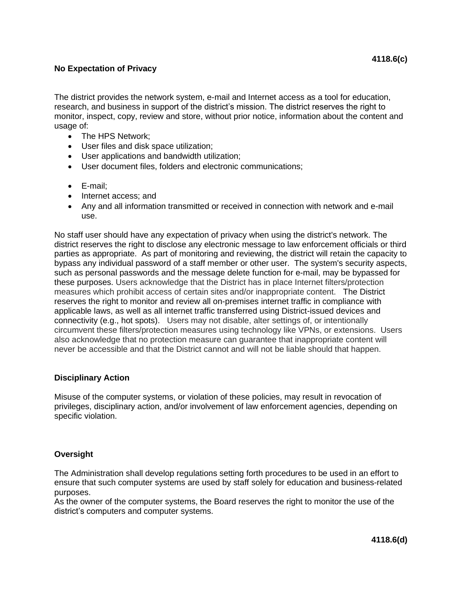## **No Expectation of Privacy**

The district provides the network system, e-mail and Internet access as a tool for education, research, and business in support of the district's mission. The district reserves the right to monitor, inspect, copy, review and store, without prior notice, information about the content and usage of:

- The HPS Network;
- User files and disk space utilization;
- User applications and bandwidth utilization;
- User document files, folders and electronic communications;
- E-mail;
- Internet access: and
- Any and all information transmitted or received in connection with network and e-mail use.

No staff user should have any expectation of privacy when using the district's network. The district reserves the right to disclose any electronic message to law enforcement officials or third parties as appropriate. As part of monitoring and reviewing, the district will retain the capacity to bypass any individual password of a staff member or other user. The system's security aspects, such as personal passwords and the message delete function for e-mail, may be bypassed for these purposes. Users acknowledge that the District has in place Internet filters/protection measures which prohibit access of certain sites and/or inappropriate content. The District reserves the right to monitor and review all on-premises internet traffic in compliance with applicable laws, as well as all internet traffic transferred using District-issued devices and connectivity (e.g., hot spots). Users may not disable, alter settings of, or intentionally circumvent these filters/protection measures using technology like VPNs, or extensions. Users also acknowledge that no protection measure can guarantee that inappropriate content will never be accessible and that the District cannot and will not be liable should that happen.

## **Disciplinary Action**

Misuse of the computer systems, or violation of these policies, may result in revocation of privileges, disciplinary action, and/or involvement of law enforcement agencies, depending on specific violation.

## **Oversight**

The Administration shall develop regulations setting forth procedures to be used in an effort to ensure that such computer systems are used by staff solely for education and business-related purposes.

As the owner of the computer systems, the Board reserves the right to monitor the use of the district's computers and computer systems.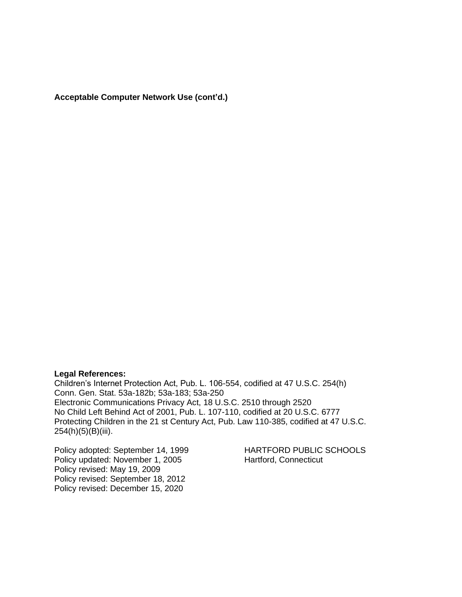**Acceptable Computer Network Use (cont'd.)**

#### **Legal References:**

Children's Internet Protection Act, Pub. L. 106-554, codified at 47 U.S.C. 254(h) Conn. Gen. Stat. 53a-182b; 53a-183; 53a-250 Electronic Communications Privacy Act, 18 U.S.C. 2510 through 2520 No Child Left Behind Act of 2001, Pub. L. 107-110, codified at 20 U.S.C. 6777 Protecting Children in the 21 st Century Act, Pub. Law 110-385, codified at 47 U.S.C. 254(h)(5)(B)(iii).

Policy adopted: September 14, 1999 HARTFORD PUBLIC SCHOOLS Policy updated: November 1, 2005 Hartford, Connecticut Policy revised: May 19, 2009 Policy revised: September 18, 2012 Policy revised: December 15, 2020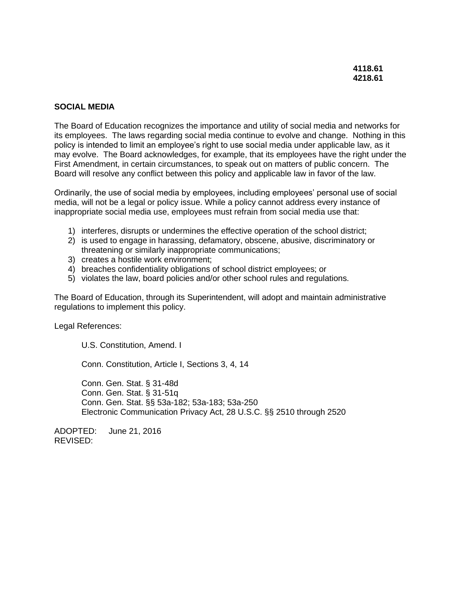#### **SOCIAL MEDIA**

The Board of Education recognizes the importance and utility of social media and networks for its employees. The laws regarding social media continue to evolve and change. Nothing in this policy is intended to limit an employee's right to use social media under applicable law, as it may evolve. The Board acknowledges, for example, that its employees have the right under the First Amendment, in certain circumstances, to speak out on matters of public concern. The Board will resolve any conflict between this policy and applicable law in favor of the law.

Ordinarily, the use of social media by employees, including employees' personal use of social media, will not be a legal or policy issue. While a policy cannot address every instance of inappropriate social media use, employees must refrain from social media use that:

- 1) interferes, disrupts or undermines the effective operation of the school district;
- 2) is used to engage in harassing, defamatory, obscene, abusive, discriminatory or threatening or similarly inappropriate communications;
- 3) creates a hostile work environment;
- 4) breaches confidentiality obligations of school district employees; or
- 5) violates the law, board policies and/or other school rules and regulations.

The Board of Education, through its Superintendent, will adopt and maintain administrative regulations to implement this policy.

Legal References:

U.S. Constitution, Amend. I

Conn. Constitution, Article I, Sections 3, 4, 14

Conn. Gen. Stat. § 31-48d Conn. Gen. Stat. § 31-51q Conn. Gen. Stat. §§ 53a-182; 53a-183; 53a-250 Electronic Communication Privacy Act, 28 U.S.C. §§ 2510 through 2520

ADOPTED: June 21, 2016 REVISED: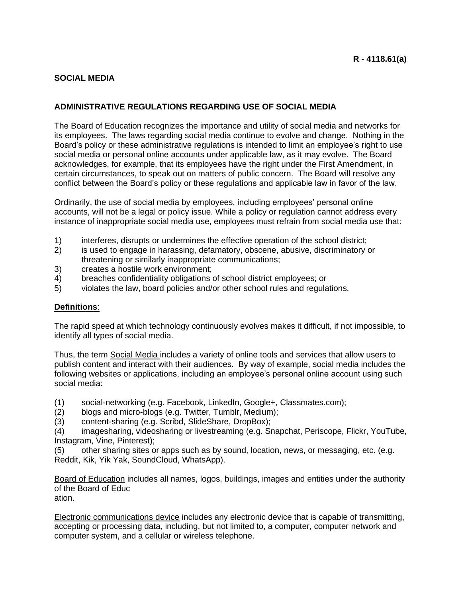## **SOCIAL MEDIA**

# **ADMINISTRATIVE REGULATIONS REGARDING USE OF SOCIAL MEDIA**

The Board of Education recognizes the importance and utility of social media and networks for its employees. The laws regarding social media continue to evolve and change. Nothing in the Board's policy or these administrative regulations is intended to limit an employee's right to use social media or personal online accounts under applicable law, as it may evolve. The Board acknowledges, for example, that its employees have the right under the First Amendment, in certain circumstances, to speak out on matters of public concern. The Board will resolve any conflict between the Board's policy or these regulations and applicable law in favor of the law.

Ordinarily, the use of social media by employees, including employees' personal online accounts, will not be a legal or policy issue. While a policy or regulation cannot address every instance of inappropriate social media use, employees must refrain from social media use that:

- 1) interferes, disrupts or undermines the effective operation of the school district;
- 2) is used to engage in harassing, defamatory, obscene, abusive, discriminatory or threatening or similarly inappropriate communications;
- 3) creates a hostile work environment;
- 4) breaches confidentiality obligations of school district employees; or
- 5) violates the law, board policies and/or other school rules and regulations.

## **Definitions**:

The rapid speed at which technology continuously evolves makes it difficult, if not impossible, to identify all types of social media.

Thus, the term Social Media includes a variety of online tools and services that allow users to publish content and interact with their audiences. By way of example, social media includes the following websites or applications, including an employee's personal online account using such social media:

(1) social-networking (e.g. Facebook, LinkedIn, Google+, Classmates.com);

- (2) blogs and micro-blogs (e.g. Twitter, Tumblr, Medium);
- (3) content-sharing (e.g. Scribd, SlideShare, DropBox);

(4) imagesharing, videosharing or livestreaming (e.g. Snapchat, Periscope, Flickr, YouTube, Instagram, Vine, Pinterest);

(5) other sharing sites or apps such as by sound, location, news, or messaging, etc. (e.g. Reddit, Kik, Yik Yak, SoundCloud, WhatsApp).

Board of Education includes all names, logos, buildings, images and entities under the authority of the Board of Educ ation.

Electronic communications device includes any electronic device that is capable of transmitting, accepting or processing data, including, but not limited to, a computer, computer network and computer system, and a cellular or wireless telephone.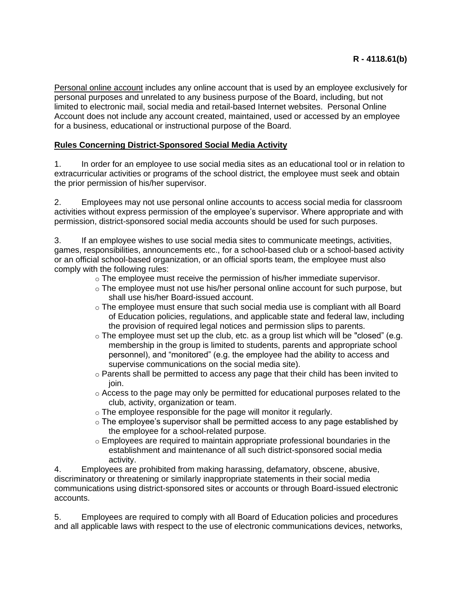Personal online account includes any online account that is used by an employee exclusively for personal purposes and unrelated to any business purpose of the Board, including, but not limited to electronic mail, social media and retail-based Internet websites. Personal Online Account does not include any account created, maintained, used or accessed by an employee for a business, educational or instructional purpose of the Board.

# **Rules Concerning District-Sponsored Social Media Activity**

1. In order for an employee to use social media sites as an educational tool or in relation to extracurricular activities or programs of the school district, the employee must seek and obtain the prior permission of his/her supervisor.

2. Employees may not use personal online accounts to access social media for classroom activities without express permission of the employee's supervisor. Where appropriate and with permission, district-sponsored social media accounts should be used for such purposes.

3. If an employee wishes to use social media sites to communicate meetings, activities, games, responsibilities, announcements etc., for a school-based club or a school-based activity or an official school-based organization, or an official sports team, the employee must also comply with the following rules:

- $\circ$  The employee must receive the permission of his/her immediate supervisor.
- o The employee must not use his/her personal online account for such purpose, but shall use his/her Board-issued account.
- $\circ$  The employee must ensure that such social media use is compliant with all Board of Education policies, regulations, and applicable state and federal law, including the provision of required legal notices and permission slips to parents.
- o The employee must set up the club, etc. as a group list which will be "closed" (e.g. membership in the group is limited to students, parents and appropriate school personnel), and "monitored" (e.g. the employee had the ability to access and supervise communications on the social media site).
- $\circ$  Parents shall be permitted to access any page that their child has been invited to join.
- o Access to the page may only be permitted for educational purposes related to the club, activity, organization or team.
- o The employee responsible for the page will monitor it regularly.
- o The employee's supervisor shall be permitted access to any page established by the employee for a school-related purpose.
- $\circ$  Employees are required to maintain appropriate professional boundaries in the establishment and maintenance of all such district-sponsored social media activity.

4. Employees are prohibited from making harassing, defamatory, obscene, abusive, discriminatory or threatening or similarly inappropriate statements in their social media communications using district-sponsored sites or accounts or through Board-issued electronic accounts.

5. Employees are required to comply with all Board of Education policies and procedures and all applicable laws with respect to the use of electronic communications devices, networks,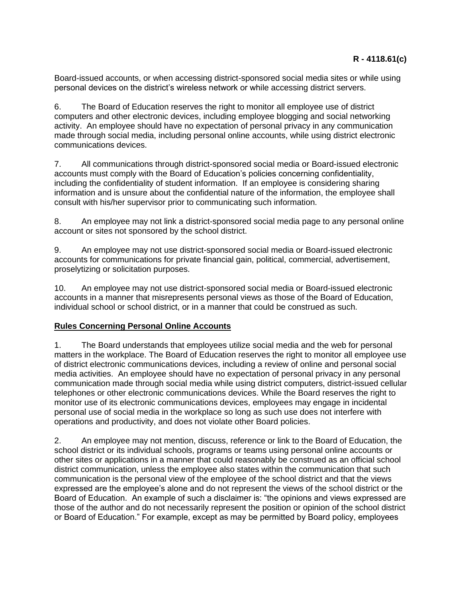Board-issued accounts, or when accessing district-sponsored social media sites or while using personal devices on the district's wireless network or while accessing district servers.

6. The Board of Education reserves the right to monitor all employee use of district computers and other electronic devices, including employee blogging and social networking activity. An employee should have no expectation of personal privacy in any communication made through social media, including personal online accounts, while using district electronic communications devices.

7. All communications through district-sponsored social media or Board-issued electronic accounts must comply with the Board of Education's policies concerning confidentiality, including the confidentiality of student information. If an employee is considering sharing information and is unsure about the confidential nature of the information, the employee shall consult with his/her supervisor prior to communicating such information.

8. An employee may not link a district-sponsored social media page to any personal online account or sites not sponsored by the school district.

9. An employee may not use district-sponsored social media or Board-issued electronic accounts for communications for private financial gain, political, commercial, advertisement, proselytizing or solicitation purposes.

10. An employee may not use district-sponsored social media or Board-issued electronic accounts in a manner that misrepresents personal views as those of the Board of Education, individual school or school district, or in a manner that could be construed as such.

## **Rules Concerning Personal Online Accounts**

1. The Board understands that employees utilize social media and the web for personal matters in the workplace. The Board of Education reserves the right to monitor all employee use of district electronic communications devices, including a review of online and personal social media activities. An employee should have no expectation of personal privacy in any personal communication made through social media while using district computers, district-issued cellular telephones or other electronic communications devices. While the Board reserves the right to monitor use of its electronic communications devices, employees may engage in incidental personal use of social media in the workplace so long as such use does not interfere with operations and productivity, and does not violate other Board policies.

2. An employee may not mention, discuss, reference or link to the Board of Education, the school district or its individual schools, programs or teams using personal online accounts or other sites or applications in a manner that could reasonably be construed as an official school district communication, unless the employee also states within the communication that such communication is the personal view of the employee of the school district and that the views expressed are the employee's alone and do not represent the views of the school district or the Board of Education. An example of such a disclaimer is: "the opinions and views expressed are those of the author and do not necessarily represent the position or opinion of the school district or Board of Education." For example, except as may be permitted by Board policy, employees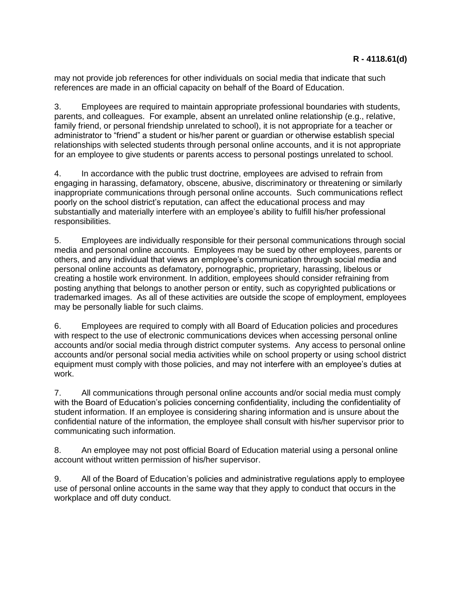may not provide job references for other individuals on social media that indicate that such references are made in an official capacity on behalf of the Board of Education.

3. Employees are required to maintain appropriate professional boundaries with students, parents, and colleagues. For example, absent an unrelated online relationship (e.g., relative, family friend, or personal friendship unrelated to school), it is not appropriate for a teacher or administrator to "friend" a student or his/her parent or guardian or otherwise establish special relationships with selected students through personal online accounts, and it is not appropriate for an employee to give students or parents access to personal postings unrelated to school.

4. In accordance with the public trust doctrine, employees are advised to refrain from engaging in harassing, defamatory, obscene, abusive, discriminatory or threatening or similarly inappropriate communications through personal online accounts. Such communications reflect poorly on the school district's reputation, can affect the educational process and may substantially and materially interfere with an employee's ability to fulfill his/her professional responsibilities.

5. Employees are individually responsible for their personal communications through social media and personal online accounts. Employees may be sued by other employees, parents or others, and any individual that views an employee's communication through social media and personal online accounts as defamatory, pornographic, proprietary, harassing, libelous or creating a hostile work environment. In addition, employees should consider refraining from posting anything that belongs to another person or entity, such as copyrighted publications or trademarked images. As all of these activities are outside the scope of employment, employees may be personally liable for such claims.

6. Employees are required to comply with all Board of Education policies and procedures with respect to the use of electronic communications devices when accessing personal online accounts and/or social media through district computer systems. Any access to personal online accounts and/or personal social media activities while on school property or using school district equipment must comply with those policies, and may not interfere with an employee's duties at work.

7. All communications through personal online accounts and/or social media must comply with the Board of Education's policies concerning confidentiality, including the confidentiality of student information. If an employee is considering sharing information and is unsure about the confidential nature of the information, the employee shall consult with his/her supervisor prior to communicating such information.

8. An employee may not post official Board of Education material using a personal online account without written permission of his/her supervisor.

9. All of the Board of Education's policies and administrative regulations apply to employee use of personal online accounts in the same way that they apply to conduct that occurs in the workplace and off duty conduct.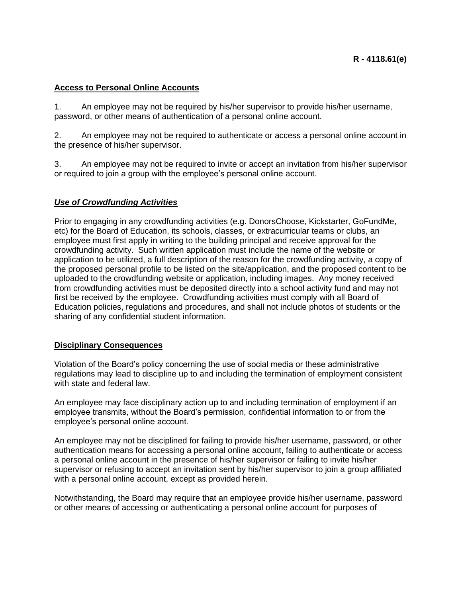## **Access to Personal Online Accounts**

1. An employee may not be required by his/her supervisor to provide his/her username, password, or other means of authentication of a personal online account.

2. An employee may not be required to authenticate or access a personal online account in the presence of his/her supervisor.

3. An employee may not be required to invite or accept an invitation from his/her supervisor or required to join a group with the employee's personal online account.

### *Use of Crowdfunding Activities*

Prior to engaging in any crowdfunding activities (e.g. DonorsChoose, Kickstarter, GoFundMe, etc) for the Board of Education, its schools, classes, or extracurricular teams or clubs, an employee must first apply in writing to the building principal and receive approval for the crowdfunding activity. Such written application must include the name of the website or application to be utilized, a full description of the reason for the crowdfunding activity, a copy of the proposed personal profile to be listed on the site/application, and the proposed content to be uploaded to the crowdfunding website or application, including images. Any money received from crowdfunding activities must be deposited directly into a school activity fund and may not first be received by the employee. Crowdfunding activities must comply with all Board of Education policies, regulations and procedures, and shall not include photos of students or the sharing of any confidential student information.

#### **Disciplinary Consequences**

Violation of the Board's policy concerning the use of social media or these administrative regulations may lead to discipline up to and including the termination of employment consistent with state and federal law.

An employee may face disciplinary action up to and including termination of employment if an employee transmits, without the Board's permission, confidential information to or from the employee's personal online account.

An employee may not be disciplined for failing to provide his/her username, password, or other authentication means for accessing a personal online account, failing to authenticate or access a personal online account in the presence of his/her supervisor or failing to invite his/her supervisor or refusing to accept an invitation sent by his/her supervisor to join a group affiliated with a personal online account, except as provided herein.

Notwithstanding, the Board may require that an employee provide his/her username, password or other means of accessing or authenticating a personal online account for purposes of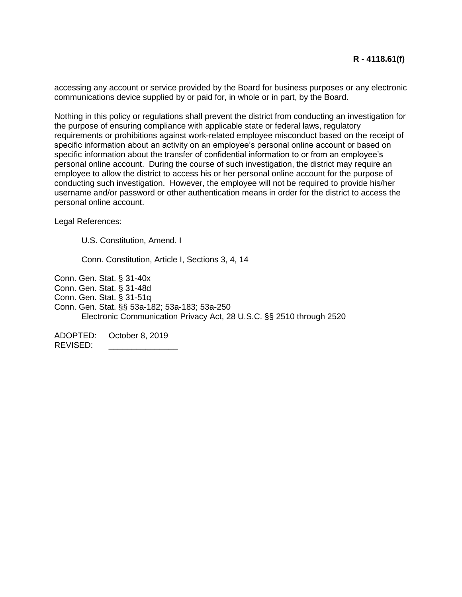accessing any account or service provided by the Board for business purposes or any electronic communications device supplied by or paid for, in whole or in part, by the Board.

Nothing in this policy or regulations shall prevent the district from conducting an investigation for the purpose of ensuring compliance with applicable state or federal laws, regulatory requirements or prohibitions against work-related employee misconduct based on the receipt of specific information about an activity on an employee's personal online account or based on specific information about the transfer of confidential information to or from an employee's personal online account. During the course of such investigation, the district may require an employee to allow the district to access his or her personal online account for the purpose of conducting such investigation. However, the employee will not be required to provide his/her username and/or password or other authentication means in order for the district to access the personal online account.

Legal References:

U.S. Constitution, Amend. I

Conn. Constitution, Article I, Sections 3, 4, 14

Conn. Gen. Stat. § 31-40x

Conn. Gen. Stat. § 31-48d

Conn. Gen. Stat. § 31-51q

Conn. Gen. Stat. §§ 53a-182; 53a-183; 53a-250 Electronic Communication Privacy Act, 28 U.S.C. §§ 2510 through 2520

ADOPTED: October 8, 2019 REVISED: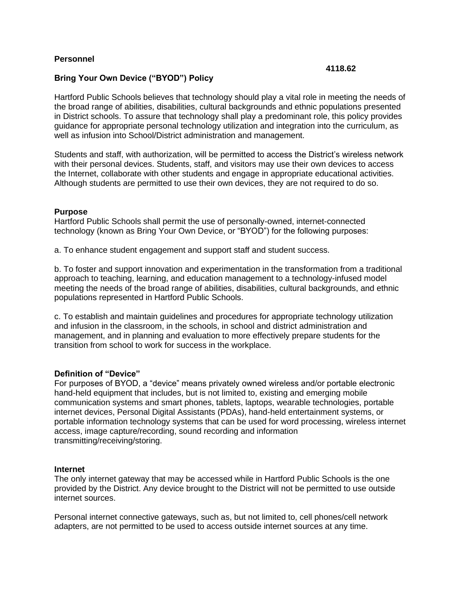### **Personnel**

#### **4118.62**

### **Bring Your Own Device ("BYOD") Policy**

Hartford Public Schools believes that technology should play a vital role in meeting the needs of the broad range of abilities, disabilities, cultural backgrounds and ethnic populations presented in District schools. To assure that technology shall play a predominant role, this policy provides guidance for appropriate personal technology utilization and integration into the curriculum, as well as infusion into School/District administration and management.

Students and staff, with authorization, will be permitted to access the District's wireless network with their personal devices. Students, staff, and visitors may use their own devices to access the Internet, collaborate with other students and engage in appropriate educational activities. Although students are permitted to use their own devices, they are not required to do so.

#### **Purpose**

Hartford Public Schools shall permit the use of personally-owned, internet-connected technology (known as Bring Your Own Device, or "BYOD") for the following purposes:

a. To enhance student engagement and support staff and student success.

b. To foster and support innovation and experimentation in the transformation from a traditional approach to teaching, learning, and education management to a technology-infused model meeting the needs of the broad range of abilities, disabilities, cultural backgrounds, and ethnic populations represented in Hartford Public Schools.

c. To establish and maintain guidelines and procedures for appropriate technology utilization and infusion in the classroom, in the schools, in school and district administration and management, and in planning and evaluation to more effectively prepare students for the transition from school to work for success in the workplace.

#### **Definition of "Device"**

For purposes of BYOD, a "device" means privately owned wireless and/or portable electronic hand-held equipment that includes, but is not limited to, existing and emerging mobile communication systems and smart phones, tablets, laptops, wearable technologies, portable internet devices, Personal Digital Assistants (PDAs), hand-held entertainment systems, or portable information technology systems that can be used for word processing, wireless internet access, image capture/recording, sound recording and information transmitting/receiving/storing.

#### **Internet**

The only internet gateway that may be accessed while in Hartford Public Schools is the one provided by the District. Any device brought to the District will not be permitted to use outside internet sources.

Personal internet connective gateways, such as, but not limited to, cell phones/cell network adapters, are not permitted to be used to access outside internet sources at any time.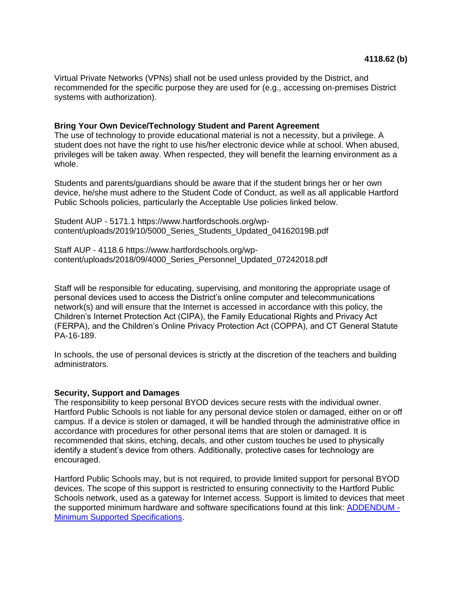Virtual Private Networks (VPNs) shall not be used unless provided by the District, and recommended for the specific purpose they are used for (e.g., accessing on-premises District systems with authorization).

#### **Bring Your Own Device/Technology Student and Parent Agreement**

The use of technology to provide educational material is not a necessity, but a privilege. A student does not have the right to use his/her electronic device while at school. When abused, privileges will be taken away. When respected, they will benefit the learning environment as a whole.

Students and parents/guardians should be aware that if the student brings her or her own device, he/she must adhere to the Student Code of Conduct, as well as all applicable Hartford Public Schools policies, particularly the Acceptable Use policies linked below.

Student AUP - 5171.1 https://www.hartfordschools.org/wpcontent/uploads/2019/10/5000\_Series\_Students\_Updated\_04162019B.pdf

Staff AUP - 4118.6 https://www.hartfordschools.org/wpcontent/uploads/2018/09/4000\_Series\_Personnel\_Updated\_07242018.pdf

Staff will be responsible for educating, supervising, and monitoring the appropriate usage of personal devices used to access the District's online computer and telecommunications network(s) and will ensure that the Internet is accessed in accordance with this policy, the Children's Internet Protection Act (CIPA), the Family Educational Rights and Privacy Act (FERPA), and the Children's Online Privacy Protection Act (COPPA), and CT General Statute PA-16-189.

In schools, the use of personal devices is strictly at the discretion of the teachers and building administrators.

#### **Security, Support and Damages**

The responsibility to keep personal BYOD devices secure rests with the individual owner. Hartford Public Schools is not liable for any personal device stolen or damaged, either on or off campus. If a device is stolen or damaged, it will be handled through the administrative office in accordance with procedures for other personal items that are stolen or damaged. It is recommended that skins, etching, decals, and other custom touches be used to physically identify a student's device from others. Additionally, protective cases for technology are encouraged.

Hartford Public Schools may, but is not required, to provide limited support for personal BYOD devices. The scope of this support is restricted to ensuring connectivity to the Hartford Public Schools network, used as a gateway for Internet access. Support is limited to devices that meet the supported minimum hardware and software specifications found at this link: [ADDENDUM -](#page-93-0) [Minimum Supported Specifications.](#page-93-0)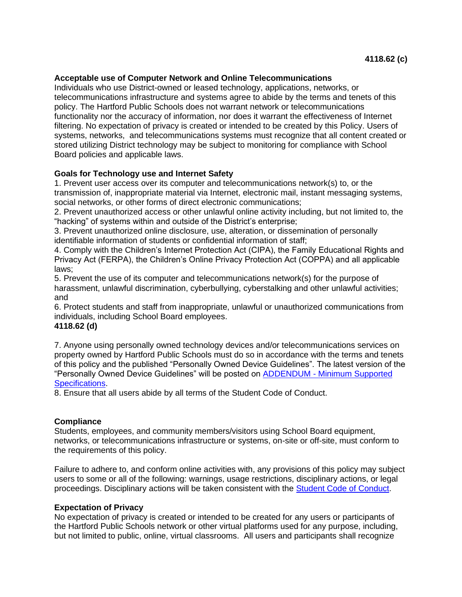### **Acceptable use of Computer Network and Online Telecommunications**

Individuals who use District-owned or leased technology, applications, networks, or telecommunications infrastructure and systems agree to abide by the terms and tenets of this policy. The Hartford Public Schools does not warrant network or telecommunications functionality nor the accuracy of information, nor does it warrant the effectiveness of Internet filtering. No expectation of privacy is created or intended to be created by this Policy. Users of systems, networks, and telecommunications systems must recognize that all content created or stored utilizing District technology may be subject to monitoring for compliance with School Board policies and applicable laws.

## **Goals for Technology use and Internet Safety**

1. Prevent user access over its computer and telecommunications network(s) to, or the transmission of, inappropriate material via Internet, electronic mail, instant messaging systems, social networks, or other forms of direct electronic communications;

2. Prevent unauthorized access or other unlawful online activity including, but not limited to, the "hacking" of systems within and outside of the District's enterprise;

3. Prevent unauthorized online disclosure, use, alteration, or dissemination of personally identifiable information of students or confidential information of staff;

4. Comply with the Children's Internet Protection Act (CIPA), the Family Educational Rights and Privacy Act (FERPA), the Children's Online Privacy Protection Act (COPPA) and all applicable laws;

5. Prevent the use of its computer and telecommunications network(s) for the purpose of harassment, unlawful discrimination, cyberbullying, cyberstalking and other unlawful activities; and

6. Protect students and staff from inappropriate, unlawful or unauthorized communications from individuals, including School Board employees.

#### **4118.62 (d)**

7. Anyone using personally owned technology devices and/or telecommunications services on property owned by Hartford Public Schools must do so in accordance with the terms and tenets of this policy and the published "Personally Owned Device Guidelines". The latest version of the "Personally Owned Device Guidelines" will be posted on ADDENDUM - [Minimum Supported](#page-93-0)  [Specifications.](#page-93-0)

8. Ensure that all users abide by all terms of the Student Code of Conduct.

## **Compliance**

Students, employees, and community members/visitors using School Board equipment, networks, or telecommunications infrastructure or systems, on-site or off-site, must conform to the requirements of this policy.

Failure to adhere to, and conform online activities with, any provisions of this policy may subject users to some or all of the following: warnings, usage restrictions, disciplinary actions, or legal proceedings. Disciplinary actions will be taken consistent with the [Student Code of Conduct.](https://www.hartfordschools.org/wp-content/uploads/2020/01/CODE_OF_CONDUCT_012920-3.pdf)

#### **Expectation of Privacy**

No expectation of privacy is created or intended to be created for any users or participants of the Hartford Public Schools network or other virtual platforms used for any purpose, including, but not limited to public, online, virtual classrooms. All users and participants shall recognize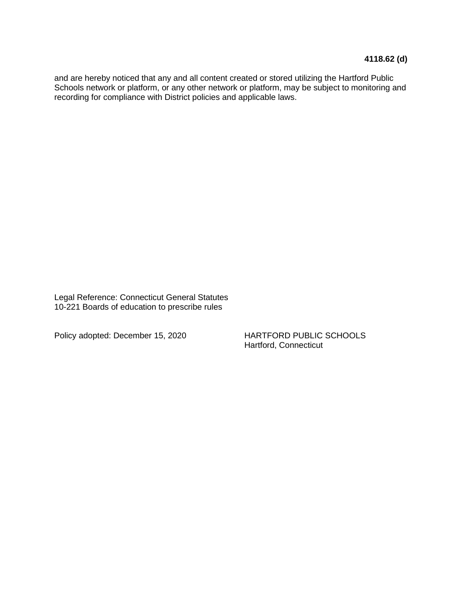and are hereby noticed that any and all content created or stored utilizing the Hartford Public Schools network or platform, or any other network or platform, may be subject to monitoring and recording for compliance with District policies and applicable laws.

Legal Reference: Connecticut General Statutes 10-221 Boards of education to prescribe rules

Policy adopted: December 15, 2020 HARTFORD PUBLIC SCHOOLS

Hartford, Connecticut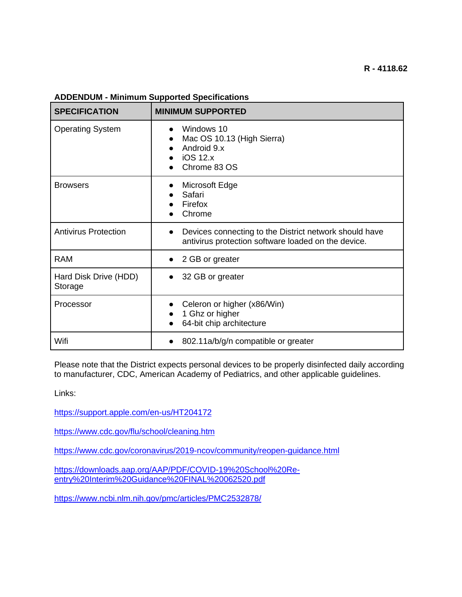| <b>SPECIFICATION</b>             | <b>MINIMUM SUPPORTED</b>                                                                                      |
|----------------------------------|---------------------------------------------------------------------------------------------------------------|
| <b>Operating System</b>          | Windows 10<br>Mac OS 10.13 (High Sierra)<br>Android 9.x<br><b>iOS 12.x</b><br>Chrome 83 OS                    |
| <b>Browsers</b>                  | Microsoft Edge<br>$\bullet$<br>Safari<br>Firefox<br>Chrome                                                    |
| <b>Antivirus Protection</b>      | Devices connecting to the District network should have<br>antivirus protection software loaded on the device. |
| <b>RAM</b>                       | • 2 GB or greater                                                                                             |
| Hard Disk Drive (HDD)<br>Storage | 32 GB or greater<br>$\bullet$                                                                                 |
| Processor                        | Celeron or higher (x86/Win)<br>1 Ghz or higher<br>64-bit chip architecture                                    |
| Wifi                             | 802.11a/b/g/n compatible or greater                                                                           |

## <span id="page-93-0"></span>**ADDENDUM - Minimum Supported Specifications**

Please note that the District expects personal devices to be properly disinfected daily according to manufacturer, CDC, American Academy of Pediatrics, and other applicable guidelines.

Links:

<https://support.apple.com/en-us/HT204172>

<https://www.cdc.gov/flu/school/cleaning.htm>

<https://www.cdc.gov/coronavirus/2019-ncov/community/reopen-guidance.html>

[https://downloads.aap.org/AAP/PDF/COVID-19%20School%20Re](https://downloads.aap.org/AAP/PDF/COVID-19%20School%20Re-entry%20Interim%20Guidance%20FINAL%20062520.pdf)[entry%20Interim%20Guidance%20FINAL%20062520.pdf](https://downloads.aap.org/AAP/PDF/COVID-19%20School%20Re-entry%20Interim%20Guidance%20FINAL%20062520.pdf)

<https://www.ncbi.nlm.nih.gov/pmc/articles/PMC2532878/>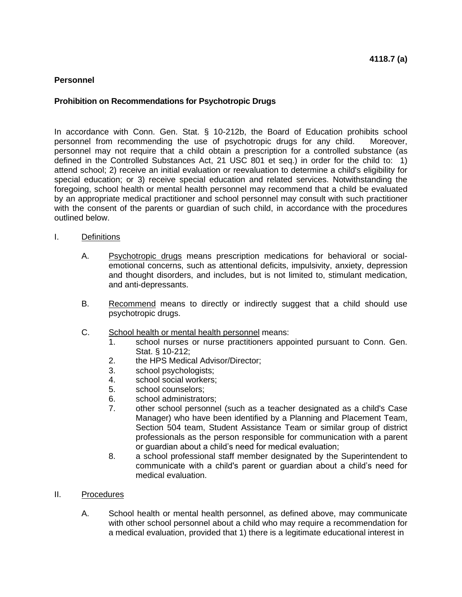## **Personnel**

### **Prohibition on Recommendations for Psychotropic Drugs**

In accordance with Conn. Gen. Stat. § 10-212b, the Board of Education prohibits school personnel from recommending the use of psychotropic drugs for any child. Moreover, personnel may not require that a child obtain a prescription for a controlled substance (as defined in the Controlled Substances Act, 21 USC 801 et seq.) in order for the child to: 1) attend school; 2) receive an initial evaluation or reevaluation to determine a child's eligibility for special education; or 3) receive special education and related services. Notwithstanding the foregoing, school health or mental health personnel may recommend that a child be evaluated by an appropriate medical practitioner and school personnel may consult with such practitioner with the consent of the parents or guardian of such child, in accordance with the procedures outlined below.

- I. Definitions
	- A. Psychotropic drugs means prescription medications for behavioral or socialemotional concerns, such as attentional deficits, impulsivity, anxiety, depression and thought disorders, and includes, but is not limited to, stimulant medication, and anti-depressants.
	- B. Recommend means to directly or indirectly suggest that a child should use psychotropic drugs.
	- C. School health or mental health personnel means:
		- 1. school nurses or nurse practitioners appointed pursuant to Conn. Gen. Stat. § 10-212;
		- 2. the HPS Medical Advisor/Director;
		- 3. school psychologists;
		- 4. school social workers;
		- 5. school counselors;
		- 6. school administrators;
		- 7. other school personnel (such as a teacher designated as a child's Case Manager) who have been identified by a Planning and Placement Team, Section 504 team, Student Assistance Team or similar group of district professionals as the person responsible for communication with a parent or guardian about a child's need for medical evaluation;
		- 8. a school professional staff member designated by the Superintendent to communicate with a child's parent or guardian about a child's need for medical evaluation.
- II. Procedures
	- A. School health or mental health personnel, as defined above, may communicate with other school personnel about a child who may require a recommendation for a medical evaluation, provided that 1) there is a legitimate educational interest in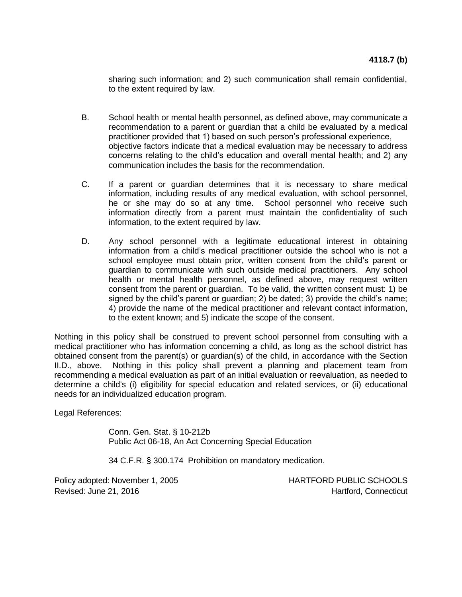sharing such information; and 2) such communication shall remain confidential, to the extent required by law.

- B. School health or mental health personnel, as defined above, may communicate a recommendation to a parent or guardian that a child be evaluated by a medical practitioner provided that 1) based on such person's professional experience, objective factors indicate that a medical evaluation may be necessary to address concerns relating to the child's education and overall mental health; and 2) any communication includes the basis for the recommendation.
- C. If a parent or guardian determines that it is necessary to share medical information, including results of any medical evaluation, with school personnel, he or she may do so at any time. School personnel who receive such information directly from a parent must maintain the confidentiality of such information, to the extent required by law.
- D. Any school personnel with a legitimate educational interest in obtaining information from a child's medical practitioner outside the school who is not a school employee must obtain prior, written consent from the child's parent or guardian to communicate with such outside medical practitioners. Any school health or mental health personnel, as defined above, may request written consent from the parent or guardian. To be valid, the written consent must: 1) be signed by the child's parent or guardian; 2) be dated; 3) provide the child's name; 4) provide the name of the medical practitioner and relevant contact information, to the extent known; and 5) indicate the scope of the consent.

Nothing in this policy shall be construed to prevent school personnel from consulting with a medical practitioner who has information concerning a child, as long as the school district has obtained consent from the parent(s) or guardian(s) of the child, in accordance with the Section II.D., above. Nothing in this policy shall prevent a planning and placement team from recommending a medical evaluation as part of an initial evaluation or reevaluation, as needed to determine a child's (i) eligibility for special education and related services, or (ii) educational needs for an individualized education program.

Legal References:

Conn. Gen. Stat. § 10-212b Public Act 06-18, An Act Concerning Special Education

34 C.F.R. § 300.174 Prohibition on mandatory medication.

Policy adopted: November 1, 2005 HARTFORD PUBLIC SCHOOLS Revised: June 21, 2016 **Hartford, Connecticut**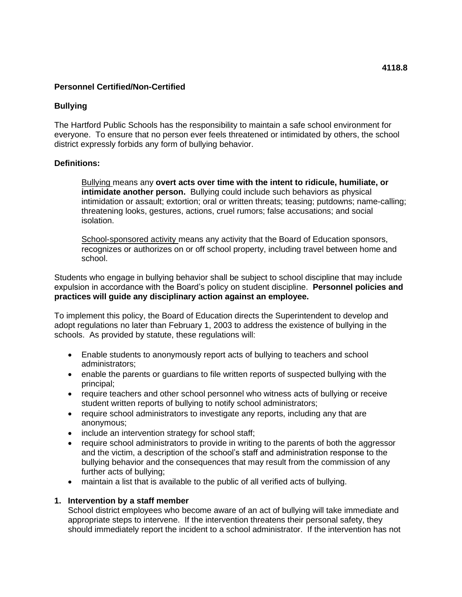### **Bullying**

The Hartford Public Schools has the responsibility to maintain a safe school environment for everyone. To ensure that no person ever feels threatened or intimidated by others, the school district expressly forbids any form of bullying behavior.

### **Definitions:**

Bullying means any **overt acts over time with the intent to ridicule, humiliate, or intimidate another person.** Bullying could include such behaviors as physical intimidation or assault; extortion; oral or written threats; teasing; putdowns; name-calling; threatening looks, gestures, actions, cruel rumors; false accusations; and social isolation.

**School-sponsored activity means any activity that the Board of Education sponsors,** recognizes or authorizes on or off school property, including travel between home and school.

Students who engage in bullying behavior shall be subject to school discipline that may include expulsion in accordance with the Board's policy on student discipline. **Personnel policies and practices will guide any disciplinary action against an employee.**

To implement this policy, the Board of Education directs the Superintendent to develop and adopt regulations no later than February 1, 2003 to address the existence of bullying in the schools. As provided by statute, these regulations will:

- Enable students to anonymously report acts of bullying to teachers and school administrators;
- enable the parents or guardians to file written reports of suspected bullying with the principal;
- require teachers and other school personnel who witness acts of bullying or receive student written reports of bullying to notify school administrators;
- require school administrators to investigate any reports, including any that are anonymous;
- include an intervention strategy for school staff;
- require school administrators to provide in writing to the parents of both the aggressor and the victim, a description of the school's staff and administration response to the bullying behavior and the consequences that may result from the commission of any further acts of bullying;
- maintain a list that is available to the public of all verified acts of bullying.

#### **1. Intervention by a staff member**

School district employees who become aware of an act of bullying will take immediate and appropriate steps to intervene. If the intervention threatens their personal safety, they should immediately report the incident to a school administrator. If the intervention has not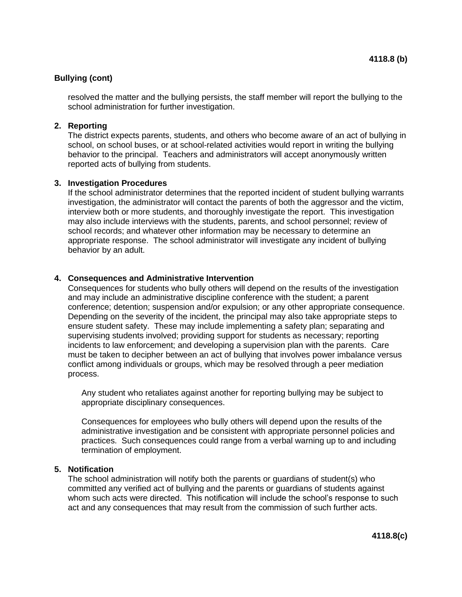## **Bullying (cont)**

resolved the matter and the bullying persists, the staff member will report the bullying to the school administration for further investigation.

## **2. Reporting**

The district expects parents, students, and others who become aware of an act of bullying in school, on school buses, or at school-related activities would report in writing the bullying behavior to the principal. Teachers and administrators will accept anonymously written reported acts of bullying from students.

### **3. Investigation Procedures**

If the school administrator determines that the reported incident of student bullying warrants investigation, the administrator will contact the parents of both the aggressor and the victim, interview both or more students, and thoroughly investigate the report. This investigation may also include interviews with the students, parents, and school personnel; review of school records; and whatever other information may be necessary to determine an appropriate response. The school administrator will investigate any incident of bullying behavior by an adult.

### **4. Consequences and Administrative Intervention**

Consequences for students who bully others will depend on the results of the investigation and may include an administrative discipline conference with the student; a parent conference; detention; suspension and/or expulsion; or any other appropriate consequence. Depending on the severity of the incident, the principal may also take appropriate steps to ensure student safety. These may include implementing a safety plan; separating and supervising students involved; providing support for students as necessary; reporting incidents to law enforcement; and developing a supervision plan with the parents. Care must be taken to decipher between an act of bullying that involves power imbalance versus conflict among individuals or groups, which may be resolved through a peer mediation process.

Any student who retaliates against another for reporting bullying may be subject to appropriate disciplinary consequences.

Consequences for employees who bully others will depend upon the results of the administrative investigation and be consistent with appropriate personnel policies and practices. Such consequences could range from a verbal warning up to and including termination of employment.

## **5. Notification**

The school administration will notify both the parents or guardians of student(s) who committed any verified act of bullying and the parents or guardians of students against whom such acts were directed. This notification will include the school's response to such act and any consequences that may result from the commission of such further acts.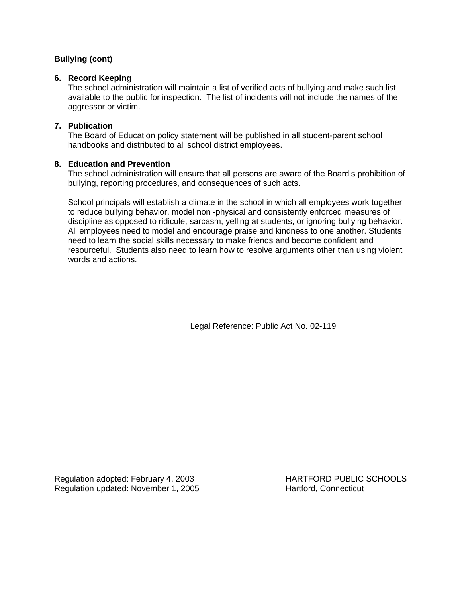# **Bullying (cont)**

### **6. Record Keeping**

The school administration will maintain a list of verified acts of bullying and make such list available to the public for inspection. The list of incidents will not include the names of the aggressor or victim.

## **7. Publication**

The Board of Education policy statement will be published in all student-parent school handbooks and distributed to all school district employees.

### **8. Education and Prevention**

The school administration will ensure that all persons are aware of the Board's prohibition of bullying, reporting procedures, and consequences of such acts.

School principals will establish a climate in the school in which all employees work together to reduce bullying behavior, model non -physical and consistently enforced measures of discipline as opposed to ridicule, sarcasm, yelling at students, or ignoring bullying behavior. All employees need to model and encourage praise and kindness to one another. Students need to learn the social skills necessary to make friends and become confident and resourceful. Students also need to learn how to resolve arguments other than using violent words and actions.

Legal Reference: Public Act No. 02-119

Regulation adopted: February 4, 2003 HARTFORD PUBLIC SCHOOLS Regulation updated: November 1, 2005 Hartford, Connecticut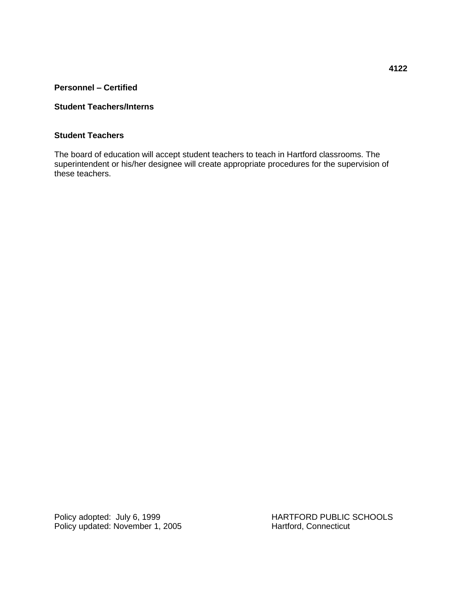**Personnel – Certified**

## **Student Teachers/Interns**

### **Student Teachers**

The board of education will accept student teachers to teach in Hartford classrooms. The superintendent or his/her designee will create appropriate procedures for the supervision of these teachers.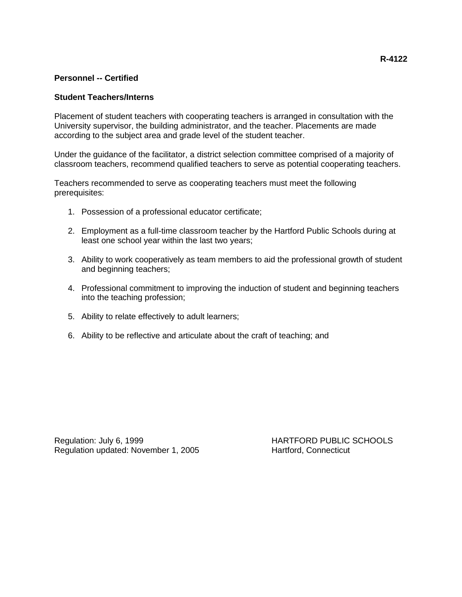## **Personnel -- Certified**

### **Student Teachers/Interns**

Placement of student teachers with cooperating teachers is arranged in consultation with the University supervisor, the building administrator, and the teacher. Placements are made according to the subject area and grade level of the student teacher.

Under the guidance of the facilitator, a district selection committee comprised of a majority of classroom teachers, recommend qualified teachers to serve as potential cooperating teachers.

Teachers recommended to serve as cooperating teachers must meet the following prerequisites:

- 1. Possession of a professional educator certificate;
- 2. Employment as a full-time classroom teacher by the Hartford Public Schools during at least one school year within the last two years;
- 3. Ability to work cooperatively as team members to aid the professional growth of student and beginning teachers;
- 4. Professional commitment to improving the induction of student and beginning teachers into the teaching profession;
- 5. Ability to relate effectively to adult learners;
- 6. Ability to be reflective and articulate about the craft of teaching; and

Regulation: July 6, 1999 **https://www.franchilder.org/manufation: July 6, 1999 HARTFORD PUBLIC SCHOOLS** Regulation updated: November 1, 2005 Hartford, Connecticut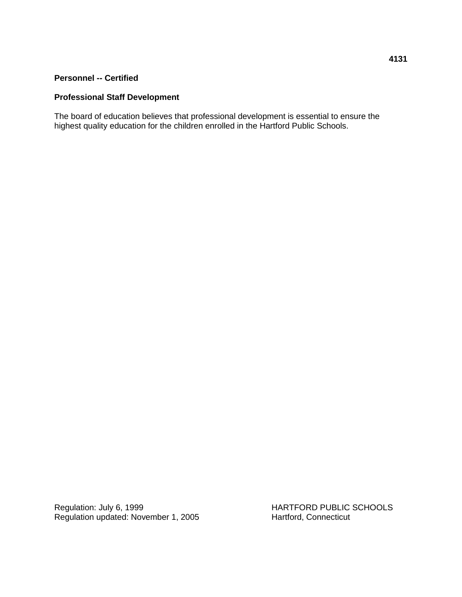### **Personnel -- Certified**

# **Professional Staff Development**

The board of education believes that professional development is essential to ensure the highest quality education for the children enrolled in the Hartford Public Schools.

Regulation: July 6, 1999<br>
Regulation updated: November 1, 2005<br>
Hartford, Connecticut<br>
Hartford, Connecticut Regulation updated: November 1, 2005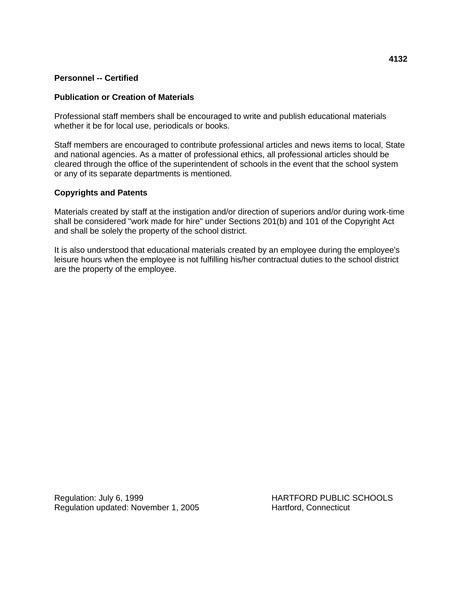## **Personnel -- Certified**

### **Publication or Creation of Materials**

Professional staff members shall be encouraged to write and publish educational materials whether it be for local use, periodicals or books.

Staff members are encouraged to contribute professional articles and news items to local, State and national agencies. As a matter of professional ethics, all professional articles should be cleared through the office of the superintendent of schools in the event that the school system or any of its separate departments is mentioned.

### **Copyrights and Patents**

Materials created by staff at the instigation and/or direction of superiors and/or during work-time shall be considered "work made for hire" under Sections 201(b) and 101 of the Copyright Act and shall be solely the property of the school district.

It is also understood that educational materials created by an employee during the employee's leisure hours when the employee is not fulfilling his/her contractual duties to the school district are the property of the employee.

Regulation: July 6, 1999 **HARTFORD PUBLIC SCHOOLS** Regulation updated: November 1, 2005 Hartford, Connecticut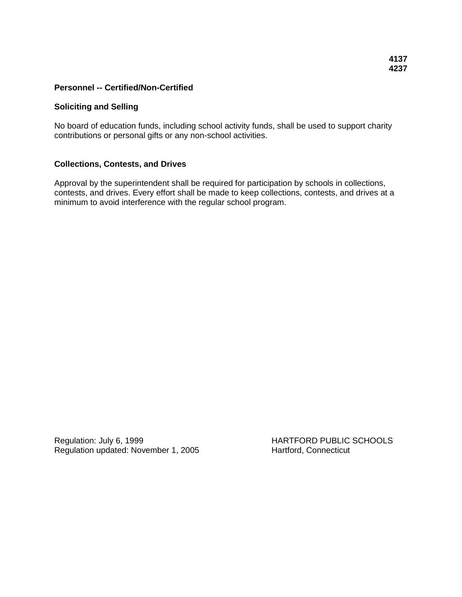#### **Soliciting and Selling**

No board of education funds, including school activity funds, shall be used to support charity contributions or personal gifts or any non-school activities.

#### **Collections, Contests, and Drives**

Approval by the superintendent shall be required for participation by schools in collections, contests, and drives. Every effort shall be made to keep collections, contests, and drives at a minimum to avoid interference with the regular school program.

Regulation: July 6, 1999 **HARTFORD PUBLIC SCHOOLS** Regulation updated: November 1, 2005 Hartford, Connecticut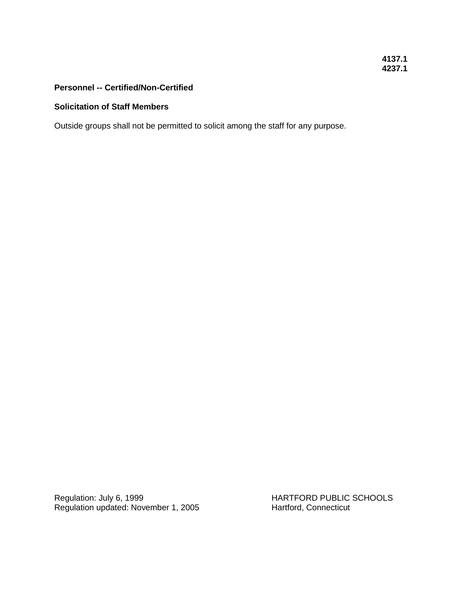## **4137.1 4237.1**

# **Personnel -- Certified/Non-Certified**

#### **Solicitation of Staff Members**

Outside groups shall not be permitted to solicit among the staff for any purpose.

Regulation: July 6, 1999<br>
Regulation updated: November 1, 2005<br>
Hartford, Connecticut<br>
Hartford, Connecticut Regulation updated: November 1, 2005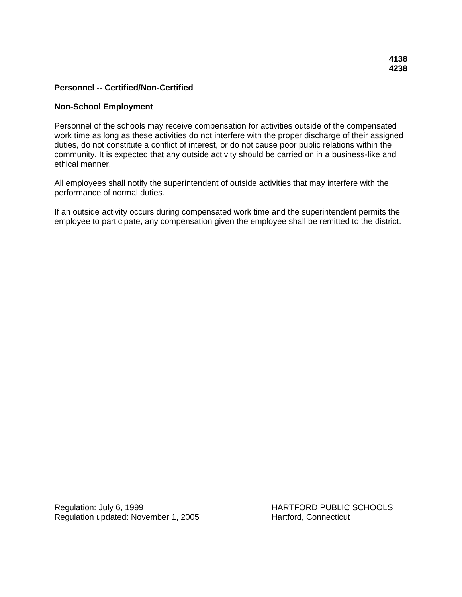#### **Non-School Employment**

Personnel of the schools may receive compensation for activities outside of the compensated work time as long as these activities do not interfere with the proper discharge of their assigned duties, do not constitute a conflict of interest, or do not cause poor public relations within the community. It is expected that any outside activity should be carried on in a business-like and ethical manner.

All employees shall notify the superintendent of outside activities that may interfere with the performance of normal duties.

If an outside activity occurs during compensated work time and the superintendent permits the employee to participate**,** any compensation given the employee shall be remitted to the district.

Regulation: July 6, 1999 **HARTFORD PUBLIC SCHOOLS** Regulation updated: November 1, 2005 Hartford, Connecticut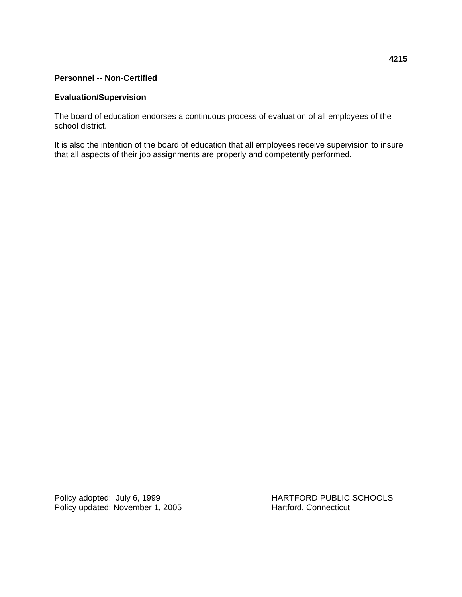### **Personnel -- Non-Certified**

# **Evaluation/Supervision**

The board of education endorses a continuous process of evaluation of all employees of the school district.

It is also the intention of the board of education that all employees receive supervision to insure that all aspects of their job assignments are properly and competently performed.

Policy updated: November 1, 2005 Hartford, Connecticut

Policy adopted: July 6, 1999 HARTFORD PUBLIC SCHOOLS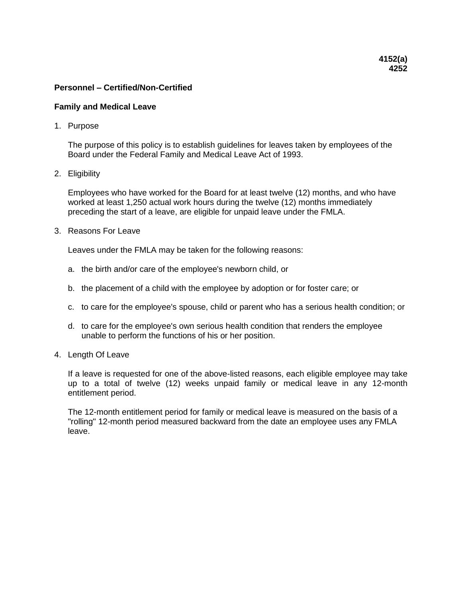#### **Family and Medical Leave**

1. Purpose

The purpose of this policy is to establish guidelines for leaves taken by employees of the Board under the Federal Family and Medical Leave Act of 1993.

2. Eligibility

Employees who have worked for the Board for at least twelve (12) months, and who have worked at least 1,250 actual work hours during the twelve (12) months immediately preceding the start of a leave, are eligible for unpaid leave under the FMLA.

3. Reasons For Leave

Leaves under the FMLA may be taken for the following reasons:

- a. the birth and/or care of the employee's newborn child, or
- b. the placement of a child with the employee by adoption or for foster care; or
- c. to care for the employee's spouse, child or parent who has a serious health condition; or
- d. to care for the employee's own serious health condition that renders the employee unable to perform the functions of his or her position.
- 4. Length Of Leave

If a leave is requested for one of the above-listed reasons, each eligible employee may take up to a total of twelve (12) weeks unpaid family or medical leave in any 12-month entitlement period.

The 12-month entitlement period for family or medical leave is measured on the basis of a "rolling" 12-month period measured backward from the date an employee uses any FMLA leave.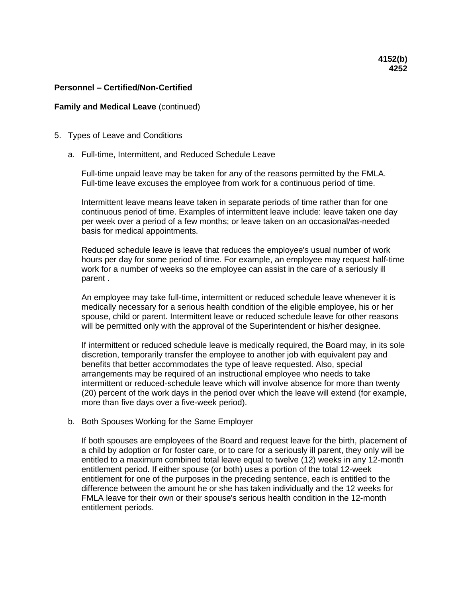#### **Family and Medical Leave** (continued)

- 5. Types of Leave and Conditions
	- a. Full-time, Intermittent, and Reduced Schedule Leave

Full-time unpaid leave may be taken for any of the reasons permitted by the FMLA. Full-time leave excuses the employee from work for a continuous period of time.

Intermittent leave means leave taken in separate periods of time rather than for one continuous period of time. Examples of intermittent leave include: leave taken one day per week over a period of a few months; or leave taken on an occasional/as-needed basis for medical appointments.

Reduced schedule leave is leave that reduces the employee's usual number of work hours per day for some period of time. For example, an employee may request half-time work for a number of weeks so the employee can assist in the care of a seriously ill parent .

An employee may take full-time, intermittent or reduced schedule leave whenever it is medically necessary for a serious health condition of the eligible employee, his or her spouse, child or parent. Intermittent leave or reduced schedule leave for other reasons will be permitted only with the approval of the Superintendent or his/her designee.

If intermittent or reduced schedule leave is medically required, the Board may, in its sole discretion, temporarily transfer the employee to another job with equivalent pay and benefits that better accommodates the type of leave requested. Also, special arrangements may be required of an instructional employee who needs to take intermittent or reduced-schedule leave which will involve absence for more than twenty (20) percent of the work days in the period over which the leave will extend (for example, more than five days over a five-week period).

#### b. Both Spouses Working for the Same Employer

If both spouses are employees of the Board and request leave for the birth, placement of a child by adoption or for foster care, or to care for a seriously ill parent, they only will be entitled to a maximum combined total leave equal to twelve (12) weeks in any 12-month entitlement period. If either spouse (or both) uses a portion of the total 12-week entitlement for one of the purposes in the preceding sentence, each is entitled to the difference between the amount he or she has taken individually and the 12 weeks for FMLA leave for their own or their spouse's serious health condition in the 12-month entitlement periods.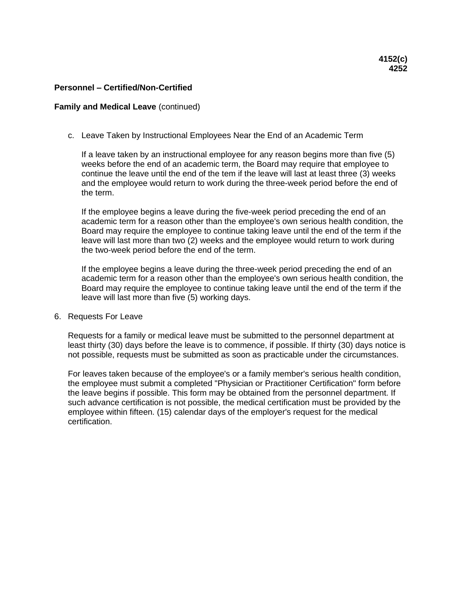## **Family and Medical Leave** (continued)

c. Leave Taken by Instructional Employees Near the End of an Academic Term

If a leave taken by an instructional employee for any reason begins more than five (5) weeks before the end of an academic term, the Board may require that employee to continue the leave until the end of the tem if the leave will last at least three (3) weeks and the employee would return to work during the three-week period before the end of the term.

If the employee begins a leave during the five-week period preceding the end of an academic term for a reason other than the employee's own serious health condition, the Board may require the employee to continue taking leave until the end of the term if the leave will last more than two (2) weeks and the employee would return to work during the two-week period before the end of the term.

If the employee begins a leave during the three-week period preceding the end of an academic term for a reason other than the employee's own serious health condition, the Board may require the employee to continue taking leave until the end of the term if the leave will last more than five (5) working days.

#### 6. Requests For Leave

Requests for a family or medical leave must be submitted to the personnel department at least thirty (30) days before the leave is to commence, if possible. If thirty (30) days notice is not possible, requests must be submitted as soon as practicable under the circumstances.

For leaves taken because of the employee's or a family member's serious health condition, the employee must submit a completed "Physician or Practitioner Certification" form before the leave begins if possible. This form may be obtained from the personnel department. If such advance certification is not possible, the medical certification must be provided by the employee within fifteen. (15) calendar days of the employer's request for the medical certification.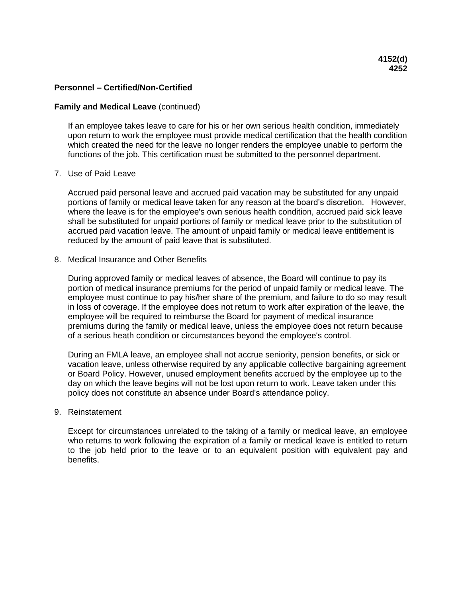#### **Family and Medical Leave** (continued)

If an employee takes leave to care for his or her own serious health condition, immediately upon return to work the employee must provide medical certification that the health condition which created the need for the leave no longer renders the employee unable to perform the functions of the job. This certification must be submitted to the personnel department.

## 7. Use of Paid Leave

Accrued paid personal leave and accrued paid vacation may be substituted for any unpaid portions of family or medical leave taken for any reason at the board's discretion. However, where the leave is for the employee's own serious health condition, accrued paid sick leave shall be substituted for unpaid portions of family or medical leave prior to the substitution of accrued paid vacation leave. The amount of unpaid family or medical leave entitlement is reduced by the amount of paid leave that is substituted.

## 8. Medical Insurance and Other Benefits

During approved family or medical leaves of absence, the Board will continue to pay its portion of medical insurance premiums for the period of unpaid family or medical leave. The employee must continue to pay his/her share of the premium, and failure to do so may result in loss of coverage. If the employee does not return to work after expiration of the leave, the employee will be required to reimburse the Board for payment of medical insurance premiums during the family or medical leave, unless the employee does not return because of a serious heath condition or circumstances beyond the employee's control.

During an FMLA leave, an employee shall not accrue seniority, pension benefits, or sick or vacation leave, unless otherwise required by any applicable collective bargaining agreement or Board Policy. However, unused employment benefits accrued by the employee up to the day on which the leave begins will not be lost upon return to work. Leave taken under this policy does not constitute an absence under Board's attendance policy.

## 9. Reinstatement

Except for circumstances unrelated to the taking of a family or medical leave, an employee who returns to work following the expiration of a family or medical leave is entitled to return to the job held prior to the leave or to an equivalent position with equivalent pay and benefits.